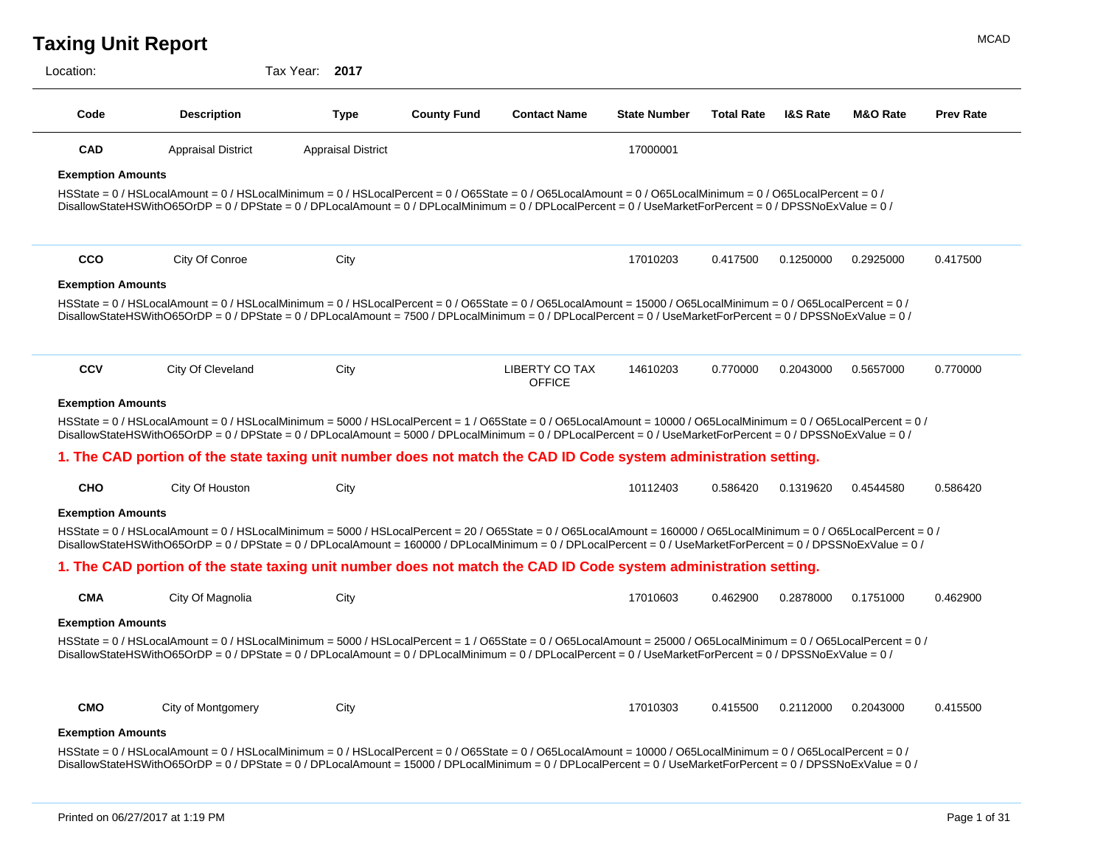| Location:                |                                                                                                                                                                                                                                                                                                                                         | Tax Year: 2017            |                    |                                 |                     |                   |                     |                     |                  |
|--------------------------|-----------------------------------------------------------------------------------------------------------------------------------------------------------------------------------------------------------------------------------------------------------------------------------------------------------------------------------------|---------------------------|--------------------|---------------------------------|---------------------|-------------------|---------------------|---------------------|------------------|
| Code                     | <b>Description</b>                                                                                                                                                                                                                                                                                                                      | <b>Type</b>               | <b>County Fund</b> | <b>Contact Name</b>             | <b>State Number</b> | <b>Total Rate</b> | <b>I&amp;S Rate</b> | <b>M&amp;O Rate</b> | <b>Prev Rate</b> |
| <b>CAD</b>               | <b>Appraisal District</b>                                                                                                                                                                                                                                                                                                               | <b>Appraisal District</b> |                    |                                 | 17000001            |                   |                     |                     |                  |
| <b>Exemption Amounts</b> |                                                                                                                                                                                                                                                                                                                                         |                           |                    |                                 |                     |                   |                     |                     |                  |
|                          | HSState = 0 / HSLocalAmount = 0 / HSLocalMinimum = 0 / HSLocalPercent = 0 / O65State = 0 / O65LocalAmount = 0 / O65LocalMinimum = 0 / O65LocalPercent = 0 /<br>DisallowStateHSWithO65OrDP = 0 / DPState = 0 / DPLocalAmount = 0 / DPLocalMinimum = 0 / DPLocalPercent = 0 / UseMarketForPercent = 0 / DPSSNoExValue = 0 /               |                           |                    |                                 |                     |                   |                     |                     |                  |
| <b>CCO</b>               | City Of Conroe                                                                                                                                                                                                                                                                                                                          | City                      |                    |                                 | 17010203            | 0.417500          | 0.1250000           | 0.2925000           | 0.417500         |
| <b>Exemption Amounts</b> |                                                                                                                                                                                                                                                                                                                                         |                           |                    |                                 |                     |                   |                     |                     |                  |
|                          | HSState = 0 / HSLocalAmount = 0 / HSLocalMinimum = 0 / HSLocalPercent = 0 / O65State = 0 / O65LocalAmount = 15000 / O65LocalMinimum = 0 / O65LocalPercent = 0 /<br>DisallowStateHSWithO65OrDP = 0 / DPState = 0 / DPLocalAmount = 7500 / DPLocalMinimum = 0 / DPLocalPercent = 0 / UseMarketForPercent = 0 / DPSSNoExValue = 0 /        |                           |                    |                                 |                     |                   |                     |                     |                  |
| <b>CCV</b>               | City Of Cleveland                                                                                                                                                                                                                                                                                                                       | City                      |                    | LIBERTY CO TAX<br><b>OFFICE</b> | 14610203            | 0.770000          | 0.2043000           | 0.5657000           | 0.770000         |
| <b>Exemption Amounts</b> |                                                                                                                                                                                                                                                                                                                                         |                           |                    |                                 |                     |                   |                     |                     |                  |
|                          | HSState = 0 / HSLocalAmount = 0 / HSLocalMinimum = 5000 / HSLocalPercent = 1 / O65State = 0 / O65LocalAmount = 10000 / O65LocalMinimum = 0 / O65LocalPercent = 0 /<br>DisallowStateHSWithO65OrDP = 0 / DPState = 0 / DPLocalAmount = 5000 / DPLocalMinimum = 0 / DPLocalPercent = 0 / UseMarketForPercent = 0 / DPSSNoExValue = 0 /     |                           |                    |                                 |                     |                   |                     |                     |                  |
|                          | 1. The CAD portion of the state taxing unit number does not match the CAD ID Code system administration setting.                                                                                                                                                                                                                        |                           |                    |                                 |                     |                   |                     |                     |                  |
| <b>CHO</b>               | City Of Houston                                                                                                                                                                                                                                                                                                                         | City                      |                    |                                 | 10112403            | 0.586420          | 0.1319620           | 0.4544580           | 0.586420         |
| <b>Exemption Amounts</b> |                                                                                                                                                                                                                                                                                                                                         |                           |                    |                                 |                     |                   |                     |                     |                  |
|                          | HSState = 0 / HSLocalAmount = 0 / HSLocalMinimum = 5000 / HSLocalPercent = 20 / O65State = 0 / O65LocalAmount = 160000 / O65LocalMinimum = 0 / O65LocalPercent = 0 /<br>DisallowStateHSWithO65OrDP = 0 / DPState = 0 / DPLocalAmount = 160000 / DPLocalMinimum = 0 / DPLocalPercent = 0 / UseMarketForPercent = 0 / DPSSNoExValue = 0 / |                           |                    |                                 |                     |                   |                     |                     |                  |
|                          | 1. The CAD portion of the state taxing unit number does not match the CAD ID Code system administration setting.                                                                                                                                                                                                                        |                           |                    |                                 |                     |                   |                     |                     |                  |
| <b>CMA</b>               | City Of Magnolia                                                                                                                                                                                                                                                                                                                        | City                      |                    |                                 | 17010603            | 0.462900          | 0.2878000           | 0.1751000           | 0.462900         |
| <b>Exemption Amounts</b> |                                                                                                                                                                                                                                                                                                                                         |                           |                    |                                 |                     |                   |                     |                     |                  |
|                          | HSState = 0 / HSLocalAmount = 0 / HSLocalMinimum = 5000 / HSLocalPercent = 1 / O65State = 0 / O65LocalAmount = 25000 / O65LocalMinimum = 0 / O65LocalPercent = 0 /<br>DisallowStateHSWithO65OrDP = 0 / DPState = 0 / DPLocalAmount = 0 / DPLocalMinimum = 0 / DPLocalPercent = 0 / UseMarketForPercent = 0 / DPSSNoExValue = 0 /        |                           |                    |                                 |                     |                   |                     |                     |                  |
| <b>CMO</b>               | City of Montgomery                                                                                                                                                                                                                                                                                                                      | City                      |                    |                                 | 17010303            | 0.415500          | 0.2112000           | 0.2043000           | 0.415500         |
| <b>Exemption Amounts</b> |                                                                                                                                                                                                                                                                                                                                         |                           |                    |                                 |                     |                   |                     |                     |                  |
|                          | HSState = 0 / HSLocalAmount = 0 / HSLocalMinimum = 0 / HSLocalPercent = 0 / O65State = 0 / O65LocalAmount = 10000 / O65LocalMinimum = 0 / O65LocalPercent = 0 /<br>DisallowStateHSWithO65OrDP = 0 / DPState = 0 / DPLocalAmount = 15000 / DPLocalMinimum = 0 / DPLocalPercent = 0 / UseMarketForPercent = 0 / DPSSNoExValue = 0 /       |                           |                    |                                 |                     |                   |                     |                     |                  |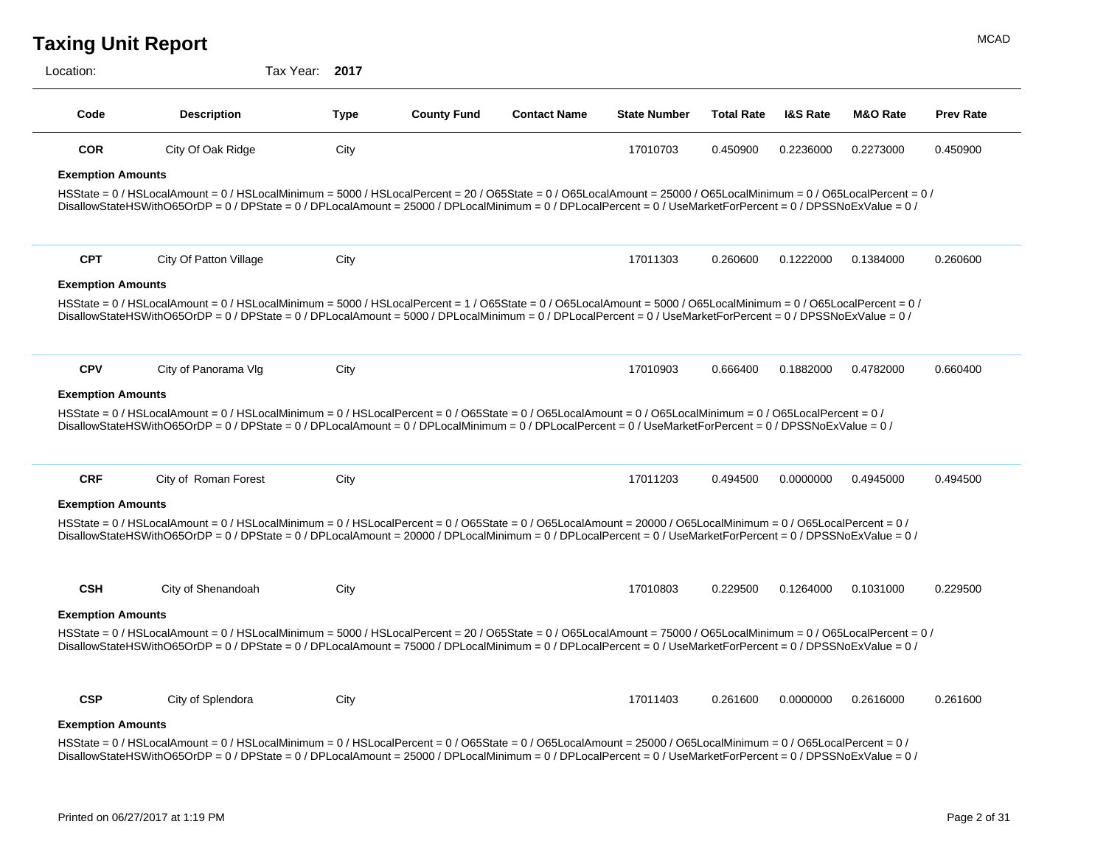Location: Tax Year: **2017**

| Code                     | <b>Description</b>                                                                                                                                                                                                                                                                                                                    | <b>Type</b> | <b>County Fund</b> | <b>Contact Name</b> | <b>State Number</b> | <b>Total Rate</b> | <b>I&amp;S Rate</b> | M&O Rate  | <b>Prev Rate</b> |
|--------------------------|---------------------------------------------------------------------------------------------------------------------------------------------------------------------------------------------------------------------------------------------------------------------------------------------------------------------------------------|-------------|--------------------|---------------------|---------------------|-------------------|---------------------|-----------|------------------|
| <b>COR</b>               | City Of Oak Ridge                                                                                                                                                                                                                                                                                                                     | City        |                    |                     | 17010703            | 0.450900          | 0.2236000           | 0.2273000 | 0.450900         |
| <b>Exemption Amounts</b> |                                                                                                                                                                                                                                                                                                                                       |             |                    |                     |                     |                   |                     |           |                  |
|                          | HSState = 0 / HSLocalAmount = 0 / HSLocalMinimum = 5000 / HSLocalPercent = 20 / O65State = 0 / O65LocalAmount = 25000 / O65LocalMinimum = 0 / O65LocalPercent = 0 /<br>DisallowStateHSWithO65OrDP = 0 / DPState = 0 / DPLocalAmount = 25000 / DPLocalMinimum = 0 / DPLocalPercent = 0 / UseMarketForPercent = 0 / DPSSNoExValue = 0 / |             |                    |                     |                     |                   |                     |           |                  |
| <b>CPT</b>               | City Of Patton Village                                                                                                                                                                                                                                                                                                                | City        |                    |                     | 17011303            | 0.260600          | 0.1222000           | 0.1384000 | 0.260600         |
| <b>Exemption Amounts</b> |                                                                                                                                                                                                                                                                                                                                       |             |                    |                     |                     |                   |                     |           |                  |
|                          | HSState = 0 / HSLocalAmount = 0 / HSLocalMinimum = 5000 / HSLocalPercent = 1 / O65State = 0 / O65LocalAmount = 5000 / O65LocalMinimum = 0 / O65LocalPercent = 0 /<br>DisallowStateHSWithO65OrDP = 0 / DPState = 0 / DPLocalAmount = 5000 / DPLocalMinimum = 0 / DPLocalPercent = 0 / UseMarketForPercent = 0 / DPSSNoExValue = 0 /    |             |                    |                     |                     |                   |                     |           |                  |
| <b>CPV</b>               | City of Panorama VIg                                                                                                                                                                                                                                                                                                                  | City        |                    |                     | 17010903            | 0.666400          | 0.1882000           | 0.4782000 | 0.660400         |
| <b>Exemption Amounts</b> |                                                                                                                                                                                                                                                                                                                                       |             |                    |                     |                     |                   |                     |           |                  |
|                          | HSState = 0 / HSLocalAmount = 0 / HSLocalMinimum = 0 / HSLocalPercent = 0 / O65State = 0 / O65LocalAmount = 0 / O65LocalMinimum = 0 / O65LocalPercent = 0 /<br>DisallowStateHSWithO65OrDP = 0 / DPState = 0 / DPLocalAmount = 0 / DPLocalMinimum = 0 / DPLocalPercent = 0 / UseMarketForPercent = 0 / DPSSNoExValue = 0 /             |             |                    |                     |                     |                   |                     |           |                  |
| <b>CRF</b>               | City of Roman Forest                                                                                                                                                                                                                                                                                                                  | City        |                    |                     | 17011203            | 0.494500          | 0.0000000           | 0.4945000 | 0.494500         |
| <b>Exemption Amounts</b> |                                                                                                                                                                                                                                                                                                                                       |             |                    |                     |                     |                   |                     |           |                  |
|                          | HSState = 0 / HSLocalAmount = 0 / HSLocalMinimum = 0 / HSLocalPercent = 0 / O65State = 0 / O65LocalAmount = 20000 / O65LocalMinimum = 0 / O65LocalPercent = 0 /<br>DisallowStateHSWithO65OrDP = 0 / DPState = 0 / DPLocalAmount = 20000 / DPLocalMinimum = 0 / DPLocalPercent = 0 / UseMarketForPercent = 0 / DPSSNoExValue = 0 /     |             |                    |                     |                     |                   |                     |           |                  |
| <b>CSH</b>               | City of Shenandoah                                                                                                                                                                                                                                                                                                                    | City        |                    |                     | 17010803            | 0.229500          | 0.1264000           | 0.1031000 | 0.229500         |
| <b>Exemption Amounts</b> |                                                                                                                                                                                                                                                                                                                                       |             |                    |                     |                     |                   |                     |           |                  |
|                          | HSState = 0 / HSLocalAmount = 0 / HSLocalMinimum = 5000 / HSLocalPercent = 20 / O65State = 0 / O65LocalAmount = 75000 / O65LocalMinimum = 0 / O65LocalPercent = 0 /<br>DisallowStateHSWithO65OrDP = 0 / DPState = 0 / DPLocalAmount = 75000 / DPLocalMinimum = 0 / DPLocalPercent = 0 / UseMarketForPercent = 0 / DPSSNoExValue = 0 / |             |                    |                     |                     |                   |                     |           |                  |
| <b>CSP</b>               | City of Splendora                                                                                                                                                                                                                                                                                                                     | City        |                    |                     | 17011403            | 0.261600          | 0.0000000           | 0.2616000 | 0.261600         |
| <b>Exemption Amounts</b> |                                                                                                                                                                                                                                                                                                                                       |             |                    |                     |                     |                   |                     |           |                  |
|                          | HSState = 0 / HSLocalAmount = 0 / HSLocalMinimum = 0 / HSLocalPercent = 0 / O65State = 0 / O65LocalAmount = 25000 / O65LocalMinimum = 0 / O65LocalPercent = 0 /<br>DisallowStateHSWithO65OrDP = 0 / DPState = 0 / DPLocalAmount = 25000 / DPLocalMinimum = 0 / DPLocalPercent = 0 / UseMarketForPercent = 0 / DPSSNoExValue = 0 /     |             |                    |                     |                     |                   |                     |           |                  |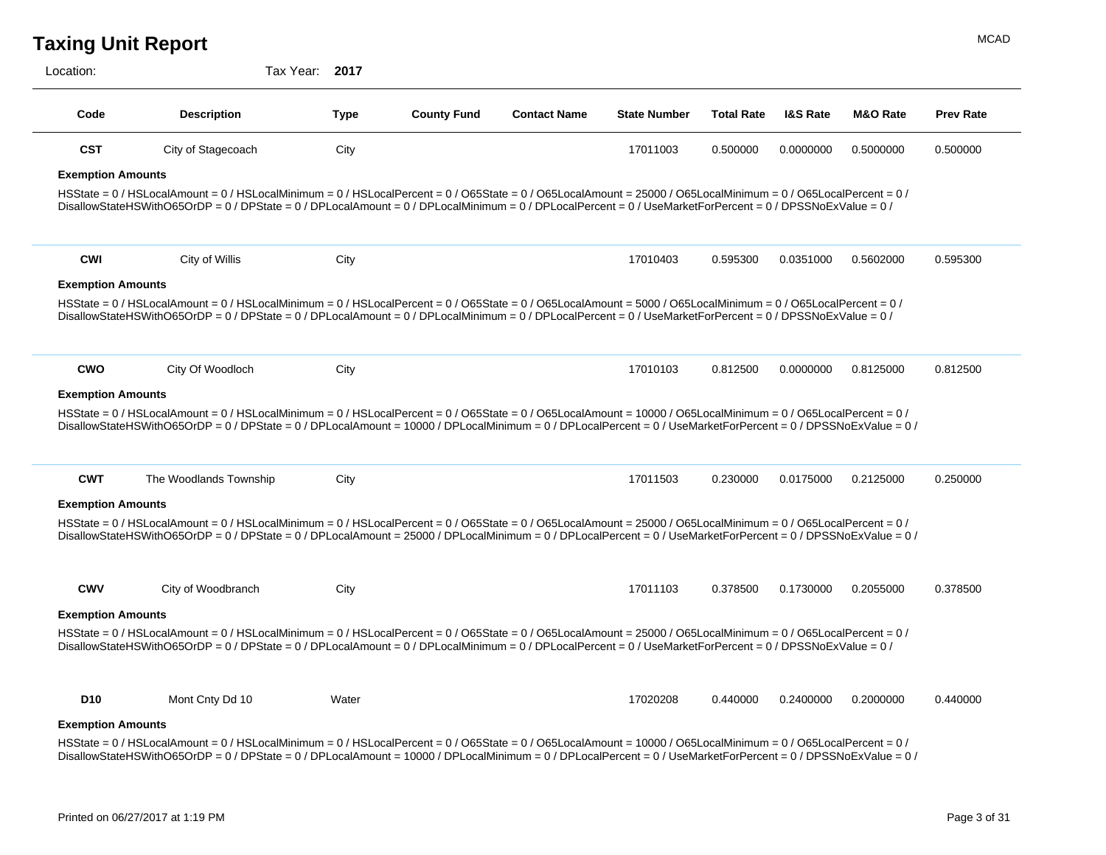Location: Tax Year: **2017**

| Code                     | <b>Description</b>                                                                                                                                                                                                                                                                                                                | <b>Type</b> | <b>County Fund</b> | <b>Contact Name</b> | <b>State Number</b> | <b>Total Rate</b> | <b>I&amp;S Rate</b> | M&O Rate  | <b>Prev Rate</b> |
|--------------------------|-----------------------------------------------------------------------------------------------------------------------------------------------------------------------------------------------------------------------------------------------------------------------------------------------------------------------------------|-------------|--------------------|---------------------|---------------------|-------------------|---------------------|-----------|------------------|
| <b>CST</b>               | City of Stagecoach                                                                                                                                                                                                                                                                                                                | City        |                    |                     | 17011003            | 0.500000          | 0.0000000           | 0.5000000 | 0.500000         |
| <b>Exemption Amounts</b> |                                                                                                                                                                                                                                                                                                                                   |             |                    |                     |                     |                   |                     |           |                  |
|                          | HSState = 0 / HSLocalAmount = 0 / HSLocalMinimum = 0 / HSLocalPercent = 0 / O65State = 0 / O65LocalAmount = 25000 / O65LocalMinimum = 0 / O65LocalPercent = 0 /<br>DisallowStateHSWithO65OrDP = 0 / DPState = 0 / DPLocalAmount = 0 / DPLocalMinimum = 0 / DPLocalPercent = 0 / UseMarketForPercent = 0 / DPSSNoExValue = 0 /     |             |                    |                     |                     |                   |                     |           |                  |
| <b>CWI</b>               | City of Willis                                                                                                                                                                                                                                                                                                                    | City        |                    |                     | 17010403            | 0.595300          | 0.0351000           | 0.5602000 | 0.595300         |
| <b>Exemption Amounts</b> |                                                                                                                                                                                                                                                                                                                                   |             |                    |                     |                     |                   |                     |           |                  |
|                          | HSState = 0 / HSLocalAmount = 0 / HSLocalMinimum = 0 / HSLocalPercent = 0 / O65State = 0 / O65LocalAmount = 5000 / O65LocalMinimum = 0 / O65LocalPercent = 0 /<br>DisallowStateHSWithO65OrDP = 0 / DPState = 0 / DPLocalAmount = 0 / DPLocalMinimum = 0 / DPLocalPercent = 0 / UseMarketForPercent = 0 / DPSSNoExValue = 0 /      |             |                    |                     |                     |                   |                     |           |                  |
| <b>CWO</b>               | City Of Woodloch                                                                                                                                                                                                                                                                                                                  | City        |                    |                     | 17010103            | 0.812500          | 0.0000000           | 0.8125000 | 0.812500         |
| <b>Exemption Amounts</b> |                                                                                                                                                                                                                                                                                                                                   |             |                    |                     |                     |                   |                     |           |                  |
|                          | HSState = 0 / HSLocalAmount = 0 / HSLocalMinimum = 0 / HSLocalPercent = 0 / O65State = 0 / O65LocalAmount = 10000 / O65LocalMinimum = 0 / O65LocalPercent = 0 /<br>DisallowStateHSWithO65OrDP = 0 / DPState = 0 / DPLocalAmount = 10000 / DPLocalMinimum = 0 / DPLocalPercent = 0 / UseMarketForPercent = 0 / DPSSNoExValue = 0 / |             |                    |                     |                     |                   |                     |           |                  |
| <b>CWT</b>               | The Woodlands Township                                                                                                                                                                                                                                                                                                            | City        |                    |                     | 17011503            | 0.230000          | 0.0175000           | 0.2125000 | 0.250000         |
| <b>Exemption Amounts</b> |                                                                                                                                                                                                                                                                                                                                   |             |                    |                     |                     |                   |                     |           |                  |
|                          | HSState = 0 / HSLocalAmount = 0 / HSLocalMinimum = 0 / HSLocalPercent = 0 / O65State = 0 / O65LocalAmount = 25000 / O65LocalMinimum = 0 / O65LocalPercent = 0 /<br>DisallowStateHSWithO65OrDP = 0 / DPState = 0 / DPLocalAmount = 25000 / DPLocalMinimum = 0 / DPLocalPercent = 0 / UseMarketForPercent = 0 / DPSSNoExValue = 0 / |             |                    |                     |                     |                   |                     |           |                  |
| <b>CWV</b>               | City of Woodbranch                                                                                                                                                                                                                                                                                                                | City        |                    |                     | 17011103            | 0.378500          | 0.1730000           | 0.2055000 | 0.378500         |
| <b>Exemption Amounts</b> |                                                                                                                                                                                                                                                                                                                                   |             |                    |                     |                     |                   |                     |           |                  |
|                          | HSState = 0 / HSLocalAmount = 0 / HSLocalMinimum = 0 / HSLocalPercent = 0 / O65State = 0 / O65LocalAmount = 25000 / O65LocalMinimum = 0 / O65LocalPercent = 0 /<br>DisallowStateHSWithO65OrDP = 0 / DPState = 0 / DPLocalAmount = 0 / DPLocalMinimum = 0 / DPLocalPercent = 0 / UseMarketForPercent = 0 / DPSSNoExValue = 0 /     |             |                    |                     |                     |                   |                     |           |                  |
| D <sub>10</sub>          | Mont Cnty Dd 10                                                                                                                                                                                                                                                                                                                   | Water       |                    |                     | 17020208            | 0.440000          | 0.2400000           | 0.2000000 | 0.440000         |
| <b>Exemption Amounts</b> |                                                                                                                                                                                                                                                                                                                                   |             |                    |                     |                     |                   |                     |           |                  |
|                          | HSState = 0 / HSLocalAmount = 0 / HSLocalMinimum = 0 / HSLocalPercent = 0 / O65State = 0 / O65LocalAmount = 10000 / O65LocalMinimum = 0 / O65LocalPercent = 0 /                                                                                                                                                                   |             |                    |                     |                     |                   |                     |           |                  |

DisallowStateHSWithO65OrDP = 0 / DPState = 0 / DPLocalAmount = 10000 / DPLocalMinimum = 0 / DPLocalPercent = 0 / UseMarketForPercent = 0 / DPSSNoExValue = 0 /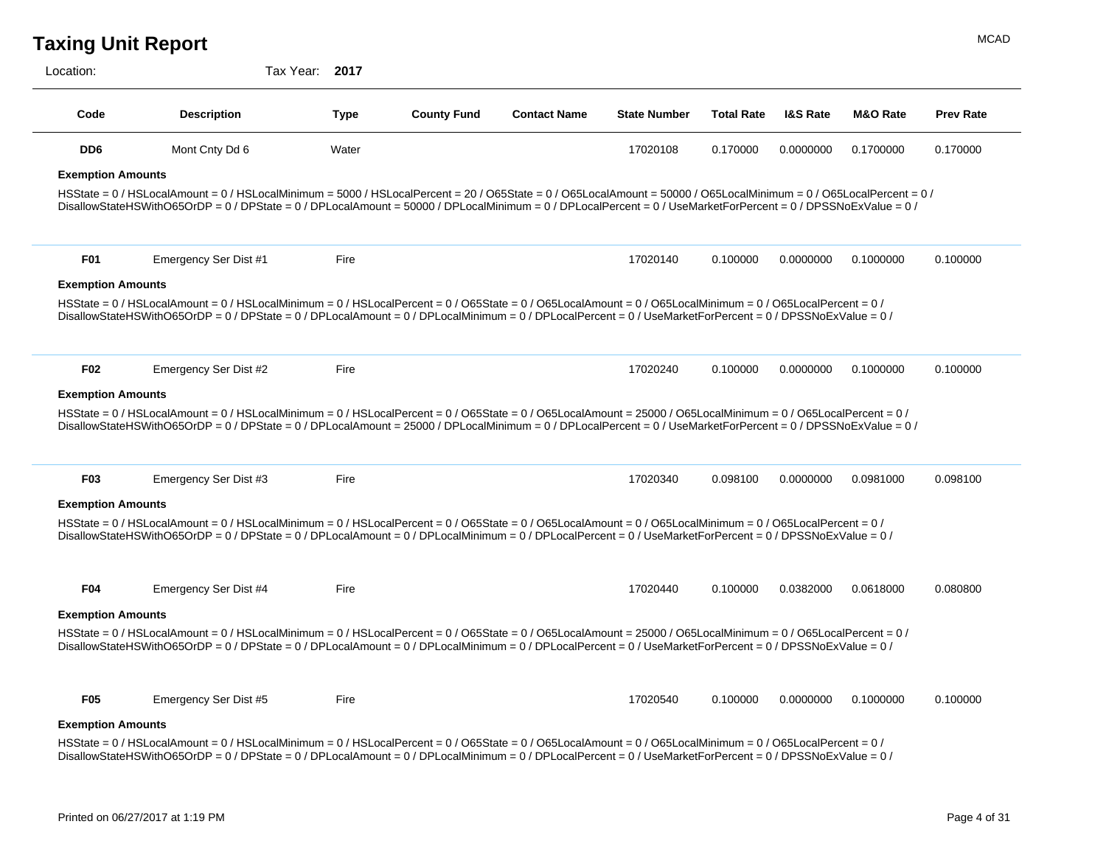Location: Tax Year: **2017**

| Code                     | <b>Description</b>                                                                                                                                                                                                                                                                                                                    | <b>Type</b> | <b>County Fund</b> | <b>Contact Name</b> | <b>State Number</b> | <b>Total Rate</b> | <b>I&amp;S Rate</b> | M&O Rate  | <b>Prev Rate</b> |
|--------------------------|---------------------------------------------------------------------------------------------------------------------------------------------------------------------------------------------------------------------------------------------------------------------------------------------------------------------------------------|-------------|--------------------|---------------------|---------------------|-------------------|---------------------|-----------|------------------|
| DD <sub>6</sub>          | Mont Cnty Dd 6                                                                                                                                                                                                                                                                                                                        | Water       |                    |                     | 17020108            | 0.170000          | 0.0000000           | 0.1700000 | 0.170000         |
| <b>Exemption Amounts</b> |                                                                                                                                                                                                                                                                                                                                       |             |                    |                     |                     |                   |                     |           |                  |
|                          | HSState = 0 / HSLocalAmount = 0 / HSLocalMinimum = 5000 / HSLocalPercent = 20 / O65State = 0 / O65LocalAmount = 50000 / O65LocalMinimum = 0 / O65LocalPercent = 0 /<br>DisallowStateHSWithO65OrDP = 0 / DPState = 0 / DPLocalAmount = 50000 / DPLocalMinimum = 0 / DPLocalPercent = 0 / UseMarketForPercent = 0 / DPSSNoExValue = 0 / |             |                    |                     |                     |                   |                     |           |                  |
| <b>F01</b>               | Emergency Ser Dist #1                                                                                                                                                                                                                                                                                                                 | Fire        |                    |                     | 17020140            | 0.100000          | 0.0000000           | 0.1000000 | 0.100000         |
| <b>Exemption Amounts</b> |                                                                                                                                                                                                                                                                                                                                       |             |                    |                     |                     |                   |                     |           |                  |
|                          | HSState = 0 / HSLocalAmount = 0 / HSLocalMinimum = 0 / HSLocalPercent = 0 / O65State = 0 / O65LocalAmount = 0 / O65LocalMinimum = 0 / O65LocalPercent = 0 /<br>DisallowStateHSWithO65OrDP = 0 / DPState = 0 / DPLocalAmount = 0 / DPLocalMinimum = 0 / DPLocalPercent = 0 / UseMarketForPercent = 0 / DPSSNoExValue = 0 /             |             |                    |                     |                     |                   |                     |           |                  |
| <b>F02</b>               | Emergency Ser Dist #2                                                                                                                                                                                                                                                                                                                 | Fire        |                    |                     | 17020240            | 0.100000          | 0.0000000           | 0.1000000 | 0.100000         |
| <b>Exemption Amounts</b> |                                                                                                                                                                                                                                                                                                                                       |             |                    |                     |                     |                   |                     |           |                  |
|                          | HSState = 0 / HSLocalAmount = 0 / HSLocalMinimum = 0 / HSLocalPercent = 0 / O65State = 0 / O65LocalAmount = 25000 / O65LocalMinimum = 0 / O65LocalPercent = 0 /<br>DisallowStateHSWithO65OrDP = 0 / DPState = 0 / DPLocalAmount = 25000 / DPLocalMinimum = 0 / DPLocalPercent = 0 / UseMarketForPercent = 0 / DPSSNoExValue = 0 /     |             |                    |                     |                     |                   |                     |           |                  |
| F <sub>03</sub>          | Emergency Ser Dist #3                                                                                                                                                                                                                                                                                                                 | Fire        |                    |                     | 17020340            | 0.098100          | 0.0000000           | 0.0981000 | 0.098100         |
| <b>Exemption Amounts</b> |                                                                                                                                                                                                                                                                                                                                       |             |                    |                     |                     |                   |                     |           |                  |
|                          | HSState = 0 / HSLocalAmount = 0 / HSLocalMinimum = 0 / HSLocalPercent = 0 / O65State = 0 / O65LocalAmount = 0 / O65LocalMinimum = 0 / O65LocalPercent = 0 /<br>DisallowStateHSWithO65OrDP = 0 / DPState = 0 / DPLocalAmount = 0 / DPLocalMinimum = 0 / DPLocalPercent = 0 / UseMarketForPercent = 0 / DPSSNoExValue = 0 /             |             |                    |                     |                     |                   |                     |           |                  |
| <b>F04</b>               | Emergency Ser Dist #4                                                                                                                                                                                                                                                                                                                 | Fire        |                    |                     | 17020440            | 0.100000          | 0.0382000           | 0.0618000 | 0.080800         |
| <b>Exemption Amounts</b> |                                                                                                                                                                                                                                                                                                                                       |             |                    |                     |                     |                   |                     |           |                  |
|                          | HSState = 0 / HSLocalAmount = 0 / HSLocalMinimum = 0 / HSLocalPercent = 0 / O65State = 0 / O65LocalAmount = 25000 / O65LocalMinimum = 0 / O65LocalPercent = 0 /<br>DisallowStateHSWithO65OrDP = 0 / DPState = 0 / DPLocalAmount = 0 / DPLocalMinimum = 0 / DPLocalPercent = 0 / UseMarketForPercent = 0 / DPSSNoExValue = 0 /         |             |                    |                     |                     |                   |                     |           |                  |
| <b>F05</b>               | Emergency Ser Dist #5                                                                                                                                                                                                                                                                                                                 | Fire        |                    |                     | 17020540            | 0.100000          | 0.0000000           | 0.1000000 | 0.100000         |
| <b>Exemption Amounts</b> |                                                                                                                                                                                                                                                                                                                                       |             |                    |                     |                     |                   |                     |           |                  |
|                          | HSState = 0 / HSLocalAmount = 0 / HSLocalMinimum = 0 / HSLocalPercent = 0 / O65State = 0 / O65LocalAmount = 0 / O65LocalMinimum = 0 / O65LocalPercent = 0 /<br>DisallowStateHSWithO65OrDP = 0 / DPState = 0 / DPLocalAmount = 0 / DPLocalMinimum = 0 / DPLocalPercent = 0 / UseMarketForPercent = 0 / DPSSNoExValue = 0 /             |             |                    |                     |                     |                   |                     |           |                  |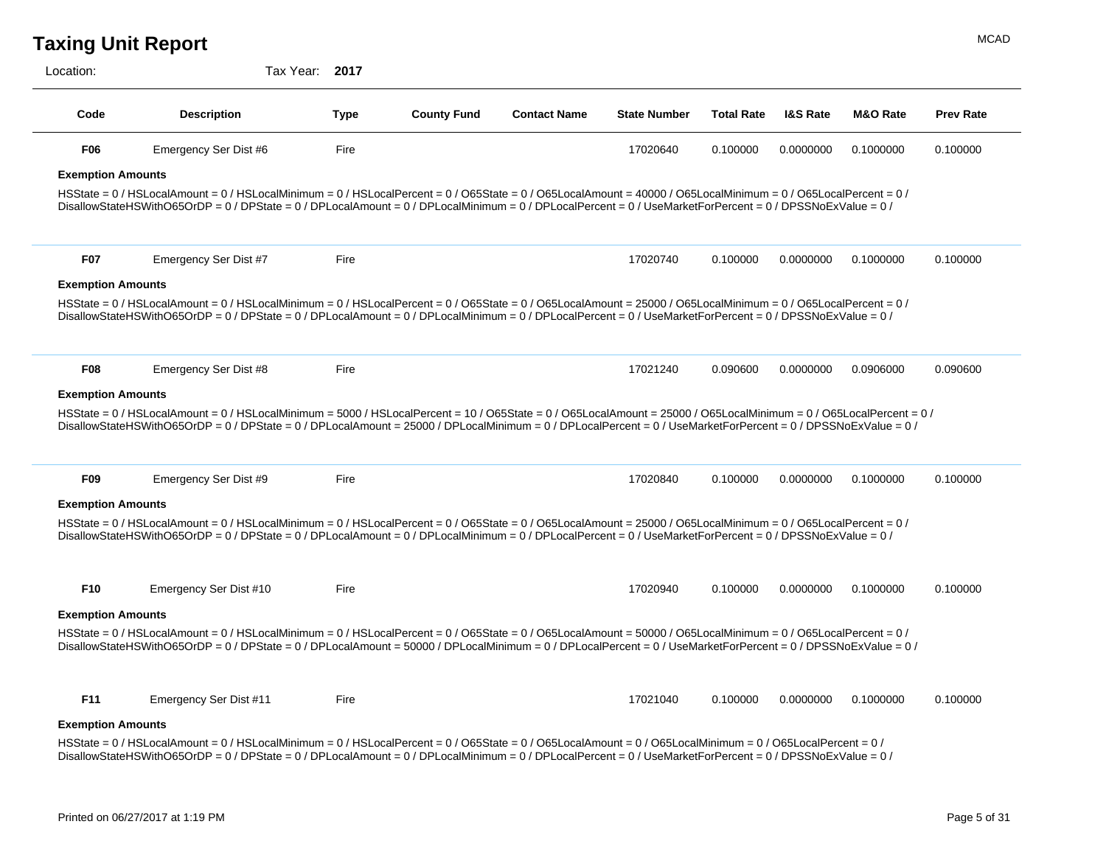Location: Tax Year: **2017**

| Code                     | <b>Description</b>                                                                                                                                                                                                                                                                                                                    | Type | <b>County Fund</b> | <b>Contact Name</b> | <b>State Number</b> | <b>Total Rate</b> | <b>I&amp;S Rate</b> | M&O Rate  | <b>Prev Rate</b> |
|--------------------------|---------------------------------------------------------------------------------------------------------------------------------------------------------------------------------------------------------------------------------------------------------------------------------------------------------------------------------------|------|--------------------|---------------------|---------------------|-------------------|---------------------|-----------|------------------|
| <b>F06</b>               | Emergency Ser Dist #6                                                                                                                                                                                                                                                                                                                 | Fire |                    |                     | 17020640            | 0.100000          | 0.0000000           | 0.1000000 | 0.100000         |
| <b>Exemption Amounts</b> |                                                                                                                                                                                                                                                                                                                                       |      |                    |                     |                     |                   |                     |           |                  |
|                          | HSState = 0 / HSLocalAmount = 0 / HSLocalMinimum = 0 / HSLocalPercent = 0 / O65State = 0 / O65LocalAmount = 40000 / O65LocalMinimum = 0 / O65LocalPercent = 0 /<br>DisallowStateHSWithO65OrDP = 0 / DPState = 0 / DPLocalAmount = 0 / DPLocalMinimum = 0 / DPLocalPercent = 0 / UseMarketForPercent = 0 / DPSSNoExValue = 0 /         |      |                    |                     |                     |                   |                     |           |                  |
| <b>F07</b>               | Emergency Ser Dist #7                                                                                                                                                                                                                                                                                                                 | Fire |                    |                     | 17020740            | 0.100000          | 0.0000000           | 0.1000000 | 0.100000         |
| <b>Exemption Amounts</b> |                                                                                                                                                                                                                                                                                                                                       |      |                    |                     |                     |                   |                     |           |                  |
|                          | HSState = 0 / HSLocalAmount = 0 / HSLocalMinimum = 0 / HSLocalPercent = 0 / O65State = 0 / O65LocalAmount = 25000 / O65LocalMinimum = 0 / O65LocalPercent = 0 /<br>DisallowStateHSWithO65OrDP = 0 / DPState = 0 / DPLocalAmount = 0 / DPLocalMinimum = 0 / DPLocalPercent = 0 / UseMarketForPercent = 0 / DPSSNoExValue = 0 /         |      |                    |                     |                     |                   |                     |           |                  |
| <b>F08</b>               | Emergency Ser Dist #8                                                                                                                                                                                                                                                                                                                 | Fire |                    |                     | 17021240            | 0.090600          | 0.0000000           | 0.0906000 | 0.090600         |
| <b>Exemption Amounts</b> |                                                                                                                                                                                                                                                                                                                                       |      |                    |                     |                     |                   |                     |           |                  |
|                          | HSState = 0 / HSLocalAmount = 0 / HSLocalMinimum = 5000 / HSLocalPercent = 10 / O65State = 0 / O65LocalAmount = 25000 / O65LocalMinimum = 0 / O65LocalPercent = 0 /<br>DisallowStateHSWithO65OrDP = 0 / DPState = 0 / DPLocalAmount = 25000 / DPLocalMinimum = 0 / DPLocalPercent = 0 / UseMarketForPercent = 0 / DPSSNoExValue = 0 / |      |                    |                     |                     |                   |                     |           |                  |

| F09                      | Emergency Ser Dist #9 | Fire |                                                                                                                                                                 | 17020840 | 0.100000 | 0.0000000 | 0.1000000 | 0.100000 |
|--------------------------|-----------------------|------|-----------------------------------------------------------------------------------------------------------------------------------------------------------------|----------|----------|-----------|-----------|----------|
| <b>Exemption Amounts</b> |                       |      |                                                                                                                                                                 |          |          |           |           |          |
|                          |                       |      | HSState = 0 / HSLocalAmount = 0 / HSLocalMinimum = 0 / HSLocalPercent = 0 / O65State = 0 / O65LocalAmount = 25000 / O65LocalMinimum = 0 / O65LocalPercent = 0 / |          |          |           |           |          |
|                          |                       |      | DisallowStateHSWithO65OrDP = 0 / DPState = 0 / DPLocalAmount = 0 / DPLocalMinimum = 0 / DPLocalPercent = 0 / UseMarketForPercent = 0 / DPSSNoExValue = 0 /      |          |          |           |           |          |

**F10** Emergency Ser Dist #10 Fire Fire Tammy J MCRAE 17020940 0.100000 0.0000000 0.1000000 0.100000 HSState = 0 / HSLocalAmount = 0 / HSLocalMinimum = 0 / HSLocalPercent = 0 / O65State = 0 / O65LocalAmount = 50000 / O65LocalMinimum = 0 / O65LocalPercent = 0 / DisallowStateHSWithO65OrDP = 0 / DPState = 0 / DPLocalAmount = 50000 / DPLocalMinimum = 0 / DPLocalPercent = 0 / UseMarketForPercent = 0 / DPSSNoExValue = 0 / **Exemption Amounts** 0.1000000 **F11** Emergency Ser Dist #11 Fire Fire TAMMY Fire TAMMY 17021040 0.100000 0.0000000 0.1000000 0.100000 HSState = 0 / HSLocalAmount = 0 / HSLocalMinimum = 0 / HSLocalPercent = 0 / O65State = 0 / O65LocalAmount = 0 / O65LocalMinimum = 0 / O65LocalPercent = 0 / **Exemption Amounts** 0.1000000

DisallowStateHSWithO65OrDP = 0 / DPState = 0 / DPLocalAmount = 0 / DPLocalMinimum = 0 / DPLocalPercent = 0 / UseMarketForPercent = 0 / DPSSNoExValue = 0 /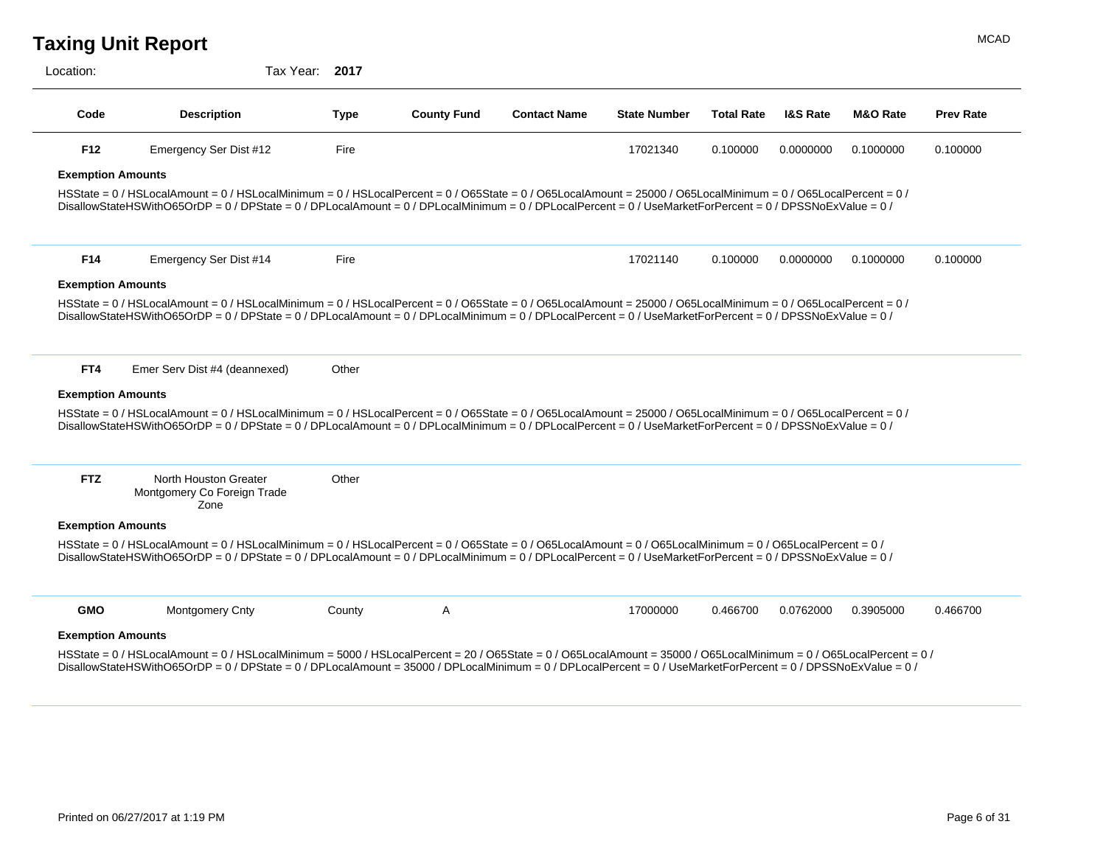Location: Tax Year: **2017**

| Code                     | <b>Description</b>                                                                                                                                                                                                                                                                                                                                                                                                                                                                                                                                                                                   | <b>Type</b> | <b>County Fund</b> | <b>Contact Name</b> | <b>State Number</b> | <b>Total Rate</b> | <b>I&amp;S Rate</b> | <b>M&amp;O Rate</b> | <b>Prev Rate</b> |
|--------------------------|------------------------------------------------------------------------------------------------------------------------------------------------------------------------------------------------------------------------------------------------------------------------------------------------------------------------------------------------------------------------------------------------------------------------------------------------------------------------------------------------------------------------------------------------------------------------------------------------------|-------------|--------------------|---------------------|---------------------|-------------------|---------------------|---------------------|------------------|
| F12                      | Emergency Ser Dist #12                                                                                                                                                                                                                                                                                                                                                                                                                                                                                                                                                                               | Fire        |                    |                     | 17021340            | 0.100000          | 0.0000000           | 0.1000000           | 0.100000         |
| <b>Exemption Amounts</b> |                                                                                                                                                                                                                                                                                                                                                                                                                                                                                                                                                                                                      |             |                    |                     |                     |                   |                     |                     |                  |
|                          | HSState = 0 / HSLocalAmount = 0 / HSLocalMinimum = 0 / HSLocalPercent = 0 / O65State = 0 / O65LocalAmount = 25000 / O65LocalMinimum = 0 / O65LocalPercent = 0 /<br>DisallowStateHSWithO65OrDP = 0 / DPState = 0 / DPLocalAmount = 0 / DPLocalMinimum = 0 / DPLocalPercent = 0 / UseMarketForPercent = 0 / DPSSNoExValue = 0 /                                                                                                                                                                                                                                                                        |             |                    |                     |                     |                   |                     |                     |                  |
| F14                      | Emergency Ser Dist #14                                                                                                                                                                                                                                                                                                                                                                                                                                                                                                                                                                               | Fire        |                    |                     | 17021140            | 0.100000          | 0.0000000           | 0.1000000           | 0.100000         |
| <b>Exemption Amounts</b> |                                                                                                                                                                                                                                                                                                                                                                                                                                                                                                                                                                                                      |             |                    |                     |                     |                   |                     |                     |                  |
|                          | HSState = 0 / HSLocalAmount = 0 / HSLocalMinimum = 0 / HSLocalPercent = 0 / O65State = 0 / O65LocalAmount = 25000 / O65LocalMinimum = 0 / O65LocalPercent = 0 /<br>DisallowStateHSWithO65OrDP = 0 / DPState = 0 / DPLocalAmount = 0 / DPLocalMinimum = 0 / DPLocalPercent = 0 / UseMarketForPercent = 0 / DPSSNoExValue = 0 /                                                                                                                                                                                                                                                                        |             |                    |                     |                     |                   |                     |                     |                  |
| FT4                      | Emer Serv Dist #4 (deannexed)                                                                                                                                                                                                                                                                                                                                                                                                                                                                                                                                                                        | Other       |                    |                     |                     |                   |                     |                     |                  |
| <b>Exemption Amounts</b> |                                                                                                                                                                                                                                                                                                                                                                                                                                                                                                                                                                                                      |             |                    |                     |                     |                   |                     |                     |                  |
|                          | HSState = 0 / HSLocalAmount = 0 / HSLocalMinimum = 0 / HSLocalPercent = 0 / O65State = 0 / O65LocalAmount = 25000 / O65LocalMinimum = 0 / O65LocalPercent = 0 /<br>DisallowStateHSWithO65OrDP = 0 / DPState = 0 / DPLocalAmount = 0 / DPLocalMinimum = 0 / DPLocalPercent = 0 / UseMarketForPercent = 0 / DPSSNoExValue = 0 /                                                                                                                                                                                                                                                                        |             |                    |                     |                     |                   |                     |                     |                  |
| <b>FTZ</b>               | North Houston Greater<br>Montgomery Co Foreign Trade<br>Zone                                                                                                                                                                                                                                                                                                                                                                                                                                                                                                                                         | Other       |                    |                     |                     |                   |                     |                     |                  |
| <b>Exemption Amounts</b> |                                                                                                                                                                                                                                                                                                                                                                                                                                                                                                                                                                                                      |             |                    |                     |                     |                   |                     |                     |                  |
|                          | $\text{HSState} = 0/\text{HSLocalAmount} = 0/\text{HSLocalMinimum} = 0/\text{HSLocalPercent} = 0/\text{OS5State} = 0/\text{OS5LocalAmount} = 0/\text{OS5LocalMinimum} = 0/\text{OS5LocalPercent} = 0/\text{OS5\_O} = 0/\text{OS5\_O} = 0/\text{OS5\_O} = 0/\text{OS5\_O} = 0/\text{OS5\_O} = 0/\text{OS5\_O} = 0/\text{OS5\_O} = 0/\text{OS5\_O} = 0/\text{OS5\_O} = 0/\text{OS5\_O} = 0/\text{OS5\_O} = 0/\text{OS5\_O} = 0/\text{OS$<br>DisallowStateHSWithO65OrDP = 0 / DPState = 0 / DPLocalAmount = 0 / DPLocalMinimum = 0 / DPLocalPercent = 0 / UseMarketForPercent = 0 / DPSSNoExValue = 0 / |             |                    |                     |                     |                   |                     |                     |                  |
| <b>GMO</b>               | <b>Montgomery Cnty</b>                                                                                                                                                                                                                                                                                                                                                                                                                                                                                                                                                                               | County      | A                  |                     | 17000000            | 0.466700          | 0.0762000           | 0.3905000           | 0.466700         |
| <b>Exemption Amounts</b> |                                                                                                                                                                                                                                                                                                                                                                                                                                                                                                                                                                                                      |             |                    |                     |                     |                   |                     |                     |                  |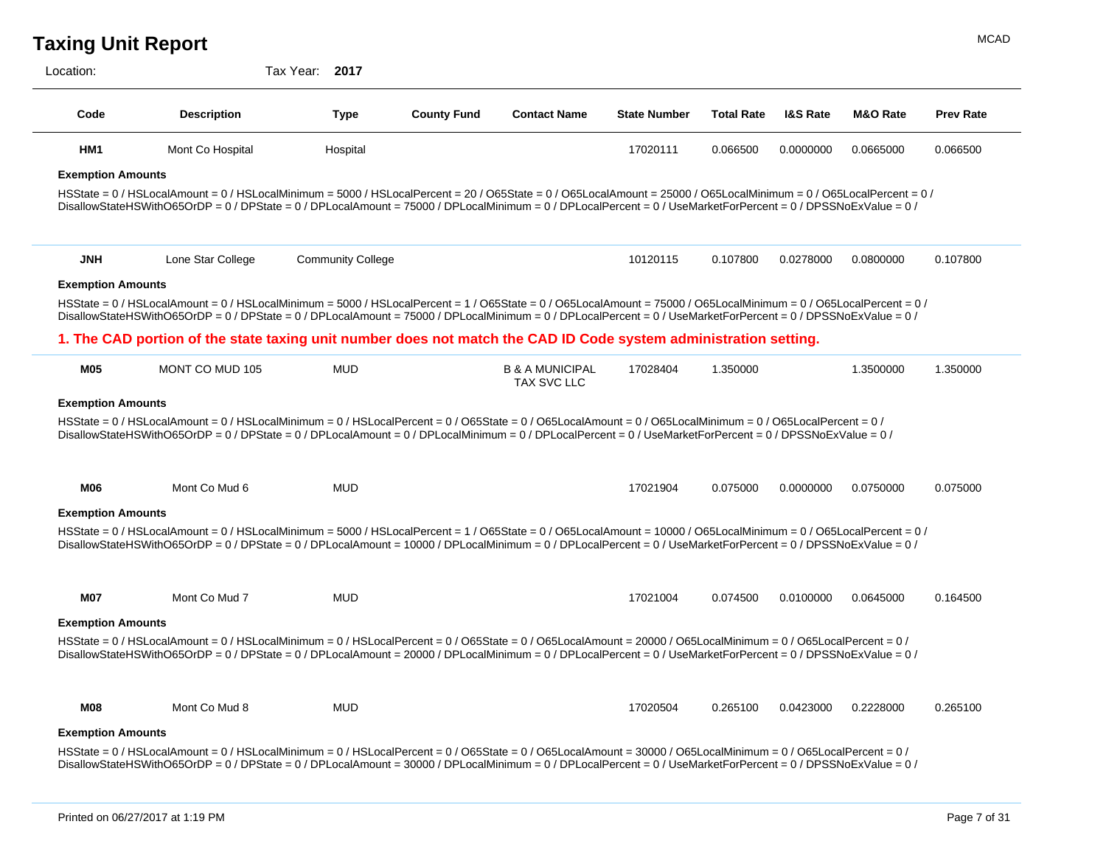**HM1** Mont Co Hospital Montes Hospital Hospital Montes (17020111 0.066500 0.0000000 0.066500 0.066500 0.066500 HSState = 0 / HSLocalAmount = 0 / HSLocalMinimum = 5000 / HSLocalPercent = 20 / O65State = 0 / O65LocalAmount = 25000 / O65LocalMinimum = 0 / O65LocalPercent = 0 / DisallowStateHSWithO65OrDP = 0 / DPState = 0 / DPLocalAmount = 75000 / DPLocalMinimum = 0 / DPLocalPercent = 0 / UseMarketForPercent = 0 / DPSSNoExValue = 0 / **Exemption Amounts** 0.0000000 0.0665000 **JNH** Lone Star College Community College TAMMY College TAMMY 10120115 0.107800 0.0278000 0.0800000 0.107800 HSState = 0 / HSLocalAmount = 0 / HSLocalMinimum = 5000 / HSLocalPercent = 1 / O65State = 0 / O65LocalAmount = 75000 / O65LocalMinimum = 0 / O65LocalPercent = 0 / DisallowStateHSWithO65OrDP = 0 / DPState = 0 / DPLocalAmount = 75000 / DPLocalMinimum = 0 / DPLocalPercent = 0 / UseMarketForPercent = 0 / DPSSNoExValue = 0 / **Exemption Amounts** 0.0800000 **1. The CAD portion of the state taxing unit number does not match the CAD ID Code system administration setting. M05** MONT CO MUD 105 MUD MUD B & A MUNICIPAL TAX SVC LLC 17028404 1.350000 1.350000 1.3500000 HSState = 0 / HSLocalAmount = 0 / HSLocalMinimum = 0 / HSLocalPercent = 0 / O65State = 0 / O65LocalAmount = 0 / O65LocalMinimum = 0 / O65LocalPercent = 0 / DisallowStateHSWithO65OrDP = 0 / DPState = 0 / DPLocalAmount = 0 / DPLocalMinimum = 0 / DPLocalPercent = 0 / UseMarketForPercent = 0 / DPSSNoExValue = 0 / **Exemption Amounts M06** Mont Co Mud 6 MUD MUD J7021904 0.075000 0.0000000 0.075000 0.075000 0.075000 0.075000 HSState = 0 / HSLocalAmount = 0 / HSLocalMinimum = 5000 / HSLocalPercent = 1 / O65State = 0 / O65LocalAmount = 10000 / O65LocalMinimum = 0 / O65LocalPercent = 0 / DisallowStateHSWithO65OrDP = 0 / DPState = 0 / DPLocalAmount = 10000 / DPLocalMinimum = 0 / DPLocalPercent = 0 / UseMarketForPercent = 0 / DPSSNoExValue = 0 / **Exemption Amounts** 0.0000000 0.0750000 **M07** Mont Co Mud 7 MUD JEANNIE SCOTT 17021004 0.074500 0.164500 HSState = 0 / HSLocalAmount = 0 / HSLocalMinimum = 0 / HSLocalPercent = 0 / O65State = 0 / O65LocalAmount = 20000 / O65LocalMinimum = 0 / O65LocalPercent = 0 / DisallowStateHSWithO65OrDP = 0 / DPState = 0 / DPLocalAmount = 20000 / DPLocalMinimum = 0 / DPLocalPercent = 0 / UseMarketForPercent = 0 / DPSSNoExValue = 0 / **Exemption Amounts** 0.0100000 0.0645000 **M08** Mont Co Mud 8 MUD MONT RESOLUTE 17020504 0.265100 0.0423000 0.2228000 0.265100 **Exemption Amounts** 0.0423000 0.2228000 **Code Description Type County Fund Contact Name State Number Total Rate Prev Rate** Location: Tax Year: **2017 I&S Rate M&O Rate**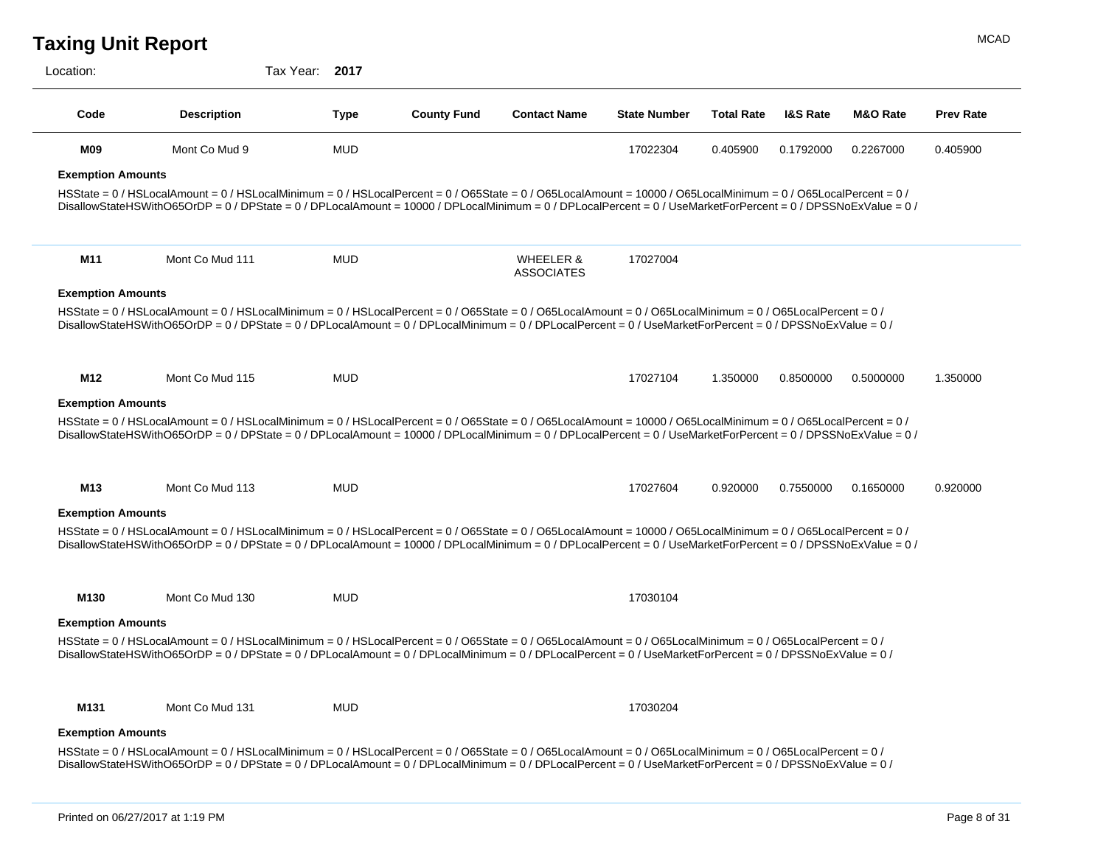**M09** Mont Co Mud 9 MUD TAMMY J MCRAE 17022304 0.405900 0.405900 HSState = 0 / HSLocalAmount = 0 / HSLocalMinimum = 0 / HSLocalPercent = 0 / O65State = 0 / O65LocalAmount = 10000 / O65LocalMinimum = 0 / O65LocalPercent = 0 / DisallowStateHSWithO65OrDP = 0 / DPState = 0 / DPLocalAmount = 10000 / DPLocalMinimum = 0 / DPLocalPercent = 0 / UseMarketForPercent = 0 / DPSSNoExValue = 0 / **Exemption Amounts** 0.1792000 0.2267000 **M11** Mont Co Mud 111 MUD MUD WHEELER & ASSOCIATES 17027004 HSState = 0 / HSLocalAmount = 0 / HSLocalMinimum = 0 / HSLocalPercent = 0 / O65State = 0 / O65LocalAmount = 0 / O65LocalMinimum = 0 / O65LocalPercent = 0 / DisallowStateHSWithO65OrDP = 0 / DPState = 0 / DPLocalAmount = 0 / DPLocalMinimum = 0 / DPLocalPercent = 0 / UseMarketForPercent = 0 / DPSSNoExValue = 0 / **Exemption Amounts M12** Mont Co Mud 115 MUD MUD RELAY RELAY RELAY RELAY RELAY RELAY RELAY RELAY RELAY RELAY RELAY RELAY RELAY RELA HSState = 0 / HSLocalAmount = 0 / HSLocalMinimum = 0 / HSLocalPercent = 0 / O65State = 0 / O65LocalAmount = 10000 / O65LocalMinimum = 0 / O65LocalPercent = 0 / DisallowStateHSWithO65OrDP = 0 / DPState = 0 / DPLocalAmount = 10000 / DPLocalMinimum = 0 / DPLocalPercent = 0 / UseMarketForPercent = 0 / DPSSNoExValue = 0 / **Exemption Amounts** 0.8500000 0.5000000 **M13** Mont Co Mud 113 MUD MUD NUD MUD And Museum 17027604 0.920000 0.7550000 0.1650000 0.920000 HSState = 0 / HSLocalAmount = 0 / HSLocalMinimum = 0 / HSLocalPercent = 0 / O65State = 0 / O65LocalAmount = 10000 / O65LocalMinimum = 0 / O65LocalPercent = 0 / DisallowStateHSWithO65OrDP = 0 / DPState = 0 / DPLocalAmount = 10000 / DPLocalMinimum = 0 / DPLocalPercent = 0 / UseMarketForPercent = 0 / DPSSNoExValue = 0 / **Exemption Amounts** 0.7550000 0.1650000 **M130 Mont Co Mud 130 MUD Wheeler & Association 17030104** HSState = 0 / HSLocalAmount = 0 / HSLocalMinimum = 0 / HSLocalPercent = 0 / O65State = 0 / O65LocalAmount = 0 / O65LocalMinimum = 0 / O65LocalPercent = 0 / DisallowStateHSWithO65OrDP = 0 / DPState = 0 / DPLocalAmount = 0 / DPLocalMinimum = 0 / DPLocalPercent = 0 / UseMarketForPercent = 0 / DPSSNoExValue = 0 / **Exemption Amounts M131 Mont Co Mud 131 MUD Wheeler & Association 17030204 Exemption Amounts Code Description Type County Fund Contact Name State Number Total Rate Prev Rate** Location: Tax Year: **2017 I&S Rate M&O Rate**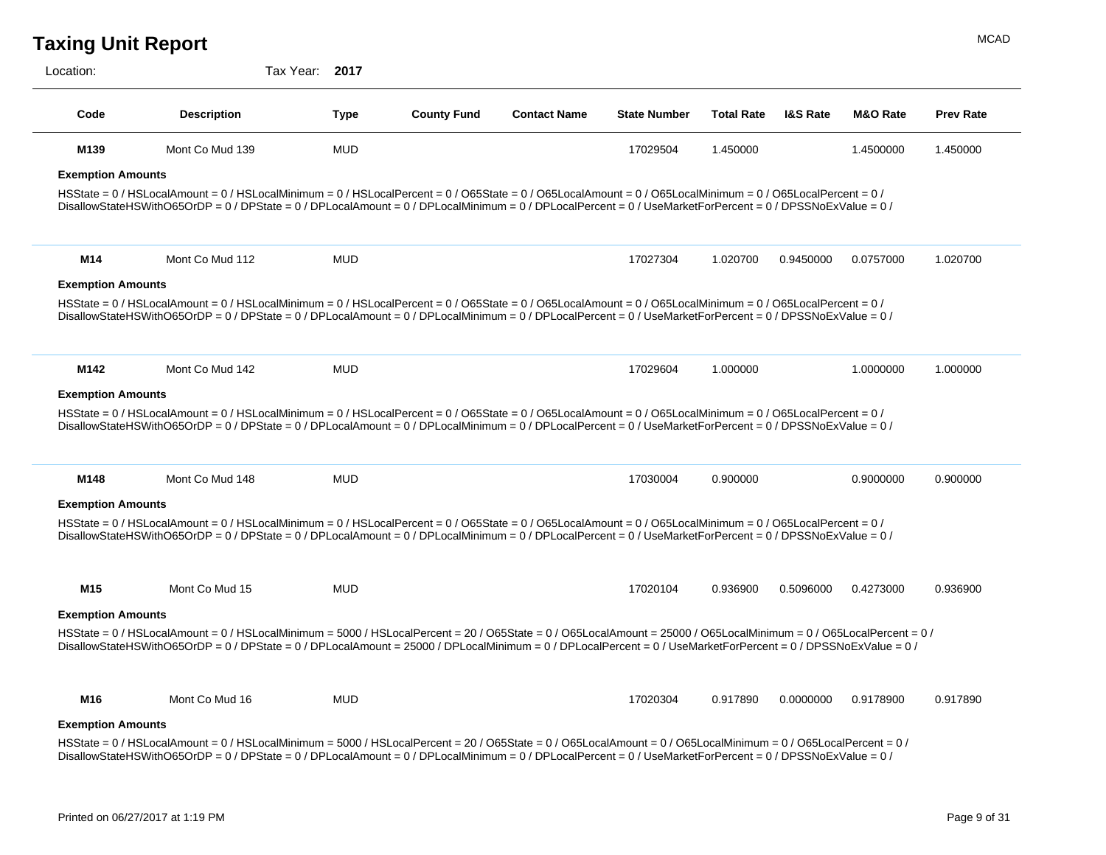Location: Tax Year: **2017**

| Code                     | <b>Description</b>                                                                                                                                                                                                                                                                                                                    | Type       | <b>County Fund</b> | <b>Contact Name</b> | <b>State Number</b> | <b>Total Rate</b> | <b>I&amp;S Rate</b> | <b>M&amp;O Rate</b> | <b>Prev Rate</b> |
|--------------------------|---------------------------------------------------------------------------------------------------------------------------------------------------------------------------------------------------------------------------------------------------------------------------------------------------------------------------------------|------------|--------------------|---------------------|---------------------|-------------------|---------------------|---------------------|------------------|
| M139                     | Mont Co Mud 139                                                                                                                                                                                                                                                                                                                       | <b>MUD</b> |                    |                     | 17029504            | 1.450000          |                     | 1.4500000           | 1.450000         |
| <b>Exemption Amounts</b> |                                                                                                                                                                                                                                                                                                                                       |            |                    |                     |                     |                   |                     |                     |                  |
|                          | HSState = 0 / HSLocalAmount = 0 / HSLocalMinimum = 0 / HSLocalPercent = 0 / O65State = 0 / O65LocalAmount = 0 / O65LocalMinimum = 0 / O65LocalPercent = 0 /<br>DisallowStateHSWithO65OrDP = 0 / DPState = 0 / DPLocalAmount = 0 / DPLocalMinimum = 0 / DPLocalPercent = 0 / UseMarketForPercent = 0 / DPSSNoExValue = 0 /             |            |                    |                     |                     |                   |                     |                     |                  |
| M14                      | Mont Co Mud 112                                                                                                                                                                                                                                                                                                                       | <b>MUD</b> |                    |                     | 17027304            | 1.020700          | 0.9450000           | 0.0757000           | 1.020700         |
| <b>Exemption Amounts</b> |                                                                                                                                                                                                                                                                                                                                       |            |                    |                     |                     |                   |                     |                     |                  |
|                          | HSState = 0 / HSLocalAmount = 0 / HSLocalMinimum = 0 / HSLocalPercent = 0 / O65State = 0 / O65LocalAmount = 0 / O65LocalMinimum = 0 / O65LocalPercent = 0 /<br>DisallowStateHSWithO65OrDP = 0 / DPState = 0 / DPLocalAmount = 0 / DPLocalMinimum = 0 / DPLocalPercent = 0 / UseMarketForPercent = 0 / DPSSNoExValue = 0 /             |            |                    |                     |                     |                   |                     |                     |                  |
| M142                     | Mont Co Mud 142                                                                                                                                                                                                                                                                                                                       | <b>MUD</b> |                    |                     | 17029604            | 1.000000          |                     | 1.0000000           | 1.000000         |
| <b>Exemption Amounts</b> |                                                                                                                                                                                                                                                                                                                                       |            |                    |                     |                     |                   |                     |                     |                  |
|                          | HSState = 0 / HSLocalAmount = 0 / HSLocalMinimum = 0 / HSLocalPercent = 0 / O65State = 0 / O65LocalAmount = 0 / O65LocalMinimum = 0 / O65LocalPercent = 0 /<br>DisallowStateHSWithO65OrDP = 0 / DPState = 0 / DPLocalAmount = 0 / DPLocalMinimum = 0 / DPLocalPercent = 0 / UseMarketForPercent = 0 / DPSSNoExValue = 0 /             |            |                    |                     |                     |                   |                     |                     |                  |
| M148                     | Mont Co Mud 148                                                                                                                                                                                                                                                                                                                       | <b>MUD</b> |                    |                     | 17030004            | 0.900000          |                     | 0.9000000           | 0.900000         |
| <b>Exemption Amounts</b> |                                                                                                                                                                                                                                                                                                                                       |            |                    |                     |                     |                   |                     |                     |                  |
|                          | HSState = 0 / HSLocalAmount = 0 / HSLocalMinimum = 0 / HSLocalPercent = 0 / O65State = 0 / O65LocalAmount = 0 / O65LocalMinimum = 0 / O65LocalPercent = 0 /<br>DisallowStateHSWithO65OrDP = 0 / DPState = 0 / DPLocalAmount = 0 / DPLocalMinimum = 0 / DPLocalPercent = 0 / UseMarketForPercent = 0 / DPSSNoExValue = 0 /             |            |                    |                     |                     |                   |                     |                     |                  |
| M <sub>15</sub>          | Mont Co Mud 15                                                                                                                                                                                                                                                                                                                        | <b>MUD</b> |                    |                     | 17020104            | 0.936900          | 0.5096000           | 0.4273000           | 0.936900         |
| <b>Exemption Amounts</b> |                                                                                                                                                                                                                                                                                                                                       |            |                    |                     |                     |                   |                     |                     |                  |
|                          | HSState = 0 / HSLocalAmount = 0 / HSLocalMinimum = 5000 / HSLocalPercent = 20 / O65State = 0 / O65LocalAmount = 25000 / O65LocalMinimum = 0 / O65LocalPercent = 0 /<br>DisallowStateHSWithO65OrDP = 0 / DPState = 0 / DPLocalAmount = 25000 / DPLocalMinimum = 0 / DPLocalPercent = 0 / UseMarketForPercent = 0 / DPSSNoExValue = 0 / |            |                    |                     |                     |                   |                     |                     |                  |
| M16                      | Mont Co Mud 16                                                                                                                                                                                                                                                                                                                        | <b>MUD</b> |                    |                     | 17020304            | 0.917890          | 0.0000000           | 0.9178900           | 0.917890         |
| <b>Exemption Amounts</b> |                                                                                                                                                                                                                                                                                                                                       |            |                    |                     |                     |                   |                     |                     |                  |
|                          | HSState = 0 / HSLocalAmount = 0 / HSLocalMinimum = 5000 / HSLocalPercent = 20 / O65State = 0 / O65LocalAmount = 0 / O65LocalMinimum = 0 / O65LocalPercent = 0 /                                                                                                                                                                       |            |                    |                     |                     |                   |                     |                     |                  |

DisallowStateHSWithO65OrDP = 0 / DPState = 0 / DPLocalAmount = 0 / DPLocalMinimum = 0 / DPLocalPercent = 0 / UseMarketForPercent = 0 / DPSSNoExValue = 0 /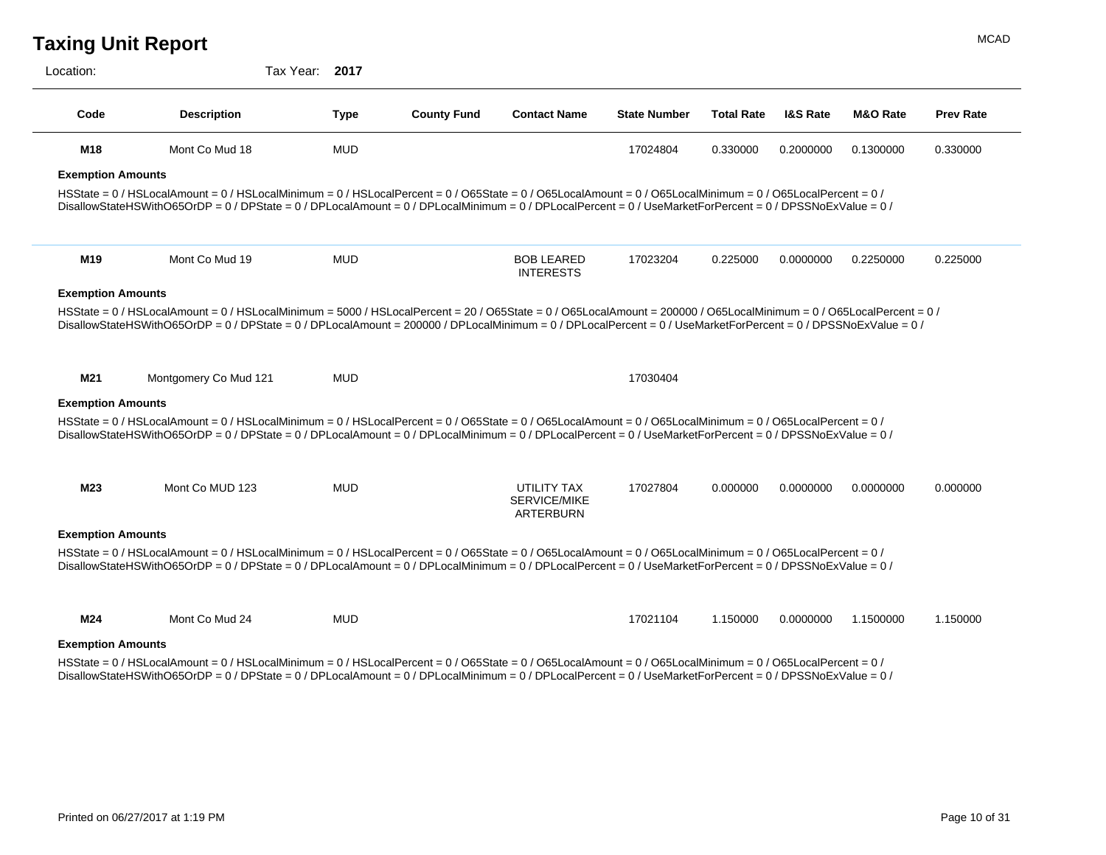Location: Tax Year: **2017**

| Code                     | <b>Description</b>                                                                                                                                                                                                                                                                                                                      | <b>Type</b> | <b>County Fund</b> | <b>Contact Name</b>                             | <b>State Number</b> | <b>Total Rate</b> | <b>I&amp;S Rate</b> | <b>M&amp;O Rate</b> | <b>Prev Rate</b> |
|--------------------------|-----------------------------------------------------------------------------------------------------------------------------------------------------------------------------------------------------------------------------------------------------------------------------------------------------------------------------------------|-------------|--------------------|-------------------------------------------------|---------------------|-------------------|---------------------|---------------------|------------------|
| M18                      | Mont Co Mud 18                                                                                                                                                                                                                                                                                                                          | <b>MUD</b>  |                    |                                                 | 17024804            | 0.330000          | 0.2000000           | 0.1300000           | 0.330000         |
| <b>Exemption Amounts</b> |                                                                                                                                                                                                                                                                                                                                         |             |                    |                                                 |                     |                   |                     |                     |                  |
|                          | HSState = 0 / HSLocalAmount = 0 / HSLocalMinimum = 0 / HSLocalPercent = 0 / O65State = 0 / O65LocalAmount = 0 / O65LocalMinimum = 0 / O65LocalPercent = 0 /<br>DisallowStateHSWithO65OrDP = 0 / DPState = 0 / DPLocalAmount = 0 / DPLocalMinimum = 0 / DPLocalPercent = 0 / UseMarketForPercent = 0 / DPSSNoExValue = 0 /               |             |                    |                                                 |                     |                   |                     |                     |                  |
| M19                      | Mont Co Mud 19                                                                                                                                                                                                                                                                                                                          | <b>MUD</b>  |                    | <b>BOB LEARED</b><br><b>INTERESTS</b>           | 17023204            | 0.225000          | 0.0000000           | 0.2250000           | 0.225000         |
| <b>Exemption Amounts</b> |                                                                                                                                                                                                                                                                                                                                         |             |                    |                                                 |                     |                   |                     |                     |                  |
|                          | HSState = 0 / HSLocalAmount = 0 / HSLocalMinimum = 5000 / HSLocalPercent = 20 / O65State = 0 / O65LocalAmount = 200000 / O65LocalMinimum = 0 / O65LocalPercent = 0 /<br>DisallowStateHSWithO65OrDP = 0 / DPState = 0 / DPLocalAmount = 200000 / DPLocalMinimum = 0 / DPLocalPercent = 0 / UseMarketForPercent = 0 / DPSSNoExValue = 0 / |             |                    |                                                 |                     |                   |                     |                     |                  |
| M21                      | Montgomery Co Mud 121                                                                                                                                                                                                                                                                                                                   | <b>MUD</b>  |                    |                                                 | 17030404            |                   |                     |                     |                  |
| <b>Exemption Amounts</b> |                                                                                                                                                                                                                                                                                                                                         |             |                    |                                                 |                     |                   |                     |                     |                  |
|                          | HSState = 0 / HSLocalAmount = 0 / HSLocalMinimum = 0 / HSLocalPercent = 0 / O65State = 0 / O65LocalAmount = 0 / O65LocalMinimum = 0 / O65LocalPercent = 0 /<br>DisallowStateHSWithO65OrDP = 0 / DPState = 0 / DPLocalAmount = 0 / DPLocalMinimum = 0 / DPLocalPercent = 0 / UseMarketForPercent = 0 / DPSSNoExValue = 0 /               |             |                    |                                                 |                     |                   |                     |                     |                  |
| M23                      | Mont Co MUD 123                                                                                                                                                                                                                                                                                                                         | <b>MUD</b>  |                    | UTILITY TAX<br><b>SERVICE/MIKE</b><br>ARTERBURN | 17027804            | 0.000000          | 0.0000000           | 0.0000000           | 0.000000         |
| <b>Exemption Amounts</b> |                                                                                                                                                                                                                                                                                                                                         |             |                    |                                                 |                     |                   |                     |                     |                  |
|                          | HSState = 0 / HSLocalAmount = 0 / HSLocalMinimum = 0 / HSLocalPercent = 0 / O65State = 0 / O65LocalAmount = 0 / O65LocalMinimum = 0 / O65LocalPercent = 0 /<br>DisallowStateHSWithO65OrDP = 0 / DPState = 0 / DPLocalAmount = 0 / DPLocalMinimum = 0 / DPLocalPercent = 0 / UseMarketForPercent = 0 / DPSSNoExValue = 0 /               |             |                    |                                                 |                     |                   |                     |                     |                  |
| M24                      | Mont Co Mud 24                                                                                                                                                                                                                                                                                                                          | <b>MUD</b>  |                    |                                                 | 17021104            | 1.150000          | 0.0000000           | 1.1500000           | 1.150000         |
| <b>Exemption Amounts</b> |                                                                                                                                                                                                                                                                                                                                         |             |                    |                                                 |                     |                   |                     |                     |                  |
|                          | HSState = 0 / HSLocalAmount = 0 / HSLocalMinimum = 0 / HSLocalPercent = 0 / O65State = 0 / O65LocalAmount = 0 / O65LocalMinimum = 0 / O65LocalPercent = 0 /                                                                                                                                                                             |             |                    |                                                 |                     |                   |                     |                     |                  |

DisallowStateHSWithO65OrDP = 0 / DPState = 0 / DPLocalAmount = 0 / DPLocalMinimum = 0 / DPLocalPercent = 0 / UseMarketForPercent = 0 / DPSSNoExValue = 0 /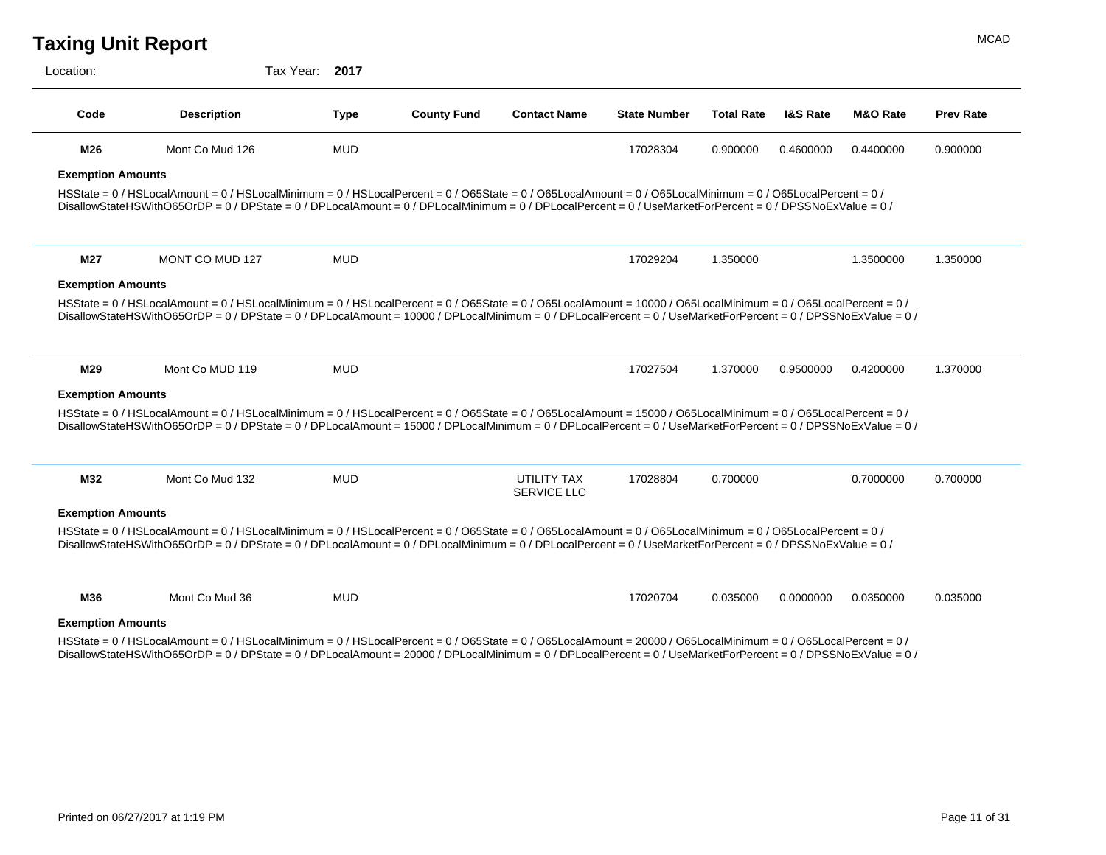Location: Tax Year: **2017**

| Code                     | <b>Description</b>                                                                                                                                                                                                                                                                                                                | <b>Type</b> | <b>County Fund</b> | <b>Contact Name</b>               | <b>State Number</b> | <b>Total Rate</b> | <b>I&amp;S Rate</b> | <b>M&amp;O Rate</b> | <b>Prev Rate</b> |
|--------------------------|-----------------------------------------------------------------------------------------------------------------------------------------------------------------------------------------------------------------------------------------------------------------------------------------------------------------------------------|-------------|--------------------|-----------------------------------|---------------------|-------------------|---------------------|---------------------|------------------|
| M26                      | Mont Co Mud 126                                                                                                                                                                                                                                                                                                                   | <b>MUD</b>  |                    |                                   | 17028304            | 0.900000          | 0.4600000           | 0.4400000           | 0.900000         |
| <b>Exemption Amounts</b> |                                                                                                                                                                                                                                                                                                                                   |             |                    |                                   |                     |                   |                     |                     |                  |
|                          | HSState = 0 / HSLocalAmount = 0 / HSLocalMinimum = 0 / HSLocalPercent = 0 / O65State = 0 / O65LocalAmount = 0 / O65LocalMinimum = 0 / O65LocalPercent = 0 /<br>DisallowStateHSWithO65OrDP = 0 / DPState = 0 / DPLocalAmount = 0 / DPLocalMinimum = 0 / DPLocalPercent = 0 / UseMarketForPercent = 0 / DPSSNoExValue = 0 /         |             |                    |                                   |                     |                   |                     |                     |                  |
| M27                      | MONT CO MUD 127                                                                                                                                                                                                                                                                                                                   | <b>MUD</b>  |                    |                                   | 17029204            | 1.350000          |                     | 1.3500000           | 1.350000         |
| <b>Exemption Amounts</b> |                                                                                                                                                                                                                                                                                                                                   |             |                    |                                   |                     |                   |                     |                     |                  |
|                          | HSState = 0 / HSLocalAmount = 0 / HSLocalMinimum = 0 / HSLocalPercent = 0 / O65State = 0 / O65LocalAmount = 10000 / O65LocalMinimum = 0 / O65LocalPercent = 0 /<br>DisallowStateHSWithO65OrDP = 0 / DPState = 0 / DPLocalAmount = 10000 / DPLocalMinimum = 0 / DPLocalPercent = 0 / UseMarketForPercent = 0 / DPSSNoExValue = 0 / |             |                    |                                   |                     |                   |                     |                     |                  |
| M29                      | Mont Co MUD 119                                                                                                                                                                                                                                                                                                                   | <b>MUD</b>  |                    |                                   | 17027504            | 1.370000          | 0.9500000           | 0.4200000           | 1.370000         |
| <b>Exemption Amounts</b> |                                                                                                                                                                                                                                                                                                                                   |             |                    |                                   |                     |                   |                     |                     |                  |
|                          | HSState = 0 / HSLocalAmount = 0 / HSLocalMinimum = 0 / HSLocalPercent = 0 / O65State = 0 / O65LocalAmount = 15000 / O65LocalMinimum = 0 / O65LocalPercent = 0 /<br>DisallowStateHSWithO65OrDP = 0 / DPState = 0 / DPLocalAmount = 15000 / DPLocalMinimum = 0 / DPLocalPercent = 0 / UseMarketForPercent = 0 / DPSSNoExValue = 0 / |             |                    |                                   |                     |                   |                     |                     |                  |
| M32                      | Mont Co Mud 132                                                                                                                                                                                                                                                                                                                   | <b>MUD</b>  |                    | UTILITY TAX<br><b>SERVICE LLC</b> | 17028804            | 0.700000          |                     | 0.7000000           | 0.700000         |
| <b>Exemption Amounts</b> |                                                                                                                                                                                                                                                                                                                                   |             |                    |                                   |                     |                   |                     |                     |                  |
|                          | HSState = 0 / HSLocalAmount = 0 / HSLocalMinimum = 0 / HSLocalPercent = 0 / O65State = 0 / O65LocalAmount = 0 / O65LocalMinimum = 0 / O65LocalPercent = 0 /<br>DisallowStateHSWithO65OrDP = 0 / DPState = 0 / DPLocalAmount = 0 / DPLocalMinimum = 0 / DPLocalPercent = 0 / UseMarketForPercent = 0 / DPSSNoExValue = 0 /         |             |                    |                                   |                     |                   |                     |                     |                  |
| M36                      | Mont Co Mud 36                                                                                                                                                                                                                                                                                                                    | <b>MUD</b>  |                    |                                   | 17020704            | 0.035000          | 0.0000000           | 0.0350000           | 0.035000         |
| <b>Exemption Amounts</b> |                                                                                                                                                                                                                                                                                                                                   |             |                    |                                   |                     |                   |                     |                     |                  |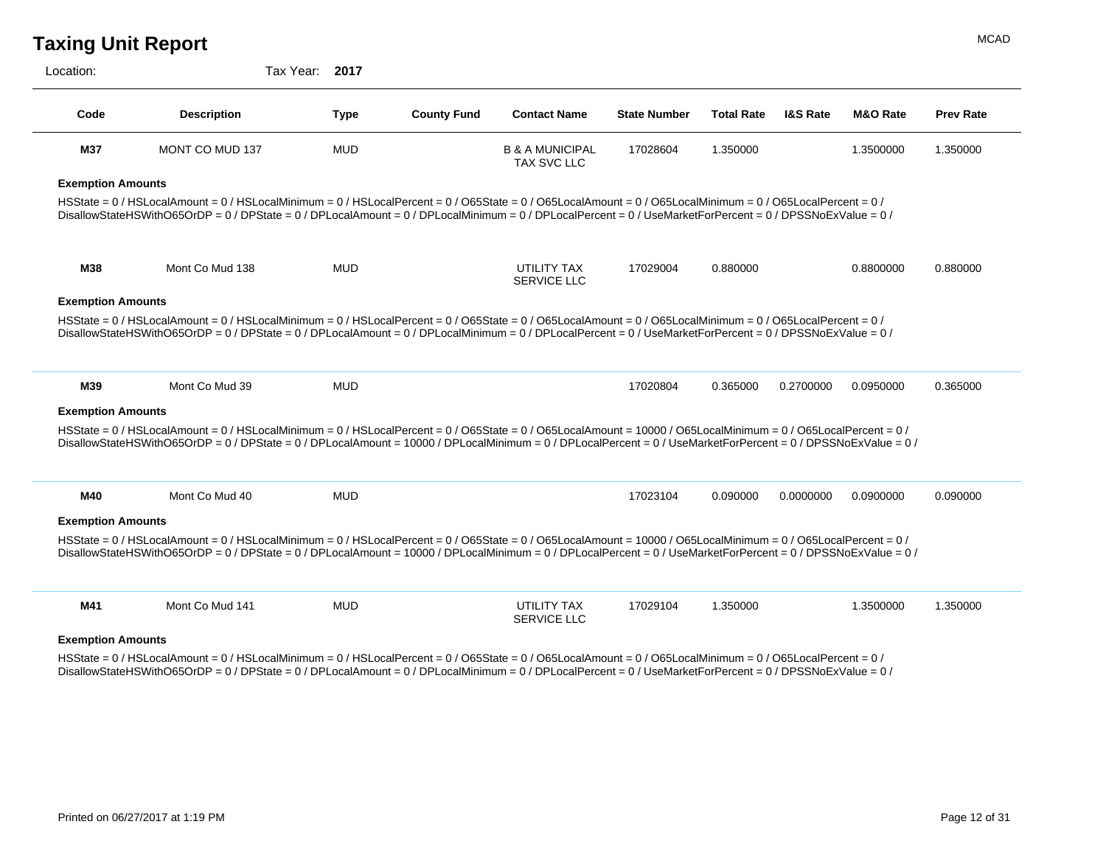Location: Tax Year: **2017**

| Code                                                 | <b>Description</b>                                                                                                                                                                                                                                                                                                                | <b>Type</b> | <b>County Fund</b> | <b>Contact Name</b>                              | <b>State Number</b> | <b>Total Rate</b> | <b>I&amp;S Rate</b> | M&O Rate  | <b>Prev Rate</b> |
|------------------------------------------------------|-----------------------------------------------------------------------------------------------------------------------------------------------------------------------------------------------------------------------------------------------------------------------------------------------------------------------------------|-------------|--------------------|--------------------------------------------------|---------------------|-------------------|---------------------|-----------|------------------|
| M37                                                  | MONT CO MUD 137                                                                                                                                                                                                                                                                                                                   | <b>MUD</b>  |                    | <b>B &amp; A MUNICIPAL</b><br><b>TAX SVC LLC</b> | 17028604            | 1.350000          |                     | 1.3500000 | 1.350000         |
| <b>Exemption Amounts</b>                             |                                                                                                                                                                                                                                                                                                                                   |             |                    |                                                  |                     |                   |                     |           |                  |
|                                                      | HSState = 0 / HSLocalAmount = 0 / HSLocalMinimum = 0 / HSLocalPercent = 0 / O65State = 0 / O65LocalAmount = 0 / O65LocalMinimum = 0 / O65LocalPercent = 0 /<br>DisallowStateHSWithO65OrDP = 0 / DPState = 0 / DPLocalAmount = 0 / DPLocalMinimum = 0 / DPLocalPercent = 0 / UseMarketForPercent = 0 / DPSSNoExValue = 0 /         |             |                    |                                                  |                     |                   |                     |           |                  |
| M38                                                  | Mont Co Mud 138                                                                                                                                                                                                                                                                                                                   | <b>MUD</b>  |                    | UTILITY TAX<br><b>SERVICE LLC</b>                | 17029004            | 0.880000          |                     | 0.8800000 | 0.880000         |
| <b>Exemption Amounts</b>                             |                                                                                                                                                                                                                                                                                                                                   |             |                    |                                                  |                     |                   |                     |           |                  |
|                                                      | HSState = 0 / HSLocalAmount = 0 / HSLocalMinimum = 0 / HSLocalPercent = 0 / O65State = 0 / O65LocalAmount = 0 / O65LocalMinimum = 0 / O65LocalPercent = 0 /<br>DisallowStateHSWithO65OrDP = 0 / DPState = 0 / DPLocalAmount = 0 / DPLocalMinimum = 0 / DPLocalPercent = 0 / UseMarketForPercent = 0 / DPSSNoExValue = 0 /         |             |                    |                                                  |                     |                   |                     |           |                  |
|                                                      |                                                                                                                                                                                                                                                                                                                                   |             |                    |                                                  |                     |                   |                     |           |                  |
| M39                                                  | Mont Co Mud 39                                                                                                                                                                                                                                                                                                                    | <b>MUD</b>  |                    |                                                  | 17020804            | 0.365000          | 0.2700000           | 0.0950000 | 0.365000         |
|                                                      |                                                                                                                                                                                                                                                                                                                                   |             |                    |                                                  |                     |                   |                     |           |                  |
|                                                      | HSState = 0 / HSLocalAmount = 0 / HSLocalMinimum = 0 / HSLocalPercent = 0 / O65State = 0 / O65LocalAmount = 10000 / O65LocalMinimum = 0 / O65LocalPercent = 0 /<br>DisallowStateHSWithO65OrDP = 0 / DPState = 0 / DPLocalAmount = 10000 / DPLocalMinimum = 0 / DPLocalPercent = 0 / UseMarketForPercent = 0 / DPSSNoExValue = 0 / |             |                    |                                                  |                     |                   |                     |           |                  |
| M40                                                  | Mont Co Mud 40                                                                                                                                                                                                                                                                                                                    | <b>MUD</b>  |                    |                                                  | 17023104            | 0.090000          | 0.0000000           | 0.0900000 |                  |
|                                                      |                                                                                                                                                                                                                                                                                                                                   |             |                    |                                                  |                     |                   |                     |           |                  |
| <b>Exemption Amounts</b><br><b>Exemption Amounts</b> | HSState = 0 / HSLocalAmount = 0 / HSLocalMinimum = 0 / HSLocalPercent = 0 / O65State = 0 / O65LocalAmount = 10000 / O65LocalMinimum = 0 / O65LocalPercent = 0 /<br>DisallowStateHSWithO65OrDP = 0 / DPState = 0 / DPLocalAmount = 10000 / DPLocalMinimum = 0 / DPLocalPercent = 0 / UseMarketForPercent = 0 / DPSSNoExValue = 0 / |             |                    |                                                  |                     |                   |                     |           | 0.090000         |
| M41                                                  | Mont Co Mud 141                                                                                                                                                                                                                                                                                                                   | <b>MUD</b>  |                    | UTILITY TAX<br><b>SERVICE LLC</b>                | 17029104            | 1.350000          |                     | 1.3500000 | 1.350000         |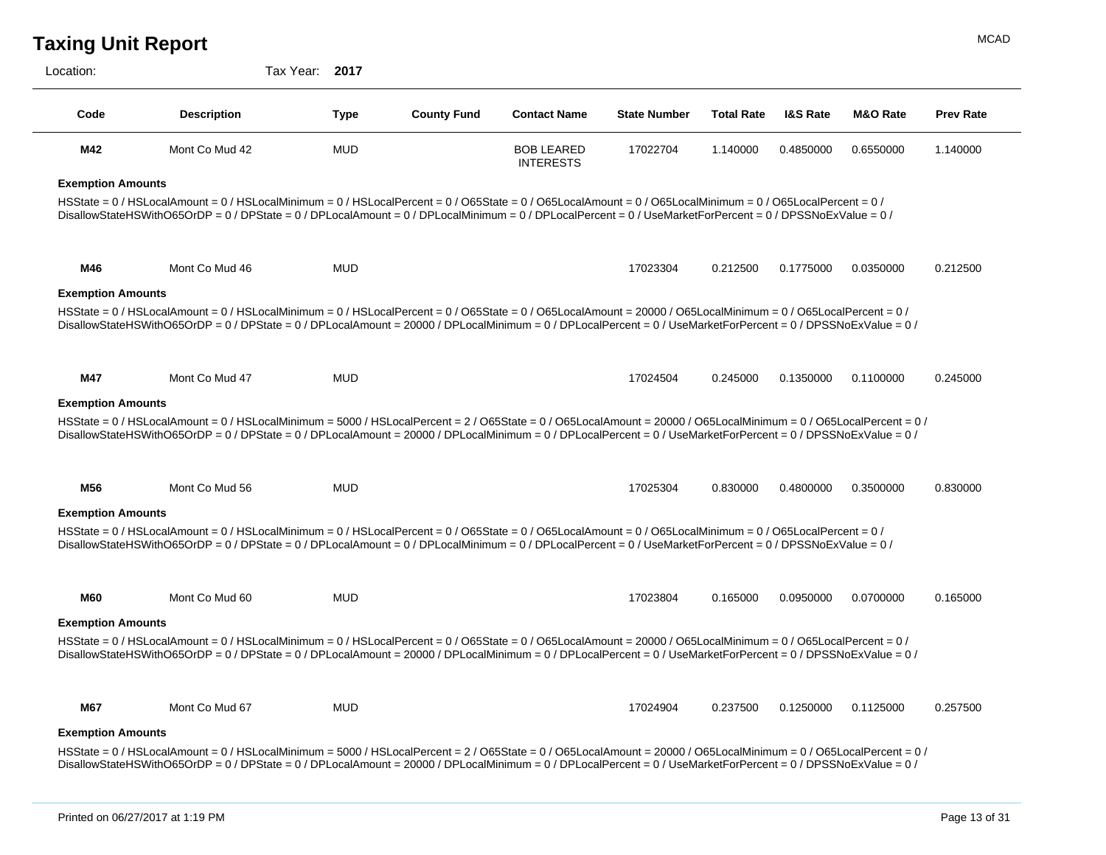Location: Tax Year: **2017**

| Code                     | <b>Description</b>                                                                                                                                                                                                                                                                                                                   | Type       | <b>County Fund</b> | <b>Contact Name</b>                   | <b>State Number</b> | <b>Total Rate</b> | <b>I&amp;S Rate</b> | M&O Rate  | <b>Prev Rate</b> |
|--------------------------|--------------------------------------------------------------------------------------------------------------------------------------------------------------------------------------------------------------------------------------------------------------------------------------------------------------------------------------|------------|--------------------|---------------------------------------|---------------------|-------------------|---------------------|-----------|------------------|
| M42                      | Mont Co Mud 42                                                                                                                                                                                                                                                                                                                       | <b>MUD</b> |                    | <b>BOB LEARED</b><br><b>INTERESTS</b> | 17022704            | 1.140000          | 0.4850000           | 0.6550000 | 1.140000         |
| <b>Exemption Amounts</b> |                                                                                                                                                                                                                                                                                                                                      |            |                    |                                       |                     |                   |                     |           |                  |
|                          | HSState = 0 / HSLocalAmount = 0 / HSLocalMinimum = 0 / HSLocalPercent = 0 / O65State = 0 / O65LocalAmount = 0 / O65LocalMinimum = 0 / O65LocalPercent = 0 /<br>DisallowStateHSWithO65OrDP = 0 / DPState = 0 / DPLocalAmount = 0 / DPLocalMinimum = 0 / DPLocalPercent = 0 / UseMarketForPercent = 0 / DPSSNoExValue = 0 /            |            |                    |                                       |                     |                   |                     |           |                  |
| M46                      | Mont Co Mud 46                                                                                                                                                                                                                                                                                                                       | <b>MUD</b> |                    |                                       | 17023304            | 0.212500          | 0.1775000           | 0.0350000 | 0.212500         |
| <b>Exemption Amounts</b> |                                                                                                                                                                                                                                                                                                                                      |            |                    |                                       |                     |                   |                     |           |                  |
|                          | HSState = 0 / HSLocalAmount = 0 / HSLocalMinimum = 0 / HSLocalPercent = 0 / O65State = 0 / O65LocalAmount = 20000 / O65LocalMinimum = 0 / O65LocalPercent = 0 /<br>DisallowStateHSWithO65OrDP = 0 / DPState = 0 / DPLocalAmount = 20000 / DPLocalMinimum = 0 / DPLocalPercent = 0 / UseMarketForPercent = 0 / DPSSNoExValue = 0 /    |            |                    |                                       |                     |                   |                     |           |                  |
| <b>M47</b>               | Mont Co Mud 47                                                                                                                                                                                                                                                                                                                       | <b>MUD</b> |                    |                                       | 17024504            | 0.245000          | 0.1350000           | 0.1100000 | 0.245000         |
| <b>Exemption Amounts</b> |                                                                                                                                                                                                                                                                                                                                      |            |                    |                                       |                     |                   |                     |           |                  |
|                          | HSState = 0 / HSLocalAmount = 0 / HSLocalMinimum = 5000 / HSLocalPercent = 2 / O65State = 0 / O65LocalAmount = 20000 / O65LocalMinimum = 0 / O65LocalPercent = 0 /<br>DisallowStateHSWithO65OrDP = 0 / DPState = 0 / DPLocalAmount = 20000 / DPLocalMinimum = 0 / DPLocalPercent = 0 / UseMarketForPercent = 0 / DPSSNoExValue = 0 / |            |                    |                                       |                     |                   |                     |           |                  |
| M56                      | Mont Co Mud 56                                                                                                                                                                                                                                                                                                                       | <b>MUD</b> |                    |                                       | 17025304            | 0.830000          | 0.4800000           | 0.3500000 | 0.830000         |
| <b>Exemption Amounts</b> |                                                                                                                                                                                                                                                                                                                                      |            |                    |                                       |                     |                   |                     |           |                  |
|                          | HSState = 0 / HSLocalAmount = 0 / HSLocalMinimum = 0 / HSLocalPercent = 0 / O65State = 0 / O65LocalAmount = 0 / O65LocalMinimum = 0 / O65LocalPercent = 0 /<br>DisallowStateHSWithO65OrDP = 0 / DPState = 0 / DPLocalAmount = 0 / DPLocalMinimum = 0 / DPLocalPercent = 0 / UseMarketForPercent = 0 / DPSSNoExValue = 0 /            |            |                    |                                       |                     |                   |                     |           |                  |
| <b>M60</b>               | Mont Co Mud 60                                                                                                                                                                                                                                                                                                                       | <b>MUD</b> |                    |                                       | 17023804            | 0.165000          | 0.0950000           | 0.0700000 | 0.165000         |
| <b>Exemption Amounts</b> |                                                                                                                                                                                                                                                                                                                                      |            |                    |                                       |                     |                   |                     |           |                  |
|                          | HSState = 0 / HSLocalAmount = 0 / HSLocalMinimum = 0 / HSLocalPercent = 0 / O65State = 0 / O65LocalAmount = 20000 / O65LocalMinimum = 0 / O65LocalPercent = 0 /<br>DisallowStateHSWithO65OrDP = 0 / DPState = 0 / DPLocalAmount = 20000 / DPLocalMinimum = 0 / DPLocalPercent = 0 / UseMarketForPercent = 0 / DPSSNoExValue = 0 /    |            |                    |                                       |                     |                   |                     |           |                  |
| <b>M67</b>               | Mont Co Mud 67                                                                                                                                                                                                                                                                                                                       | <b>MUD</b> |                    |                                       | 17024904            | 0.237500          | 0.1250000           | 0.1125000 | 0.257500         |
| <b>Exemption Amounts</b> |                                                                                                                                                                                                                                                                                                                                      |            |                    |                                       |                     |                   |                     |           |                  |
|                          | HSState = 0 / HSLocalAmount = 0 / HSLocalMinimum = 5000 / HSLocalPercent = 2 / O65State = 0 / O65LocalAmount = 20000 / O65LocalMinimum = 0 / O65LocalPercent = 0 /<br>DisallowStateHSWithO65OrDP = 0 / DPState = 0 / DPLocalAmount = 20000 / DPLocalMinimum = 0 / DPLocalPercent = 0 / UseMarketForPercent = 0 / DPSSNoExValue = 0 / |            |                    |                                       |                     |                   |                     |           |                  |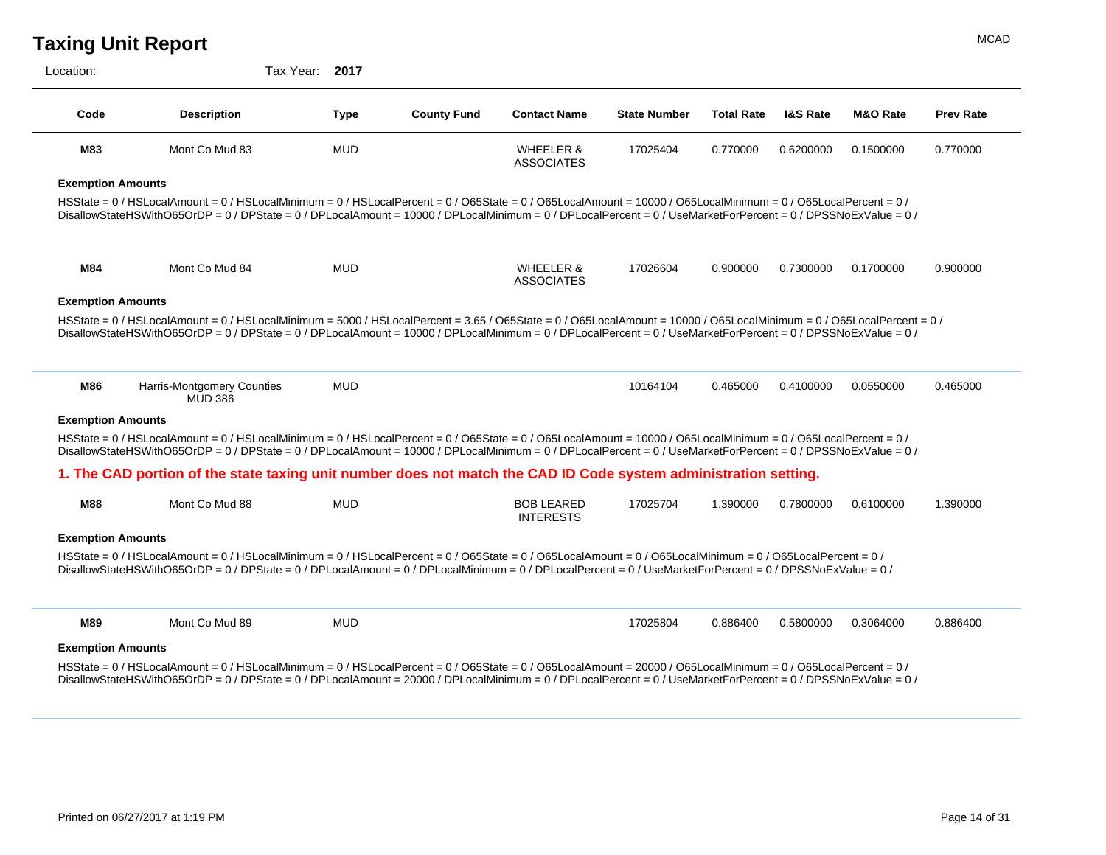$\overline{\phantom{a}}$ 

 $\overline{\phantom{0}}$ 

Location: Tax Year: **2017**

| Code                     | <b>Description</b>                                                                                                                                                                                                                                                                                                                      | <b>Type</b> | <b>County Fund</b> | <b>Contact Name</b>                   | <b>State Number</b> | <b>Total Rate</b> | <b>I&amp;S Rate</b> | M&O Rate  | <b>Prev Rate</b> |
|--------------------------|-----------------------------------------------------------------------------------------------------------------------------------------------------------------------------------------------------------------------------------------------------------------------------------------------------------------------------------------|-------------|--------------------|---------------------------------------|---------------------|-------------------|---------------------|-----------|------------------|
| M83                      | Mont Co Mud 83                                                                                                                                                                                                                                                                                                                          | <b>MUD</b>  |                    | WHEELER &<br><b>ASSOCIATES</b>        | 17025404            | 0.770000          | 0.6200000           | 0.1500000 | 0.770000         |
| <b>Exemption Amounts</b> |                                                                                                                                                                                                                                                                                                                                         |             |                    |                                       |                     |                   |                     |           |                  |
|                          | HSState = 0 / HSLocalAmount = 0 / HSLocalMinimum = 0 / HSLocalPercent = 0 / O65State = 0 / O65LocalAmount = 10000 / O65LocalMinimum = 0 / O65LocalPercent = 0 /<br>DisallowStateHSWithO65OrDP = 0 / DPState = 0 / DPLocalAmount = 10000 / DPLocalMinimum = 0 / DPLocalPercent = 0 / UseMarketForPercent = 0 / DPSSNoExValue = 0 /       |             |                    |                                       |                     |                   |                     |           |                  |
| M84                      | Mont Co Mud 84                                                                                                                                                                                                                                                                                                                          | <b>MUD</b>  |                    | WHEELER &<br><b>ASSOCIATES</b>        | 17026604            | 0.900000          | 0.7300000           | 0.1700000 | 0.900000         |
| <b>Exemption Amounts</b> |                                                                                                                                                                                                                                                                                                                                         |             |                    |                                       |                     |                   |                     |           |                  |
|                          | HSState = 0 / HSLocalAmount = 0 / HSLocalMinimum = 5000 / HSLocalPercent = 3.65 / O65State = 0 / O65LocalAmount = 10000 / O65LocalMinimum = 0 / O65LocalPercent = 0 /<br>DisallowStateHSWithO65OrDP = 0 / DPState = 0 / DPLocalAmount = 10000 / DPLocalMinimum = 0 / DPLocalPercent = 0 / UseMarketForPercent = 0 / DPSSNoExValue = 0 / |             |                    |                                       |                     |                   |                     |           |                  |
|                          |                                                                                                                                                                                                                                                                                                                                         |             |                    |                                       |                     |                   |                     |           |                  |
|                          |                                                                                                                                                                                                                                                                                                                                         |             |                    |                                       |                     |                   |                     |           |                  |
| <b>M86</b>               | Harris-Montgomery Counties<br><b>MUD 386</b>                                                                                                                                                                                                                                                                                            | <b>MUD</b>  |                    |                                       | 10164104            | 0.465000          | 0.4100000           | 0.0550000 | 0.465000         |
| <b>Exemption Amounts</b> |                                                                                                                                                                                                                                                                                                                                         |             |                    |                                       |                     |                   |                     |           |                  |
|                          | HSState = 0 / HSLocalAmount = 0 / HSLocalMinimum = 0 / HSLocalPercent = 0 / O65State = 0 / O65LocalAmount = 10000 / O65LocalMinimum = 0 / O65LocalPercent = 0 /<br>DisallowStateHSWithO65OrDP = 0 / DPState = 0 / DPLocalAmount = 10000 / DPLocalMinimum = 0 / DPLocalPercent = 0 / UseMarketForPercent = 0 / DPSSNoExValue = 0 /       |             |                    |                                       |                     |                   |                     |           |                  |
|                          | 1. The CAD portion of the state taxing unit number does not match the CAD ID Code system administration setting.                                                                                                                                                                                                                        |             |                    |                                       |                     |                   |                     |           |                  |
| <b>M88</b>               | Mont Co Mud 88                                                                                                                                                                                                                                                                                                                          | <b>MUD</b>  |                    | <b>BOB LEARED</b><br><b>INTERESTS</b> | 17025704            | 1.390000          | 0.7800000           | 0.6100000 | 1.390000         |
| <b>Exemption Amounts</b> |                                                                                                                                                                                                                                                                                                                                         |             |                    |                                       |                     |                   |                     |           |                  |
|                          | HSState = 0 / HSLocalAmount = 0 / HSLocalMinimum = 0 / HSLocalPercent = 0 / O65State = 0 / O65LocalAmount = 0 / O65LocalMinimum = 0 / O65LocalPercent = 0 /<br>DisallowStateHSWithO65OrDP = 0 / DPState = 0 / DPLocalAmount = 0 / DPLocalMinimum = 0 / DPLocalPercent = 0 / UseMarketForPercent = 0 / DPSSNoExValue = 0 /               |             |                    |                                       |                     |                   |                     |           |                  |
| M89                      | Mont Co Mud 89                                                                                                                                                                                                                                                                                                                          | <b>MUD</b>  |                    |                                       | 17025804            | 0.886400          | 0.5800000           | 0.3064000 | 0.886400         |
| <b>Exemption Amounts</b> |                                                                                                                                                                                                                                                                                                                                         |             |                    |                                       |                     |                   |                     |           |                  |
|                          | HSState = 0 / HSLocalAmount = 0 / HSLocalMinimum = 0 / HSLocalPercent = 0 / O65State = 0 / O65LocalAmount = 20000 / O65LocalMinimum = 0 / O65LocalPercent = 0 /                                                                                                                                                                         |             |                    |                                       |                     |                   |                     |           |                  |

DisallowStateHSWithO65OrDP = 0 / DPState = 0 / DPLocalAmount = 20000 / DPLocalMinimum = 0 / DPLocalPercent = 0 / UseMarketForPercent = 0 / DPSSNoExValue = 0 /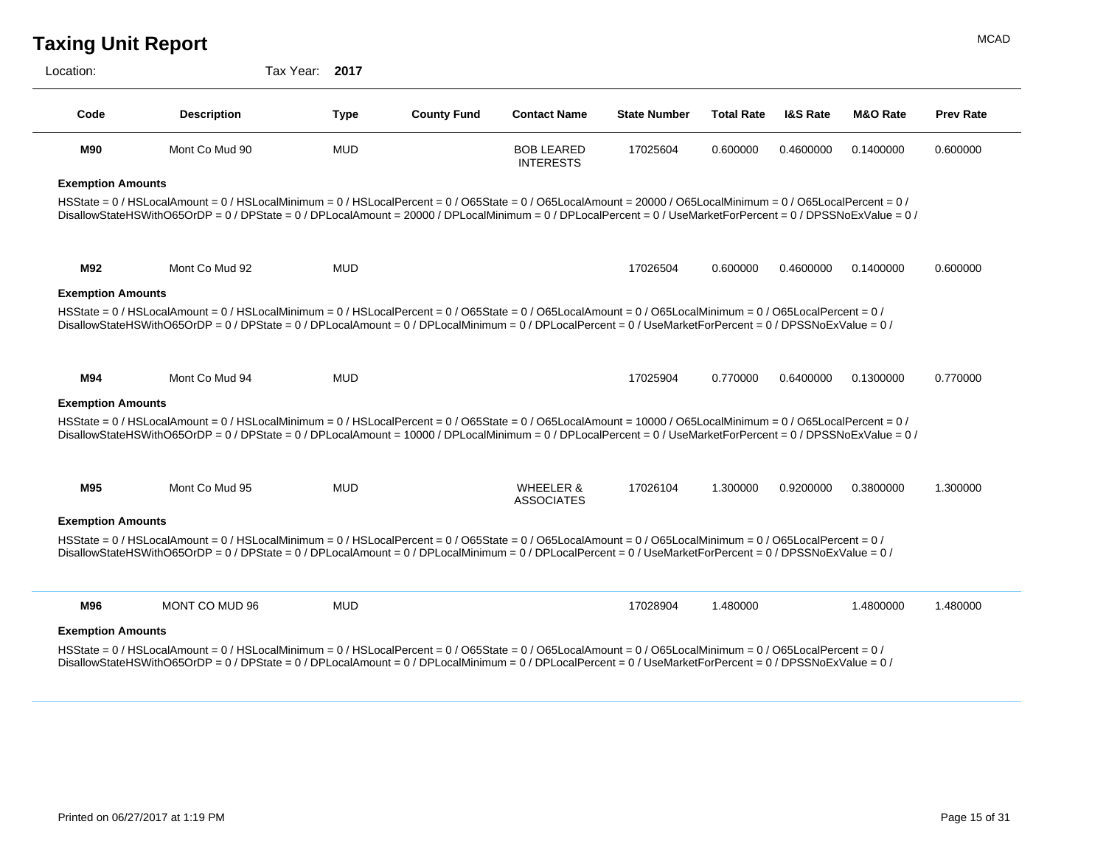Location: Tax Year: **2017**

| Code                     | <b>Description</b>                                                                                                                                                                                                                                                                                                                | <b>Type</b> | <b>County Fund</b> | <b>Contact Name</b>                   | <b>State Number</b> | <b>Total Rate</b> | <b>I&amp;S Rate</b> | <b>M&amp;O Rate</b> | <b>Prev Rate</b> |
|--------------------------|-----------------------------------------------------------------------------------------------------------------------------------------------------------------------------------------------------------------------------------------------------------------------------------------------------------------------------------|-------------|--------------------|---------------------------------------|---------------------|-------------------|---------------------|---------------------|------------------|
| <b>M90</b>               | Mont Co Mud 90                                                                                                                                                                                                                                                                                                                    | <b>MUD</b>  |                    | <b>BOB LEARED</b><br><b>INTERESTS</b> | 17025604            | 0.600000          | 0.4600000           | 0.1400000           | 0.600000         |
| <b>Exemption Amounts</b> |                                                                                                                                                                                                                                                                                                                                   |             |                    |                                       |                     |                   |                     |                     |                  |
|                          | HSState = 0 / HSLocalAmount = 0 / HSLocalMinimum = 0 / HSLocalPercent = 0 / O65State = 0 / O65LocalAmount = 20000 / O65LocalMinimum = 0 / O65LocalPercent = 0 /<br>DisallowStateHSWithO65OrDP = 0 / DPState = 0 / DPLocalAmount = 20000 / DPLocalMinimum = 0 / DPLocalPercent = 0 / UseMarketForPercent = 0 / DPSSNoExValue = 0 / |             |                    |                                       |                     |                   |                     |                     |                  |
| M92                      | Mont Co Mud 92                                                                                                                                                                                                                                                                                                                    | <b>MUD</b>  |                    |                                       | 17026504            | 0.600000          | 0.4600000           | 0.1400000           | 0.600000         |
| <b>Exemption Amounts</b> |                                                                                                                                                                                                                                                                                                                                   |             |                    |                                       |                     |                   |                     |                     |                  |
|                          | HSState = 0 / HSLocalAmount = 0 / HSLocalMinimum = 0 / HSLocalPercent = 0 / O65State = 0 / O65LocalAmount = 0 / O65LocalMinimum = 0 / O65LocalPercent = 0 /<br>DisallowStateHSWithO65OrDP = 0 / DPState = 0 / DPLocalAmount = 0 / DPLocalMinimum = 0 / DPLocalPercent = 0 / UseMarketForPercent = 0 / DPSSNoExValue = 0 /         |             |                    |                                       |                     |                   |                     |                     |                  |
| M94                      | Mont Co Mud 94                                                                                                                                                                                                                                                                                                                    | <b>MUD</b>  |                    |                                       | 17025904            | 0.770000          | 0.6400000           | 0.1300000           | 0.770000         |
| <b>Exemption Amounts</b> |                                                                                                                                                                                                                                                                                                                                   |             |                    |                                       |                     |                   |                     |                     |                  |
|                          | HSState = 0 / HSLocalAmount = 0 / HSLocalMinimum = 0 / HSLocalPercent = 0 / O65State = 0 / O65LocalAmount = 10000 / O65LocalMinimum = 0 / O65LocalPercent = 0 /<br>DisallowStateHSWithO65OrDP = 0 / DPState = 0 / DPLocalAmount = 10000 / DPLocalMinimum = 0 / DPLocalPercent = 0 / UseMarketForPercent = 0 / DPSSNoExValue = 0 / |             |                    |                                       |                     |                   |                     |                     |                  |
| M95                      | Mont Co Mud 95                                                                                                                                                                                                                                                                                                                    | <b>MUD</b>  |                    | WHEELER &<br><b>ASSOCIATES</b>        | 17026104            | 1.300000          | 0.9200000           | 0.3800000           | 1.300000         |
| <b>Exemption Amounts</b> |                                                                                                                                                                                                                                                                                                                                   |             |                    |                                       |                     |                   |                     |                     |                  |
|                          | HSState = 0 / HSLocalAmount = 0 / HSLocalMinimum = 0 / HSLocalPercent = 0 / O65State = 0 / O65LocalAmount = 0 / O65LocalMinimum = 0 / O65LocalPercent = 0 /<br>DisallowStateHSWithO65OrDP = 0 / DPState = 0 / DPLocalAmount = 0 / DPLocalMinimum = 0 / DPLocalPercent = 0 / UseMarketForPercent = 0 / DPSSNoExValue = 0 /         |             |                    |                                       |                     |                   |                     |                     |                  |
| M96                      | MONT CO MUD 96                                                                                                                                                                                                                                                                                                                    | <b>MUD</b>  |                    |                                       | 17028904            | 1.480000          |                     | 1.4800000           | 1.480000         |
| <b>Exemption Amounts</b> |                                                                                                                                                                                                                                                                                                                                   |             |                    |                                       |                     |                   |                     |                     |                  |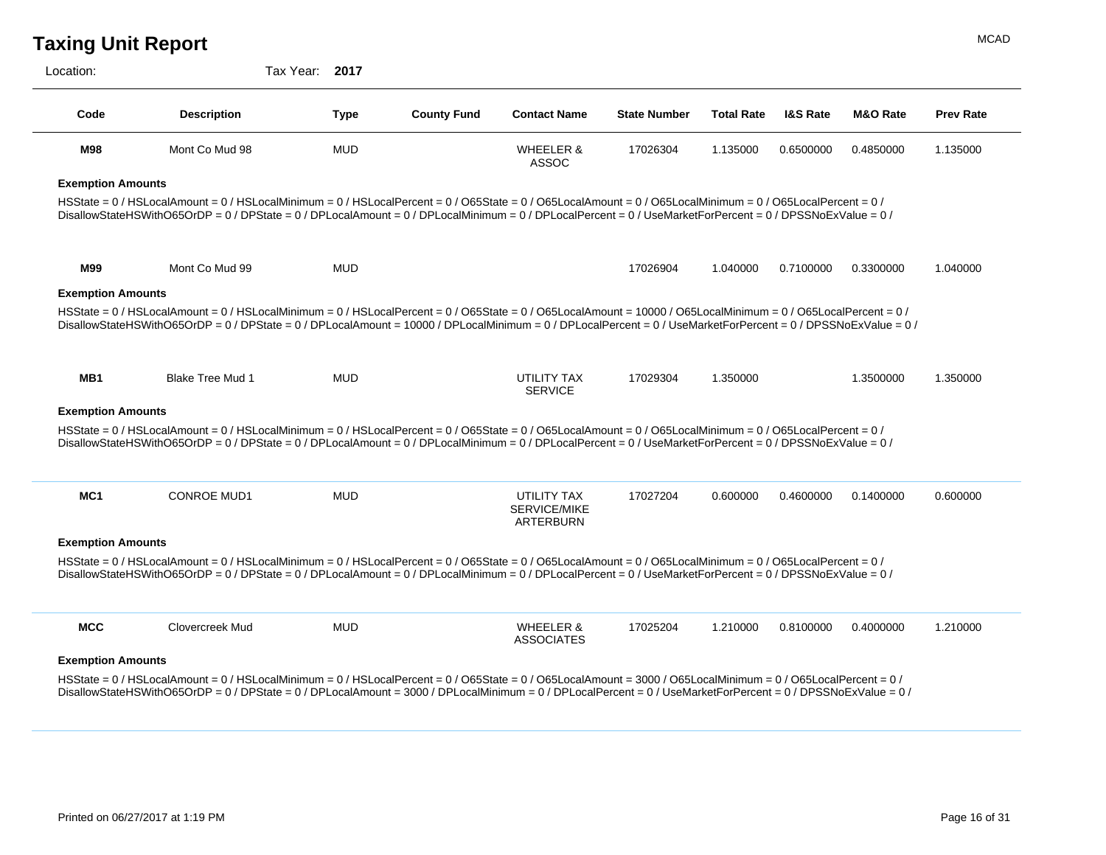$\overline{\phantom{0}}$ 

Location: Tax Year: **2017**

| Code                     | <b>Description</b>                                                                                                                                                                                                                                                                                                                | <b>Type</b> | <b>County Fund</b> | <b>Contact Name</b>                             | <b>State Number</b> | <b>Total Rate</b> | <b>I&amp;S Rate</b> | M&O Rate  | <b>Prev Rate</b> |
|--------------------------|-----------------------------------------------------------------------------------------------------------------------------------------------------------------------------------------------------------------------------------------------------------------------------------------------------------------------------------|-------------|--------------------|-------------------------------------------------|---------------------|-------------------|---------------------|-----------|------------------|
| M98                      | Mont Co Mud 98                                                                                                                                                                                                                                                                                                                    | <b>MUD</b>  |                    | <b>WHEELER &amp;</b><br><b>ASSOC</b>            | 17026304            | 1.135000          | 0.6500000           | 0.4850000 | 1.135000         |
| <b>Exemption Amounts</b> |                                                                                                                                                                                                                                                                                                                                   |             |                    |                                                 |                     |                   |                     |           |                  |
|                          | HSState = 0 / HSLocalAmount = 0 / HSLocalMinimum = 0 / HSLocalPercent = 0 / O65State = 0 / O65LocalAmount = 0 / O65LocalMinimum = 0 / O65LocalPercent = 0 /<br>DisallowStateHSWithO65OrDP = 0 / DPState = 0 / DPLocalAmount = 0 / DPLocalMinimum = 0 / DPLocalPercent = 0 / UseMarketForPercent = 0 / DPSSNoExValue = 0 /         |             |                    |                                                 |                     |                   |                     |           |                  |
| M99                      | Mont Co Mud 99                                                                                                                                                                                                                                                                                                                    | <b>MUD</b>  |                    |                                                 | 17026904            | 1.040000          | 0.7100000           | 0.3300000 | 1.040000         |
| <b>Exemption Amounts</b> |                                                                                                                                                                                                                                                                                                                                   |             |                    |                                                 |                     |                   |                     |           |                  |
|                          | HSState = 0 / HSLocalAmount = 0 / HSLocalMinimum = 0 / HSLocalPercent = 0 / O65State = 0 / O65LocalAmount = 10000 / O65LocalMinimum = 0 / O65LocalPercent = 0 /<br>DisallowStateHSWithO65OrDP = 0 / DPState = 0 / DPLocalAmount = 10000 / DPLocalMinimum = 0 / DPLocalPercent = 0 / UseMarketForPercent = 0 / DPSSNoExValue = 0 / |             |                    |                                                 |                     |                   |                     |           |                  |
| MB <sub>1</sub>          | Blake Tree Mud 1                                                                                                                                                                                                                                                                                                                  | <b>MUD</b>  |                    | UTILITY TAX<br><b>SERVICE</b>                   | 17029304            | 1.350000          |                     | 1.3500000 | 1.350000         |
| <b>Exemption Amounts</b> |                                                                                                                                                                                                                                                                                                                                   |             |                    |                                                 |                     |                   |                     |           |                  |
|                          | HSState = 0 / HSLocalAmount = 0 / HSLocalMinimum = 0 / HSLocalPercent = 0 / O65State = 0 / O65LocalAmount = 0 / O65LocalMinimum = 0 / O65LocalPercent = 0 /<br>DisallowStateHSWithO65OrDP = 0 / DPState = 0 / DPLocalAmount = 0 / DPLocalMinimum = 0 / DPLocalPercent = 0 / UseMarketForPercent = 0 / DPSSNoExValue = 0 /         |             |                    |                                                 |                     |                   |                     |           |                  |
| MC <sub>1</sub>          | <b>CONROE MUD1</b>                                                                                                                                                                                                                                                                                                                | <b>MUD</b>  |                    | UTILITY TAX<br><b>SERVICE/MIKE</b><br>ARTERBURN | 17027204            | 0.600000          | 0.4600000           | 0.1400000 | 0.600000         |
| <b>Exemption Amounts</b> |                                                                                                                                                                                                                                                                                                                                   |             |                    |                                                 |                     |                   |                     |           |                  |
|                          | HSState = 0 / HSLocalAmount = 0 / HSLocalMinimum = 0 / HSLocalPercent = 0 / O65State = 0 / O65LocalAmount = 0 / O65LocalMinimum = 0 / O65LocalPercent = 0 /<br>DisallowStateHSWithO65OrDP = 0 / DPState = 0 / DPLocalAmount = 0 / DPLocalMinimum = 0 / DPLocalPercent = 0 / UseMarketForPercent = 0 / DPSSNoExValue = 0 /         |             |                    |                                                 |                     |                   |                     |           |                  |
| <b>MCC</b>               | Clovercreek Mud                                                                                                                                                                                                                                                                                                                   | <b>MUD</b>  |                    | <b>WHEELER &amp;</b><br><b>ASSOCIATES</b>       | 17025204            | 1.210000          | 0.8100000           | 0.4000000 | 1.210000         |
| <b>Exemption Amounts</b> |                                                                                                                                                                                                                                                                                                                                   |             |                    |                                                 |                     |                   |                     |           |                  |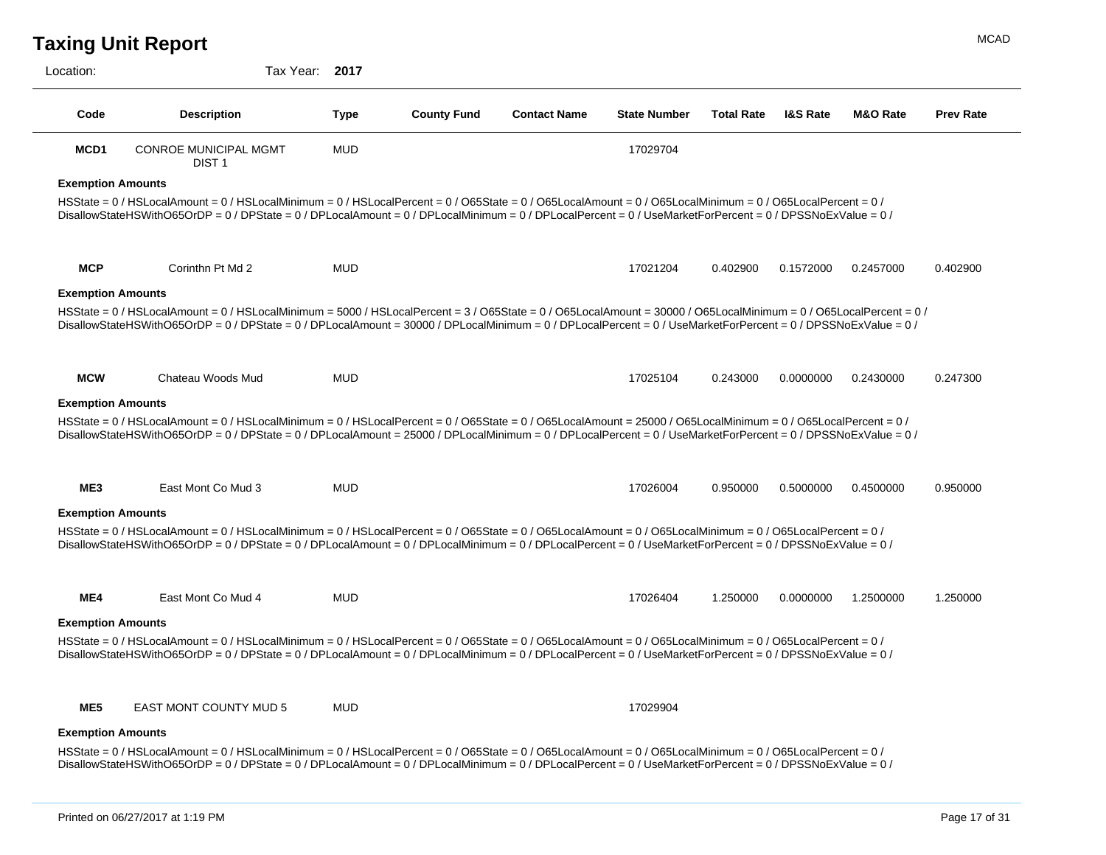| <b>Taxing Unit Report</b> | <b>MCAD</b> |
|---------------------------|-------------|
|                           |             |

```
Location: Tax Year: 2017
```

| Code                     | <b>Description</b>                                                                                                                                                                                                                                                                                                                   | <b>Type</b> | <b>County Fund</b> | <b>Contact Name</b> | <b>State Number</b> | <b>Total Rate</b> | <b>I&amp;S Rate</b> | M&O Rate  | <b>Prev Rate</b>     |
|--------------------------|--------------------------------------------------------------------------------------------------------------------------------------------------------------------------------------------------------------------------------------------------------------------------------------------------------------------------------------|-------------|--------------------|---------------------|---------------------|-------------------|---------------------|-----------|----------------------|
| MCD <sub>1</sub>         | <b>CONROE MUNICIPAL MGMT</b><br>DIST <sub>1</sub>                                                                                                                                                                                                                                                                                    | <b>MUD</b>  |                    |                     | 17029704            |                   |                     |           |                      |
| <b>Exemption Amounts</b> |                                                                                                                                                                                                                                                                                                                                      |             |                    |                     |                     |                   |                     |           |                      |
|                          | HSState = 0 / HSLocalAmount = 0 / HSLocalMinimum = 0 / HSLocalPercent = 0 / O65State = 0 / O65LocalAmount = 0 / O65LocalMinimum = 0 / O65LocalPercent = 0 /<br>DisallowStateHSWithO65OrDP = 0 / DPState = 0 / DPLocalAmount = 0 / DPLocalMinimum = 0 / DPLocalPercent = 0 / UseMarketForPercent = 0 / DPSSNoExValue = 0 /            |             |                    |                     |                     |                   |                     |           |                      |
| <b>MCP</b>               | Corinthn Pt Md 2                                                                                                                                                                                                                                                                                                                     | <b>MUD</b>  |                    |                     | 17021204            | 0.402900          | 0.1572000           | 0.2457000 | 0.402900             |
| <b>Exemption Amounts</b> |                                                                                                                                                                                                                                                                                                                                      |             |                    |                     |                     |                   |                     |           |                      |
|                          | HSState = 0 / HSLocalAmount = 0 / HSLocalMinimum = 5000 / HSLocalPercent = 3 / O65State = 0 / O65LocalAmount = 30000 / O65LocalMinimum = 0 / O65LocalPercent = 0 /<br>DisallowStateHSWithO65OrDP = 0 / DPState = 0 / DPLocalAmount = 30000 / DPLocalMinimum = 0 / DPLocalPercent = 0 / UseMarketForPercent = 0 / DPSSNoExValue = 0 / |             |                    |                     |                     |                   |                     |           |                      |
| <b>MCW</b>               | Chateau Woods Mud                                                                                                                                                                                                                                                                                                                    | <b>MUD</b>  |                    |                     | 17025104            | 0.243000          | 0.0000000           | 0.2430000 | 0.247300             |
|                          |                                                                                                                                                                                                                                                                                                                                      |             |                    |                     |                     |                   |                     |           |                      |
|                          |                                                                                                                                                                                                                                                                                                                                      |             |                    |                     |                     |                   |                     |           |                      |
| <b>Exemption Amounts</b> | HSState = 0 / HSLocalAmount = 0 / HSLocalMinimum = 0 / HSLocalPercent = 0 / O65State = 0 / O65LocalAmount = 25000 / O65LocalMinimum = 0 / O65LocalPercent = 0 /<br>DisallowStateHSWithO65OrDP = 0 / DPState = 0 / DPLocalAmount = 25000 / DPLocalMinimum = 0 / DPLocalPercent = 0 / UseMarketForPercent = 0 / DPSSNoExValue = 0 /    |             |                    |                     |                     |                   |                     |           |                      |
| ME3                      | East Mont Co Mud 3                                                                                                                                                                                                                                                                                                                   | <b>MUD</b>  |                    |                     | 17026004            | 0.950000          | 0.5000000           | 0.4500000 |                      |
| <b>Exemption Amounts</b> |                                                                                                                                                                                                                                                                                                                                      |             |                    |                     |                     |                   |                     |           |                      |
|                          | HSState = 0 / HSLocalAmount = 0 / HSLocalMinimum = 0 / HSLocalPercent = 0 / O65State = 0 / O65LocalAmount = 0 / O65LocalMinimum = 0 / O65LocalPercent = 0 /<br>DisallowStateHSWithO65OrDP = 0 / DPState = 0 / DPLocalAmount = 0 / DPLocalMinimum = 0 / DPLocalPercent = 0 / UseMarketForPercent = 0 / DPSSNoExValue = 0 /            |             |                    |                     |                     |                   |                     |           |                      |
| ME4                      | East Mont Co Mud 4                                                                                                                                                                                                                                                                                                                   | <b>MUD</b>  |                    |                     | 17026404            | 1.250000          | 0.0000000           | 1.2500000 |                      |
|                          |                                                                                                                                                                                                                                                                                                                                      |             |                    |                     |                     |                   |                     |           |                      |
| <b>Exemption Amounts</b> | HSState = 0 / HSLocalAmount = 0 / HSLocalMinimum = 0 / HSLocalPercent = 0 / O65State = 0 / O65LocalAmount = 0 / O65LocalMinimum = 0 / O65LocalPercent = 0 /<br>DisallowStateHSWithO65OrDP = 0 / DPState = 0 / DPLocalAmount = 0 / DPLocalMinimum = 0 / DPLocalPercent = 0 / UseMarketForPercent = 0 / DPSSNoExValue = 0 /            |             |                    |                     |                     |                   |                     |           | 0.950000<br>1.250000 |
| ME5                      | <b>EAST MONT COUNTY MUD 5</b>                                                                                                                                                                                                                                                                                                        | <b>MUD</b>  |                    |                     | 17029904            |                   |                     |           |                      |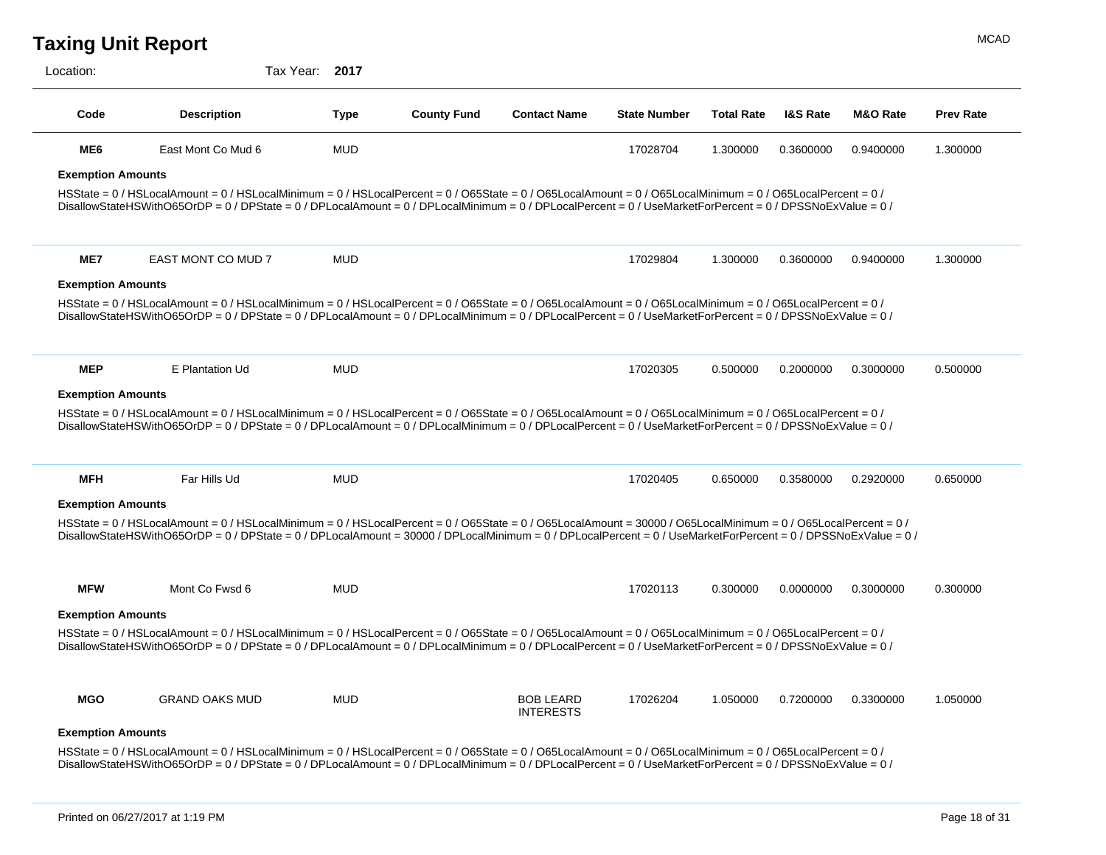$\overline{\phantom{0}}$ 

Location: Tax Year: **2017**

| Code                     | <b>Description</b>                                                                                                                                                                                                                                                                                                                | Type       | <b>County Fund</b> | <b>Contact Name</b>                  | <b>State Number</b> | <b>Total Rate</b> | <b>I&amp;S Rate</b> | M&O Rate  | <b>Prev Rate</b> |
|--------------------------|-----------------------------------------------------------------------------------------------------------------------------------------------------------------------------------------------------------------------------------------------------------------------------------------------------------------------------------|------------|--------------------|--------------------------------------|---------------------|-------------------|---------------------|-----------|------------------|
| ME6                      | East Mont Co Mud 6                                                                                                                                                                                                                                                                                                                | <b>MUD</b> |                    |                                      | 17028704            | 1.300000          | 0.3600000           | 0.9400000 | 1.300000         |
| <b>Exemption Amounts</b> |                                                                                                                                                                                                                                                                                                                                   |            |                    |                                      |                     |                   |                     |           |                  |
|                          | HSState = 0 / HSLocalAmount = 0 / HSLocalMinimum = 0 / HSLocalPercent = 0 / O65State = 0 / O65LocalAmount = 0 / O65LocalMinimum = 0 / O65LocalPercent = 0 /<br>DisallowStateHSWithO65OrDP = 0 / DPState = 0 / DPLocalAmount = 0 / DPLocalMinimum = 0 / DPLocalPercent = 0 / UseMarketForPercent = 0 / DPSSNoExValue = 0 /         |            |                    |                                      |                     |                   |                     |           |                  |
| ME7                      | <b>EAST MONT CO MUD 7</b>                                                                                                                                                                                                                                                                                                         | <b>MUD</b> |                    |                                      | 17029804            | 1.300000          | 0.3600000           | 0.9400000 | 1.300000         |
| <b>Exemption Amounts</b> |                                                                                                                                                                                                                                                                                                                                   |            |                    |                                      |                     |                   |                     |           |                  |
|                          | HSState = 0 / HSLocalAmount = 0 / HSLocalMinimum = 0 / HSLocalPercent = 0 / O65State = 0 / O65LocalAmount = 0 / O65LocalMinimum = 0 / O65LocalPercent = 0 /<br>DisallowStateHSWithO65OrDP = 0 / DPState = 0 / DPLocalAmount = 0 / DPLocalMinimum = 0 / DPLocalPercent = 0 / UseMarketForPercent = 0 / DPSSNoExValue = 0 /         |            |                    |                                      |                     |                   |                     |           |                  |
| <b>MEP</b>               | E Plantation Ud                                                                                                                                                                                                                                                                                                                   | <b>MUD</b> |                    |                                      | 17020305            | 0.500000          | 0.2000000           | 0.3000000 | 0.500000         |
| <b>Exemption Amounts</b> |                                                                                                                                                                                                                                                                                                                                   |            |                    |                                      |                     |                   |                     |           |                  |
|                          | HSState = 0 / HSLocalAmount = 0 / HSLocalMinimum = 0 / HSLocalPercent = 0 / O65State = 0 / O65LocalAmount = 0 / O65LocalMinimum = 0 / O65LocalPercent = 0 /<br>DisallowStateHSWithO65OrDP = 0 / DPState = 0 / DPLocalAmount = 0 / DPLocalMinimum = 0 / DPLocalPercent = 0 / UseMarketForPercent = 0 / DPSSNoExValue = 0 /         |            |                    |                                      |                     |                   |                     |           |                  |
| <b>MFH</b>               | Far Hills Ud                                                                                                                                                                                                                                                                                                                      | <b>MUD</b> |                    |                                      | 17020405            | 0.650000          | 0.3580000           | 0.2920000 | 0.650000         |
| <b>Exemption Amounts</b> |                                                                                                                                                                                                                                                                                                                                   |            |                    |                                      |                     |                   |                     |           |                  |
|                          | HSState = 0 / HSLocalAmount = 0 / HSLocalMinimum = 0 / HSLocalPercent = 0 / O65State = 0 / O65LocalAmount = 30000 / O65LocalMinimum = 0 / O65LocalPercent = 0 /<br>DisallowStateHSWithO65OrDP = 0 / DPState = 0 / DPLocalAmount = 30000 / DPLocalMinimum = 0 / DPLocalPercent = 0 / UseMarketForPercent = 0 / DPSSNoExValue = 0 / |            |                    |                                      |                     |                   |                     |           |                  |
| <b>MFW</b>               | Mont Co Fwsd 6                                                                                                                                                                                                                                                                                                                    | <b>MUD</b> |                    |                                      | 17020113            | 0.300000          | 0.0000000           | 0.3000000 | 0.300000         |
| <b>Exemption Amounts</b> |                                                                                                                                                                                                                                                                                                                                   |            |                    |                                      |                     |                   |                     |           |                  |
|                          | HSState = 0 / HSLocalAmount = 0 / HSLocalMinimum = 0 / HSLocalPercent = 0 / O65State = 0 / O65LocalAmount = 0 / O65LocalMinimum = 0 / O65LocalPercent = 0 /<br>DisallowStateHSWithO65OrDP = 0 / DPState = 0 / DPLocalAmount = 0 / DPLocalMinimum = 0 / DPLocalPercent = 0 / UseMarketForPercent = 0 / DPSSNoExValue = 0 /         |            |                    |                                      |                     |                   |                     |           |                  |
| <b>MGO</b>               | <b>GRAND OAKS MUD</b>                                                                                                                                                                                                                                                                                                             | <b>MUD</b> |                    | <b>BOB LEARD</b><br><b>INTERESTS</b> | 17026204            | 1.050000          | 0.7200000           | 0.3300000 | 1.050000         |
| <b>Exemption Amounts</b> |                                                                                                                                                                                                                                                                                                                                   |            |                    |                                      |                     |                   |                     |           |                  |
|                          | HSState = 0 / HSLocalAmount = 0 / HSLocalMinimum = 0 / HSLocalPercent = 0 / O65State = 0 / O65LocalAmount = 0 / O65LocalMinimum = 0 / O65LocalPercent = 0 /                                                                                                                                                                       |            |                    |                                      |                     |                   |                     |           |                  |

DisallowStateHSWithO65OrDP = 0 / DPState = 0 / DPLocalAmount = 0 / DPLocalMinimum = 0 / DPLocalPercent = 0 / UseMarketForPercent = 0 / DPSSNoExValue = 0 /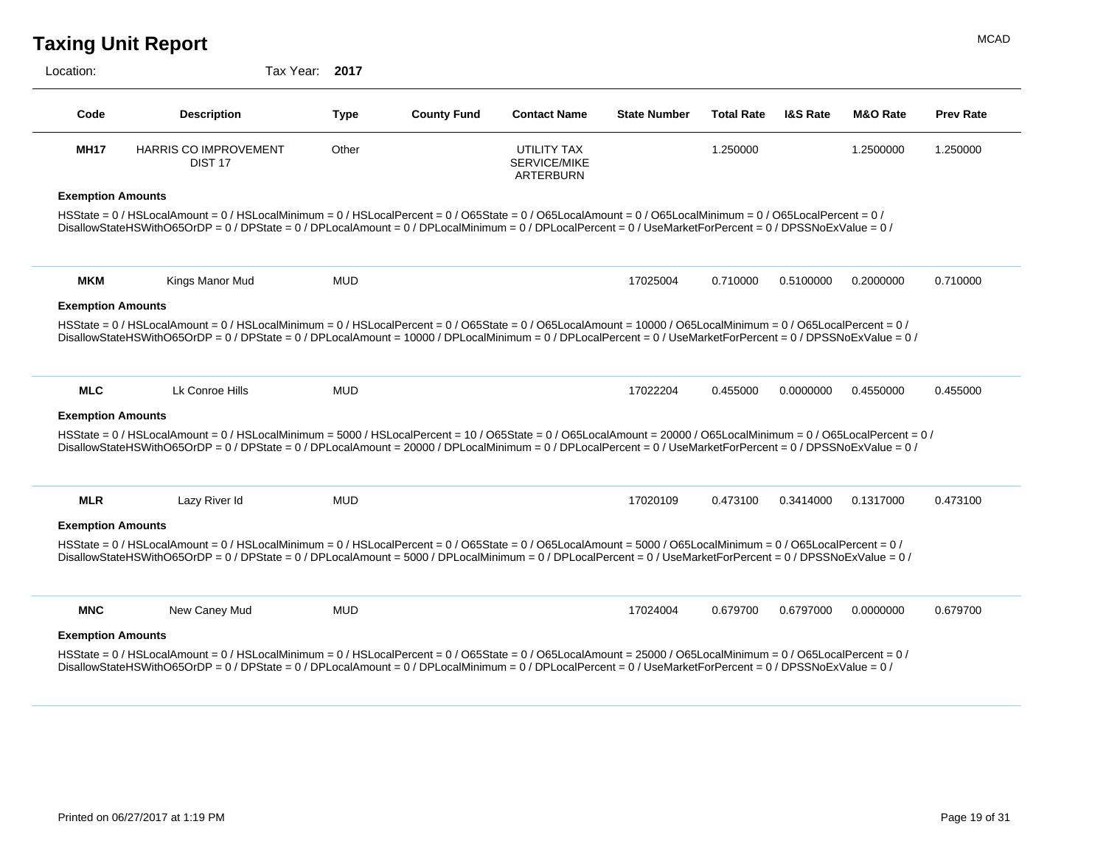| <b>Taxing Unit Report</b> | <b>MCAD</b> |
|---------------------------|-------------|
|                           |             |

 $\overline{\phantom{a}}$ 

Location: Tax Year: **2017**

| <b>MH17</b><br><b>Exemption Amounts</b><br><b>MKM</b><br><b>Exemption Amounts</b> | <b>HARRIS CO IMPROVEMENT</b><br><b>DIST 17</b><br>HSState = 0 / HSLocalAmount = 0 / HSLocalMinimum = 0 / HSLocalPercent = 0 / O65State = 0 / O65LocalAmount = 0 / O65LocalMinimum = 0 / O65LocalPercent = 0 /<br>DisallowStateHSWithO65OrDP = 0 / DPState = 0 / DPLocalAmount = 0 / DPLocalMinimum = 0 / DPLocalPercent = 0 / UseMarketForPercent = 0 / DPSSNoExValue = 0 /<br>Kings Manor Mud<br>HSState = 0 / HSLocalAmount = 0 / HSLocalMinimum = 0 / HSLocalPercent = 0 / O65State = 0 / O65LocalAmount = 10000 / O65LocalMinimum = 0 / O65LocalPercent = 0 /<br>DisallowStateHSWithO65OrDP = 0 / DPState = 0 / DPLocalAmount = 10000 / DPLocalMinimum = 0 / DPLocalPercent = 0 / UseMarketForPercent = 0 / DPSSNoExValue = 0 / | Other<br><b>MUD</b> | UTILITY TAX<br><b>SERVICE/MIKE</b><br>ARTERBURN | 17025004 | 1.250000<br>0.710000 | 0.5100000 | 1.2500000<br>0.2000000 | 1.250000<br>0.710000 |
|-----------------------------------------------------------------------------------|-------------------------------------------------------------------------------------------------------------------------------------------------------------------------------------------------------------------------------------------------------------------------------------------------------------------------------------------------------------------------------------------------------------------------------------------------------------------------------------------------------------------------------------------------------------------------------------------------------------------------------------------------------------------------------------------------------------------------------------|---------------------|-------------------------------------------------|----------|----------------------|-----------|------------------------|----------------------|
|                                                                                   |                                                                                                                                                                                                                                                                                                                                                                                                                                                                                                                                                                                                                                                                                                                                     |                     |                                                 |          |                      |           |                        |                      |
|                                                                                   |                                                                                                                                                                                                                                                                                                                                                                                                                                                                                                                                                                                                                                                                                                                                     |                     |                                                 |          |                      |           |                        |                      |
|                                                                                   |                                                                                                                                                                                                                                                                                                                                                                                                                                                                                                                                                                                                                                                                                                                                     |                     |                                                 |          |                      |           |                        |                      |
|                                                                                   |                                                                                                                                                                                                                                                                                                                                                                                                                                                                                                                                                                                                                                                                                                                                     |                     |                                                 |          |                      |           |                        |                      |
|                                                                                   |                                                                                                                                                                                                                                                                                                                                                                                                                                                                                                                                                                                                                                                                                                                                     |                     |                                                 |          |                      |           |                        |                      |
| <b>MLC</b>                                                                        | Lk Conroe Hills                                                                                                                                                                                                                                                                                                                                                                                                                                                                                                                                                                                                                                                                                                                     | <b>MUD</b>          |                                                 | 17022204 | 0.455000             | 0.0000000 | 0.4550000              | 0.455000             |
| <b>Exemption Amounts</b>                                                          |                                                                                                                                                                                                                                                                                                                                                                                                                                                                                                                                                                                                                                                                                                                                     |                     |                                                 |          |                      |           |                        |                      |
|                                                                                   | HSState = 0 / HSLocalAmount = 0 / HSLocalMinimum = 5000 / HSLocalPercent = 10 / O65State = 0 / O65LocalAmount = 20000 / O65LocalMinimum = 0 / O65LocalPercent = 0 /<br>DisallowStateHSWithO65OrDP = 0 / DPState = 0 / DPLocalAmount = 20000 / DPLocalMinimum = 0 / DPLocalPercent = 0 / UseMarketForPercent = 0 / DPSSNoExValue = 0 /                                                                                                                                                                                                                                                                                                                                                                                               |                     |                                                 |          |                      |           |                        |                      |
| <b>MLR</b>                                                                        | Lazy River Id                                                                                                                                                                                                                                                                                                                                                                                                                                                                                                                                                                                                                                                                                                                       | <b>MUD</b>          |                                                 | 17020109 | 0.473100             | 0.3414000 | 0.1317000              | 0.473100             |
| <b>Exemption Amounts</b>                                                          |                                                                                                                                                                                                                                                                                                                                                                                                                                                                                                                                                                                                                                                                                                                                     |                     |                                                 |          |                      |           |                        |                      |
|                                                                                   | HSState = 0 / HSLocalAmount = 0 / HSLocalMinimum = 0 / HSLocalPercent = 0 / O65State = 0 / O65LocalAmount = 5000 / O65LocalMinimum = 0 / O65LocalPercent = 0 /<br>DisallowStateHSWithO65OrDP = 0 / DPState = 0 / DPLocalAmount = 5000 / DPLocalMinimum = 0 / DPLocalPercent = 0 / UseMarketForPercent = 0 / DPSSNoExValue = 0 /                                                                                                                                                                                                                                                                                                                                                                                                     |                     |                                                 |          |                      |           |                        |                      |
| <b>MNC</b>                                                                        | New Caney Mud                                                                                                                                                                                                                                                                                                                                                                                                                                                                                                                                                                                                                                                                                                                       | <b>MUD</b>          |                                                 | 17024004 | 0.679700             | 0.6797000 | 0.0000000              | 0.679700             |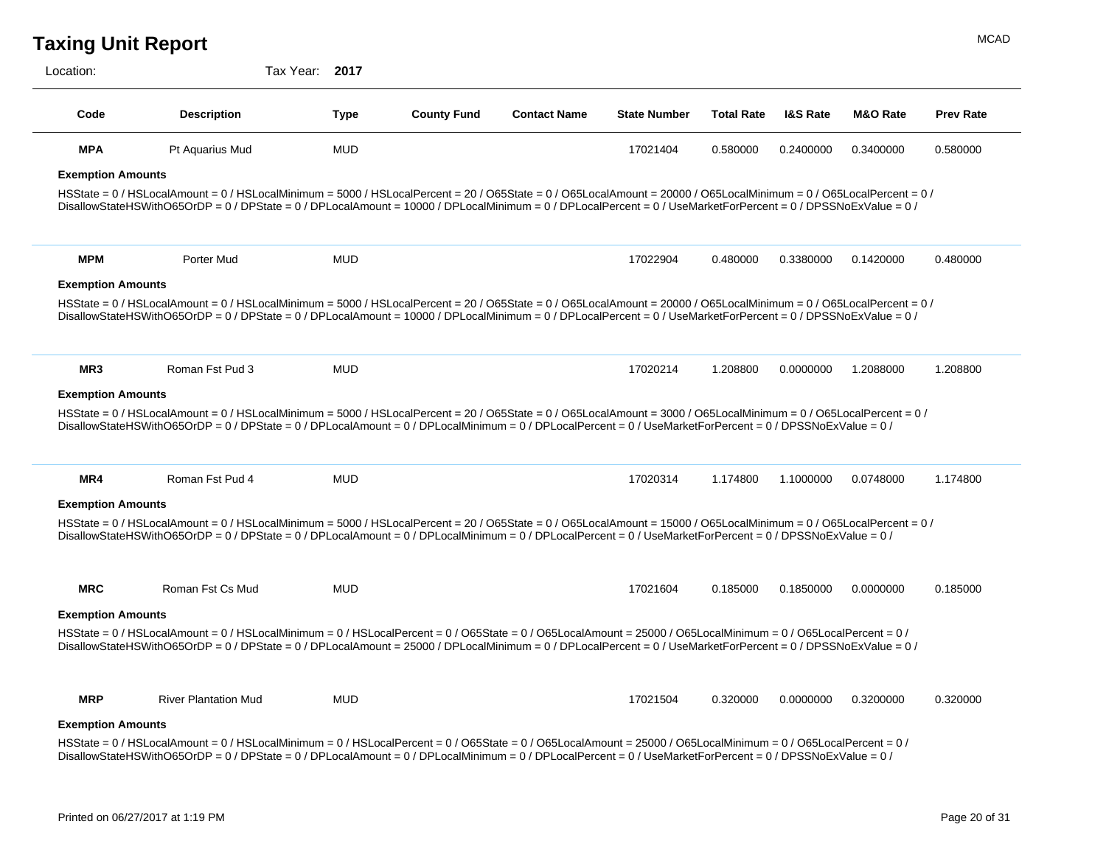| <b>Taxing Unit Report</b> |                                                                                                                                                                                                                                                                                                                                       |             |                    |                     |                     |                   |                     |           | <b>MCAD</b>      |
|---------------------------|---------------------------------------------------------------------------------------------------------------------------------------------------------------------------------------------------------------------------------------------------------------------------------------------------------------------------------------|-------------|--------------------|---------------------|---------------------|-------------------|---------------------|-----------|------------------|
| Location:                 | Tax Year:                                                                                                                                                                                                                                                                                                                             | 2017        |                    |                     |                     |                   |                     |           |                  |
| Code                      | <b>Description</b>                                                                                                                                                                                                                                                                                                                    | <b>Type</b> | <b>County Fund</b> | <b>Contact Name</b> | <b>State Number</b> | <b>Total Rate</b> | <b>I&amp;S Rate</b> | M&O Rate  | <b>Prev Rate</b> |
| <b>MPA</b>                | Pt Aquarius Mud                                                                                                                                                                                                                                                                                                                       | <b>MUD</b>  |                    |                     | 17021404            | 0.580000          | 0.2400000           | 0.3400000 | 0.580000         |
| <b>Exemption Amounts</b>  |                                                                                                                                                                                                                                                                                                                                       |             |                    |                     |                     |                   |                     |           |                  |
|                           | HSState = 0 / HSLocalAmount = 0 / HSLocalMinimum = 5000 / HSLocalPercent = 20 / O65State = 0 / O65LocalAmount = 20000 / O65LocalMinimum = 0 / O65LocalPercent = 0 /<br>DisallowStateHSWithO65OrDP = 0 / DPState = 0 / DPLocalAmount = 10000 / DPLocalMinimum = 0 / DPLocalPercent = 0 / UseMarketForPercent = 0 / DPSSNoExValue = 0 / |             |                    |                     |                     |                   |                     |           |                  |
| <b>MPM</b>                | Porter Mud                                                                                                                                                                                                                                                                                                                            | <b>MUD</b>  |                    |                     | 17022904            | 0.480000          | 0.3380000           | 0.1420000 | 0.480000         |
| <b>Exemption Amounts</b>  |                                                                                                                                                                                                                                                                                                                                       |             |                    |                     |                     |                   |                     |           |                  |
|                           | HSState = 0 / HSLocalAmount = 0 / HSLocalMinimum = 5000 / HSLocalPercent = 20 / O65State = 0 / O65LocalAmount = 20000 / O65LocalMinimum = 0 / O65LocalPercent = 0 /<br>DisallowStateHSWithO65OrDP = 0 / DPState = 0 / DPLocalAmount = 10000 / DPLocalMinimum = 0 / DPLocalPercent = 0 / UseMarketForPercent = 0 / DPSSNoExValue = 0 / |             |                    |                     |                     |                   |                     |           |                  |
| MR <sub>3</sub>           | Roman Fst Pud 3                                                                                                                                                                                                                                                                                                                       | <b>MUD</b>  |                    |                     | 17020214            | 1.208800          | 0.0000000           | 1.2088000 | 1.208800         |
| <b>Exemption Amounts</b>  |                                                                                                                                                                                                                                                                                                                                       |             |                    |                     |                     |                   |                     |           |                  |
|                           | HSState = 0 / HSLocalAmount = 0 / HSLocalMinimum = 5000 / HSLocalPercent = 20 / O65State = 0 / O65LocalAmount = 3000 / O65LocalMinimum = 0 / O65LocalPercent = 0 /<br>DisallowStateHSWithO65OrDP = 0 / DPState = 0 / DPLocalAmount = 0 / DPLocalMinimum = 0 / DPLocalPercent = 0 / UseMarketForPercent = 0 / DPSSNoExValue = 0 /      |             |                    |                     |                     |                   |                     |           |                  |
| MR4                       | Roman Fst Pud 4                                                                                                                                                                                                                                                                                                                       | <b>MUD</b>  |                    |                     | 17020314            | 1.174800          | 1.1000000           | 0.0748000 | 1.174800         |
| <b>Exemption Amounts</b>  |                                                                                                                                                                                                                                                                                                                                       |             |                    |                     |                     |                   |                     |           |                  |
|                           | HSState = 0 / HSLocalAmount = 0 / HSLocalMinimum = 5000 / HSLocalPercent = 20 / O65State = 0 / O65LocalAmount = 15000 / O65LocalMinimum = 0 / O65LocalPercent = 0 /<br>DisallowStateHSWithO65OrDP = 0 / DPState = 0 / DPLocalAmount = 0 / DPLocalMinimum = 0 / DPLocalPercent = 0 / UseMarketForPercent = 0 / DPSSNoExValue = 0 /     |             |                    |                     |                     |                   |                     |           |                  |

**MRC** Roman Fst Cs Mud MUD 17021604 0.185000 0.1850000 0.0000000 0.185000 HSState = 0 / HSLocalAmount = 0 / HSLocalMinimum = 0 / HSLocalPercent = 0 / O65State = 0 / O65LocalAmount = 25000 / O65LocalMinimum = 0 / O65LocalPercent = 0 / DisallowStateHSWithO65OrDP = 0 / DPState = 0 / DPLocalAmount = 25000 / DPLocalMinimum = 0 / DPLocalPercent = 0 / UseMarketForPercent = 0 / DPSSNoExValue = 0 / **Exemption Amounts** 0.1850000 0.0000000 **MRP** River Plantation Mud MUD MUD All the state of the tagger of the tagger of the tagger of the tagger of the tagger of the tagger of the tagger of the tagger of the tagger of the tagger of the tagger of the tagger of th HSState = 0 / HSLocalAmount = 0 / HSLocalMinimum = 0 / HSLocalPercent = 0 / O65State = 0 / O65LocalAmount = 25000 / O65LocalMinimum = 0 / O65LocalPercent = 0 / **Exemption Amounts** 0.0000000 0.3200000

DisallowStateHSWithO65OrDP = 0 / DPState = 0 / DPLocalAmount = 0 / DPLocalMinimum = 0 / DPLocalPercent = 0 / UseMarketForPercent = 0 / DPSSNoExValue = 0 /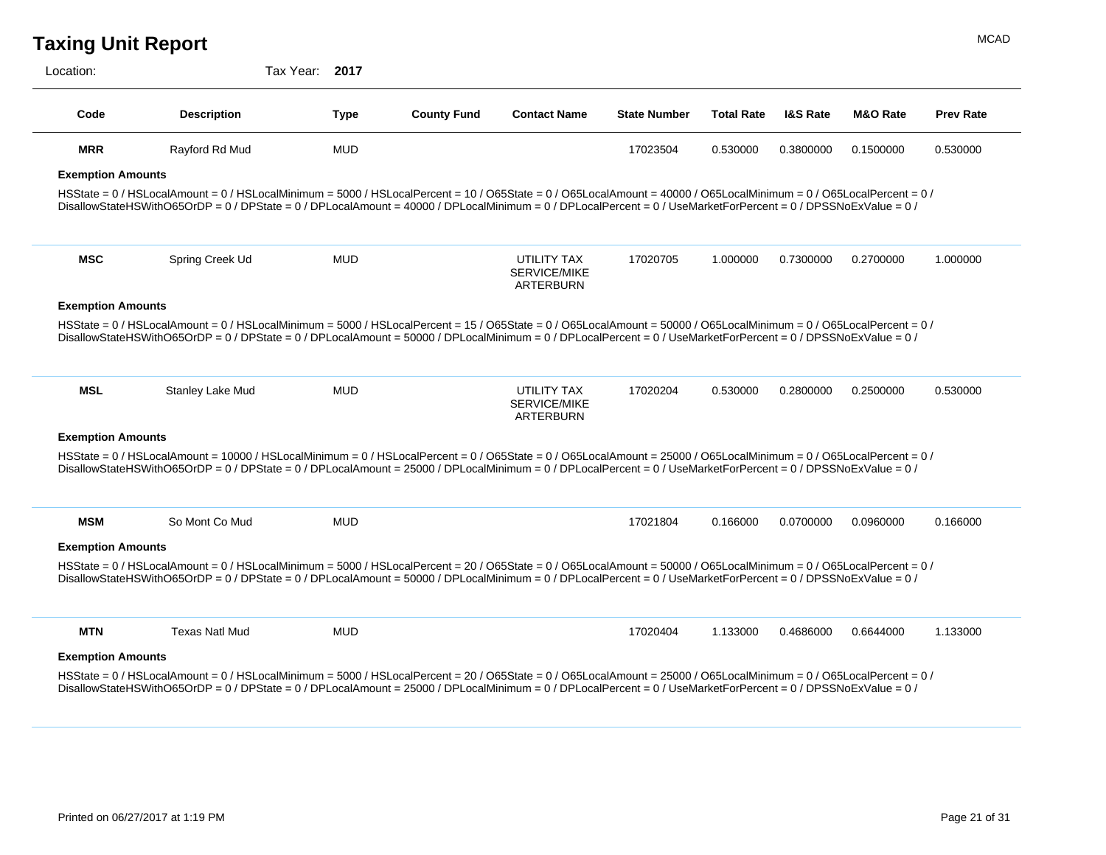Location: Tax Year: **2017**

| Code                     | <b>Description</b>                                                                                                                                                                                                                                                                                                                    | <b>Type</b> | <b>County Fund</b> | <b>Contact Name</b>                             | <b>State Number</b> | <b>Total Rate</b> | <b>I&amp;S Rate</b> | M&O Rate  | <b>Prev Rate</b> |
|--------------------------|---------------------------------------------------------------------------------------------------------------------------------------------------------------------------------------------------------------------------------------------------------------------------------------------------------------------------------------|-------------|--------------------|-------------------------------------------------|---------------------|-------------------|---------------------|-----------|------------------|
| <b>MRR</b>               | Rayford Rd Mud                                                                                                                                                                                                                                                                                                                        | <b>MUD</b>  |                    |                                                 | 17023504            | 0.530000          | 0.3800000           | 0.1500000 | 0.530000         |
| <b>Exemption Amounts</b> |                                                                                                                                                                                                                                                                                                                                       |             |                    |                                                 |                     |                   |                     |           |                  |
|                          | HSState = 0 / HSLocalAmount = 0 / HSLocalMinimum = 5000 / HSLocalPercent = 10 / O65State = 0 / O65LocalAmount = 40000 / O65LocalMinimum = 0 / O65LocalPercent = 0 /<br>DisallowStateHSWithO65OrDP = 0 / DPState = 0 / DPLocalAmount = 40000 / DPLocalMinimum = 0 / DPLocalPercent = 0 / UseMarketForPercent = 0 / DPSSNoExValue = 0 / |             |                    |                                                 |                     |                   |                     |           |                  |
| <b>MSC</b>               | Spring Creek Ud                                                                                                                                                                                                                                                                                                                       | <b>MUD</b>  |                    | UTILITY TAX<br>SERVICE/MIKE<br><b>ARTERBURN</b> | 17020705            | 1.000000          | 0.7300000           | 0.2700000 | 1.000000         |
| <b>Exemption Amounts</b> |                                                                                                                                                                                                                                                                                                                                       |             |                    |                                                 |                     |                   |                     |           |                  |
|                          | HSState = 0 / HSLocalAmount = 0 / HSLocalMinimum = 5000 / HSLocalPercent = 15 / O65State = 0 / O65LocalAmount = 50000 / O65LocalMinimum = 0 / O65LocalPercent = 0 /<br>DisallowStateHSWithO65OrDP = 0 / DPState = 0 / DPLocalAmount = 50000 / DPLocalMinimum = 0 / DPLocalPercent = 0 / UseMarketForPercent = 0 / DPSSNoExValue = 0 / |             |                    |                                                 |                     |                   |                     |           |                  |
| <b>MSL</b>               | Stanley Lake Mud                                                                                                                                                                                                                                                                                                                      | <b>MUD</b>  |                    | UTILITY TAX<br><b>SERVICE/MIKE</b><br>ARTERBURN | 17020204            | 0.530000          | 0.2800000           | 0.2500000 | 0.530000         |
| <b>Exemption Amounts</b> |                                                                                                                                                                                                                                                                                                                                       |             |                    |                                                 |                     |                   |                     |           |                  |
|                          | HSState = 0 / HSLocalAmount = 10000 / HSLocalMinimum = 0 / HSLocalPercent = 0 / O65State = 0 / O65LocalAmount = 25000 / O65LocalMinimum = 0 / O65LocalPercent = 0 /<br>DisallowStateHSWithO65OrDP = 0 / DPState = 0 / DPLocalAmount = 25000 / DPLocalMinimum = 0 / DPLocalPercent = 0 / UseMarketForPercent = 0 / DPSSNoExValue = 0 / |             |                    |                                                 |                     |                   |                     |           |                  |
| <b>MSM</b>               | So Mont Co Mud                                                                                                                                                                                                                                                                                                                        | <b>MUD</b>  |                    |                                                 | 17021804            | 0.166000          | 0.0700000           | 0.0960000 | 0.166000         |
| <b>Exemption Amounts</b> |                                                                                                                                                                                                                                                                                                                                       |             |                    |                                                 |                     |                   |                     |           |                  |
|                          | HSState = 0 / HSLocalAmount = 0 / HSLocalMinimum = 5000 / HSLocalPercent = 20 / O65State = 0 / O65LocalAmount = 50000 / O65LocalMinimum = 0 / O65LocalPercent = 0 /<br>DisallowStateHSWithO65OrDP = 0 / DPState = 0 / DPLocalAmount = 50000 / DPLocalMinimum = 0 / DPLocalPercent = 0 / UseMarketForPercent = 0 / DPSSNoExValue = 0 / |             |                    |                                                 |                     |                   |                     |           |                  |
| <b>MTN</b>               | <b>Texas Natl Mud</b>                                                                                                                                                                                                                                                                                                                 | <b>MUD</b>  |                    |                                                 | 17020404            | 1.133000          | 0.4686000           | 0.6644000 | 1.133000         |
| <b>Exemption Amounts</b> |                                                                                                                                                                                                                                                                                                                                       |             |                    |                                                 |                     |                   |                     |           |                  |
|                          | HSState = 0 / HSLocalAmount = 0 / HSLocalMinimum = 5000 / HSLocalPercent = 20 / O65State = 0 / O65LocalAmount = 25000 / O65LocalMinimum = 0 / O65LocalPercent = 0 /<br>DisallowStateHSWithO65OrDP = 0 / DPState = 0 / DPLocalAmount = 25000 / DPLocalMinimum = 0 / DPLocalPercent = 0 / UseMarketForPercent = 0 / DPSSNoExValue = 0 / |             |                    |                                                 |                     |                   |                     |           |                  |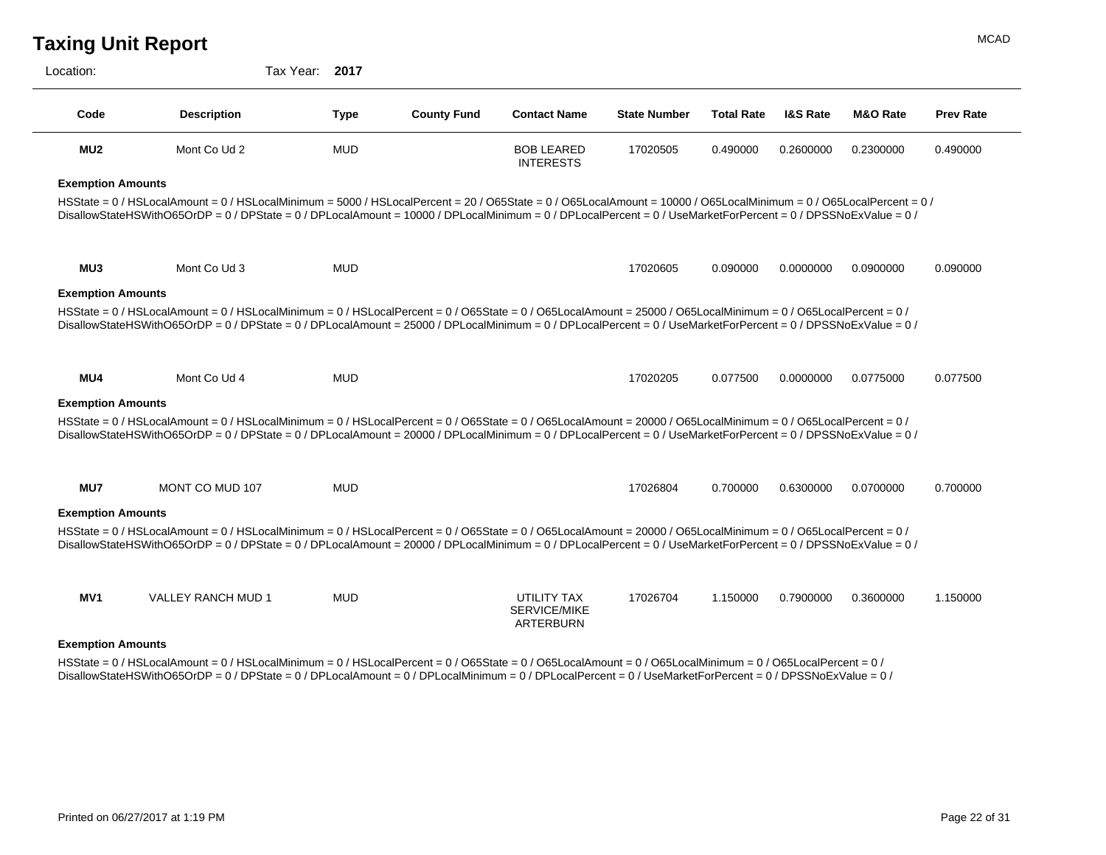Location: Tax Year: **2017**

| Code                     | <b>Description</b>                                                                                                                                                                                                                                                                                                                    | <b>Type</b> | <b>County Fund</b> | <b>Contact Name</b>                             | <b>State Number</b> | <b>Total Rate</b> | <b>I&amp;S Rate</b> | <b>M&amp;O Rate</b> | <b>Prev Rate</b> |
|--------------------------|---------------------------------------------------------------------------------------------------------------------------------------------------------------------------------------------------------------------------------------------------------------------------------------------------------------------------------------|-------------|--------------------|-------------------------------------------------|---------------------|-------------------|---------------------|---------------------|------------------|
| MU <sub>2</sub>          | Mont Co Ud 2                                                                                                                                                                                                                                                                                                                          | <b>MUD</b>  |                    | <b>BOB LEARED</b><br><b>INTERESTS</b>           | 17020505            | 0.490000          | 0.2600000           | 0.2300000           | 0.490000         |
| <b>Exemption Amounts</b> |                                                                                                                                                                                                                                                                                                                                       |             |                    |                                                 |                     |                   |                     |                     |                  |
|                          | HSState = 0 / HSLocalAmount = 0 / HSLocalMinimum = 5000 / HSLocalPercent = 20 / O65State = 0 / O65LocalAmount = 10000 / O65LocalMinimum = 0 / O65LocalPercent = 0 /<br>DisallowStateHSWithO65OrDP = 0 / DPState = 0 / DPLocalAmount = 10000 / DPLocalMinimum = 0 / DPLocalPercent = 0 / UseMarketForPercent = 0 / DPSSNoExValue = 0 / |             |                    |                                                 |                     |                   |                     |                     |                  |
| MU3                      | Mont Co Ud 3                                                                                                                                                                                                                                                                                                                          | <b>MUD</b>  |                    |                                                 | 17020605            | 0.090000          | 0.0000000           | 0.0900000           | 0.090000         |
| <b>Exemption Amounts</b> |                                                                                                                                                                                                                                                                                                                                       |             |                    |                                                 |                     |                   |                     |                     |                  |
|                          | HSState = 0 / HSLocalAmount = 0 / HSLocalMinimum = 0 / HSLocalPercent = 0 / O65State = 0 / O65LocalAmount = 25000 / O65LocalMinimum = 0 / O65LocalPercent = 0 /<br>DisallowStateHSWithO65OrDP = 0 / DPState = 0 / DPLocalAmount = 25000 / DPLocalMinimum = 0 / DPLocalPercent = 0 / UseMarketForPercent = 0 / DPSSNoExValue = 0 /     |             |                    |                                                 |                     |                   |                     |                     |                  |
| MU4                      | Mont Co Ud 4                                                                                                                                                                                                                                                                                                                          | <b>MUD</b>  |                    |                                                 | 17020205            | 0.077500          | 0.0000000           | 0.0775000           | 0.077500         |
| <b>Exemption Amounts</b> |                                                                                                                                                                                                                                                                                                                                       |             |                    |                                                 |                     |                   |                     |                     |                  |
|                          | HSState = 0 / HSLocalAmount = 0 / HSLocalMinimum = 0 / HSLocalPercent = 0 / O65State = 0 / O65LocalAmount = 20000 / O65LocalMinimum = 0 / O65LocalPercent = 0 /<br>DisallowStateHSWithO65OrDP = 0 / DPState = 0 / DPLocalAmount = 20000 / DPLocalMinimum = 0 / DPLocalPercent = 0 / UseMarketForPercent = 0 / DPSSNoExValue = 0 /     |             |                    |                                                 |                     |                   |                     |                     |                  |
| <b>MU7</b>               | MONT CO MUD 107                                                                                                                                                                                                                                                                                                                       | <b>MUD</b>  |                    |                                                 | 17026804            | 0.700000          | 0.6300000           | 0.0700000           | 0.700000         |
| <b>Exemption Amounts</b> |                                                                                                                                                                                                                                                                                                                                       |             |                    |                                                 |                     |                   |                     |                     |                  |
|                          | HSState = 0 / HSLocalAmount = 0 / HSLocalMinimum = 0 / HSLocalPercent = 0 / O65State = 0 / O65LocalAmount = 20000 / O65LocalMinimum = 0 / O65LocalPercent = 0 /<br>DisallowStateHSWithO65OrDP = 0 / DPState = 0 / DPLocalAmount = 20000 / DPLocalMinimum = 0 / DPLocalPercent = 0 / UseMarketForPercent = 0 / DPSSNoExValue = 0 /     |             |                    |                                                 |                     |                   |                     |                     |                  |
| MV <sub>1</sub>          | VALLEY RANCH MUD 1                                                                                                                                                                                                                                                                                                                    | <b>MUD</b>  |                    | UTILITY TAX<br><b>SERVICE/MIKE</b><br>ARTERBURN | 17026704            | 1.150000          | 0.7900000           | 0.3600000           | 1.150000         |
| <b>Exemption Amounts</b> |                                                                                                                                                                                                                                                                                                                                       |             |                    |                                                 |                     |                   |                     |                     |                  |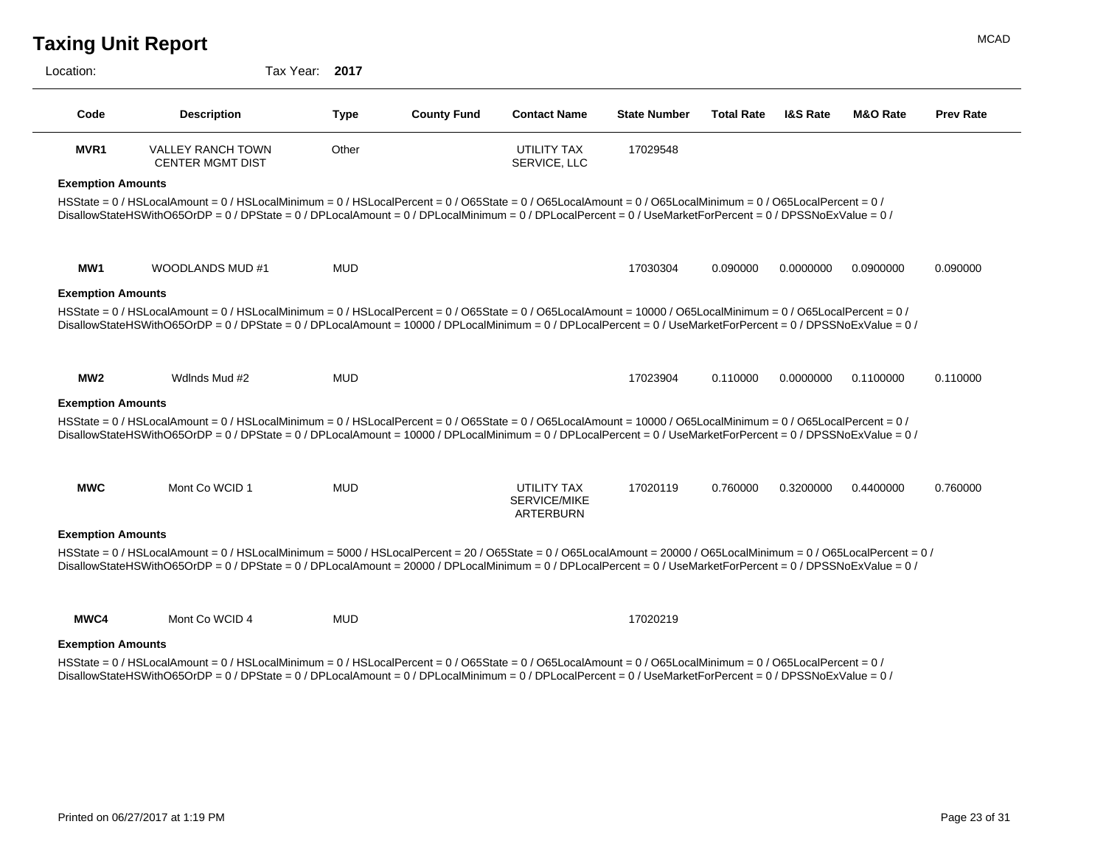Location: Tax Year: **2017**

| Code                     | <b>Description</b>                                                                                                                                                                                                                                                                                                                    | <b>Type</b> | <b>County Fund</b> | <b>Contact Name</b>                             | <b>State Number</b> | <b>Total Rate</b> | <b>I&amp;S Rate</b> | <b>M&amp;O Rate</b> | <b>Prev Rate</b> |
|--------------------------|---------------------------------------------------------------------------------------------------------------------------------------------------------------------------------------------------------------------------------------------------------------------------------------------------------------------------------------|-------------|--------------------|-------------------------------------------------|---------------------|-------------------|---------------------|---------------------|------------------|
| MVR <sub>1</sub>         | <b>VALLEY RANCH TOWN</b><br><b>CENTER MGMT DIST</b>                                                                                                                                                                                                                                                                                   | Other       |                    | UTILITY TAX<br>SERVICE, LLC                     | 17029548            |                   |                     |                     |                  |
| <b>Exemption Amounts</b> |                                                                                                                                                                                                                                                                                                                                       |             |                    |                                                 |                     |                   |                     |                     |                  |
|                          | HSState = 0 / HSLocalAmount = 0 / HSLocalMinimum = 0 / HSLocalPercent = 0 / O65State = 0 / O65LocalAmount = 0 / O65LocalMinimum = 0 / O65LocalPercent = 0 /<br>DisallowStateHSWithO65OrDP = 0 / DPState = 0 / DPLocalAmount = 0 / DPLocalMinimum = 0 / DPLocalPercent = 0 / UseMarketForPercent = 0 / DPSSNoExValue = 0 /             |             |                    |                                                 |                     |                   |                     |                     |                  |
| MW <sub>1</sub>          | WOODLANDS MUD #1                                                                                                                                                                                                                                                                                                                      | <b>MUD</b>  |                    |                                                 | 17030304            | 0.090000          | 0.0000000           | 0.0900000           | 0.090000         |
| <b>Exemption Amounts</b> |                                                                                                                                                                                                                                                                                                                                       |             |                    |                                                 |                     |                   |                     |                     |                  |
|                          | HSState = 0 / HSLocalAmount = 0 / HSLocalMinimum = 0 / HSLocalPercent = 0 / O65State = 0 / O65LocalAmount = 10000 / O65LocalMinimum = 0 / O65LocalPercent = 0 /<br>DisallowStateHSWithO65OrDP = 0 / DPState = 0 / DPLocalAmount = 10000 / DPLocalMinimum = 0 / DPLocalPercent = 0 / UseMarketForPercent = 0 / DPSSNoExValue = 0 /     |             |                    |                                                 |                     |                   |                     |                     |                  |
| MW <sub>2</sub>          | Wdlnds Mud #2                                                                                                                                                                                                                                                                                                                         | <b>MUD</b>  |                    |                                                 | 17023904            | 0.110000          | 0.0000000           | 0.1100000           | 0.110000         |
| <b>Exemption Amounts</b> |                                                                                                                                                                                                                                                                                                                                       |             |                    |                                                 |                     |                   |                     |                     |                  |
|                          | HSState = 0 / HSLocalAmount = 0 / HSLocalMinimum = 0 / HSLocalPercent = 0 / O65State = 0 / O65LocalAmount = 10000 / O65LocalMinimum = 0 / O65LocalPercent = 0 /<br>DisallowStateHSWithO65OrDP = 0 / DPState = 0 / DPLocalAmount = 10000 / DPLocalMinimum = 0 / DPLocalPercent = 0 / UseMarketForPercent = 0 / DPSSNoExValue = 0 /     |             |                    |                                                 |                     |                   |                     |                     |                  |
| <b>MWC</b>               | Mont Co WCID 1                                                                                                                                                                                                                                                                                                                        | <b>MUD</b>  |                    | UTILITY TAX<br><b>SERVICE/MIKE</b><br>ARTERBURN | 17020119            | 0.760000          | 0.3200000           | 0.4400000           | 0.760000         |
| <b>Exemption Amounts</b> |                                                                                                                                                                                                                                                                                                                                       |             |                    |                                                 |                     |                   |                     |                     |                  |
|                          | HSState = 0 / HSLocalAmount = 0 / HSLocalMinimum = 5000 / HSLocalPercent = 20 / O65State = 0 / O65LocalAmount = 20000 / O65LocalMinimum = 0 / O65LocalPercent = 0 /<br>DisallowStateHSWithO65OrDP = 0 / DPState = 0 / DPLocalAmount = 20000 / DPLocalMinimum = 0 / DPLocalPercent = 0 / UseMarketForPercent = 0 / DPSSNoExValue = 0 / |             |                    |                                                 |                     |                   |                     |                     |                  |
| MWC4                     | Mont Co WCID 4                                                                                                                                                                                                                                                                                                                        | <b>MUD</b>  |                    |                                                 | 17020219            |                   |                     |                     |                  |

#### **Exemption Amounts**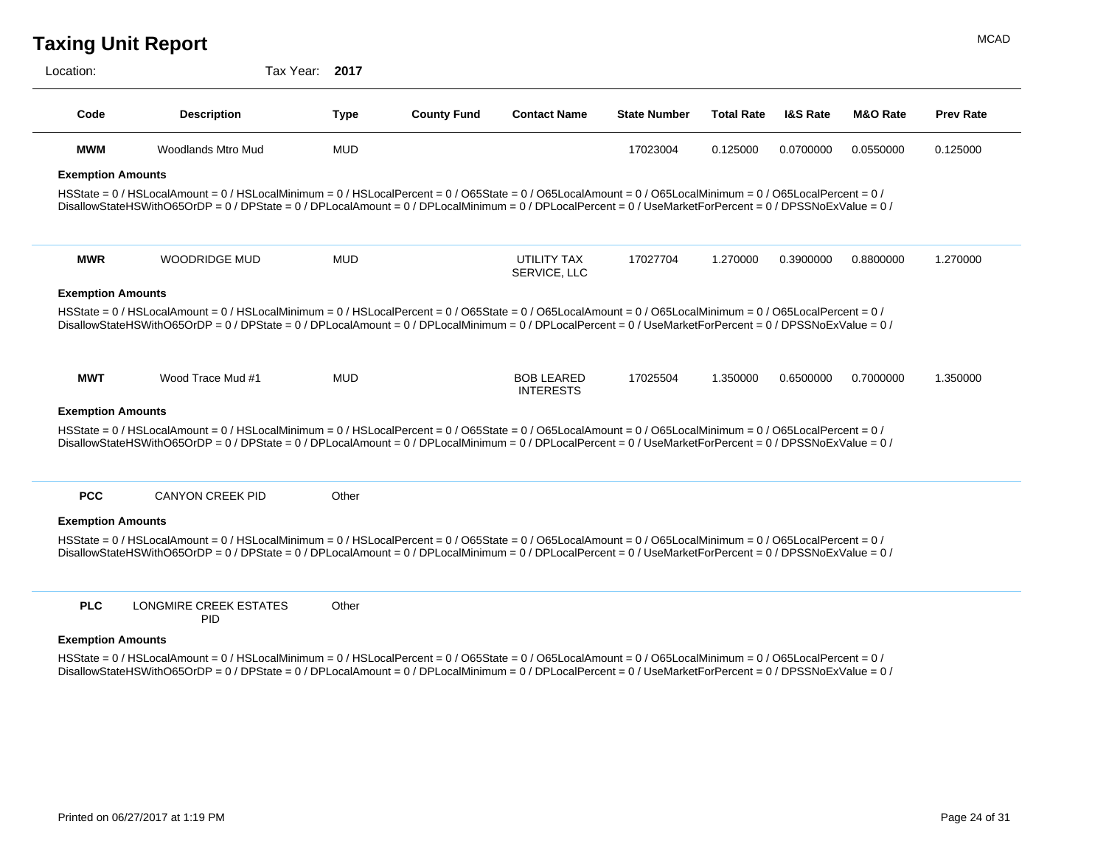Location: Tax Year: **2017**

| Code                     | <b>Description</b>                                                                                                                                                                                                                                                                                                        | <b>Type</b> | <b>County Fund</b> | <b>Contact Name</b>                   | <b>State Number</b> | <b>Total Rate</b> | <b>I&amp;S Rate</b> | <b>M&amp;O Rate</b> | <b>Prev Rate</b> |
|--------------------------|---------------------------------------------------------------------------------------------------------------------------------------------------------------------------------------------------------------------------------------------------------------------------------------------------------------------------|-------------|--------------------|---------------------------------------|---------------------|-------------------|---------------------|---------------------|------------------|
| <b>MWM</b>               | <b>Woodlands Mtro Mud</b>                                                                                                                                                                                                                                                                                                 | <b>MUD</b>  |                    |                                       | 17023004            | 0.125000          | 0.0700000           | 0.0550000           | 0.125000         |
| <b>Exemption Amounts</b> |                                                                                                                                                                                                                                                                                                                           |             |                    |                                       |                     |                   |                     |                     |                  |
|                          | HSState = 0 / HSLocalAmount = 0 / HSLocalMinimum = 0 / HSLocalPercent = 0 / O65State = 0 / O65LocalAmount = 0 / O65LocalMinimum = 0 / O65LocalPercent = 0 /<br>DisallowStateHSWithO65OrDP = 0 / DPState = 0 / DPLocalAmount = 0 / DPLocalMinimum = 0 / DPLocalPercent = 0 / UseMarketForPercent = 0 / DPSSNoExValue = 0 / |             |                    |                                       |                     |                   |                     |                     |                  |
| <b>MWR</b>               | <b>WOODRIDGE MUD</b>                                                                                                                                                                                                                                                                                                      | <b>MUD</b>  |                    | UTILITY TAX<br>SERVICE, LLC           | 17027704            | 1.270000          | 0.3900000           | 0.8800000           | 1.270000         |
| <b>Exemption Amounts</b> |                                                                                                                                                                                                                                                                                                                           |             |                    |                                       |                     |                   |                     |                     |                  |
|                          | HSState = 0 / HSLocalAmount = 0 / HSLocalMinimum = 0 / HSLocalPercent = 0 / O65State = 0 / O65LocalAmount = 0 / O65LocalMinimum = 0 / O65LocalPercent = 0 /<br>DisallowStateHSWithO65OrDP = 0 / DPState = 0 / DPLocalAmount = 0 / DPLocalMinimum = 0 / DPLocalPercent = 0 / UseMarketForPercent = 0 / DPSSNoExValue = 0 / |             |                    |                                       |                     |                   |                     |                     |                  |
| <b>MWT</b>               | Wood Trace Mud #1                                                                                                                                                                                                                                                                                                         | <b>MUD</b>  |                    | <b>BOB LEARED</b><br><b>INTERESTS</b> | 17025504            | 1.350000          | 0.6500000           | 0.7000000           | 1.350000         |
| <b>Exemption Amounts</b> |                                                                                                                                                                                                                                                                                                                           |             |                    |                                       |                     |                   |                     |                     |                  |
|                          | HSState = 0 / HSLocalAmount = 0 / HSLocalMinimum = 0 / HSLocalPercent = 0 / O65State = 0 / O65LocalAmount = 0 / O65LocalMinimum = 0 / O65LocalPercent = 0 /<br>DisallowStateHSWithO65OrDP = 0 / DPState = 0 / DPLocalAmount = 0 / DPLocalMinimum = 0 / DPLocalPercent = 0 / UseMarketForPercent = 0 / DPSSNoExValue = 0 / |             |                    |                                       |                     |                   |                     |                     |                  |
| <b>PCC</b>               | <b>CANYON CREEK PID</b>                                                                                                                                                                                                                                                                                                   | Other       |                    |                                       |                     |                   |                     |                     |                  |
| <b>Exemption Amounts</b> |                                                                                                                                                                                                                                                                                                                           |             |                    |                                       |                     |                   |                     |                     |                  |
|                          | HSState = 0 / HSLocalAmount = 0 / HSLocalMinimum = 0 / HSLocalPercent = 0 / O65State = 0 / O65LocalAmount = 0 / O65LocalMinimum = 0 / O65LocalPercent = 0 /<br>DisallowStateHSWithO65OrDP = 0 / DPState = 0 / DPLocalAmount = 0 / DPLocalMinimum = 0 / DPLocalPercent = 0 / UseMarketForPercent = 0 / DPSSNoExValue = 0 / |             |                    |                                       |                     |                   |                     |                     |                  |
| <b>PLC</b>               | <b>LONGMIRE CREEK ESTATES</b><br>PID                                                                                                                                                                                                                                                                                      | Other       |                    |                                       |                     |                   |                     |                     |                  |

#### **Exemption Amounts**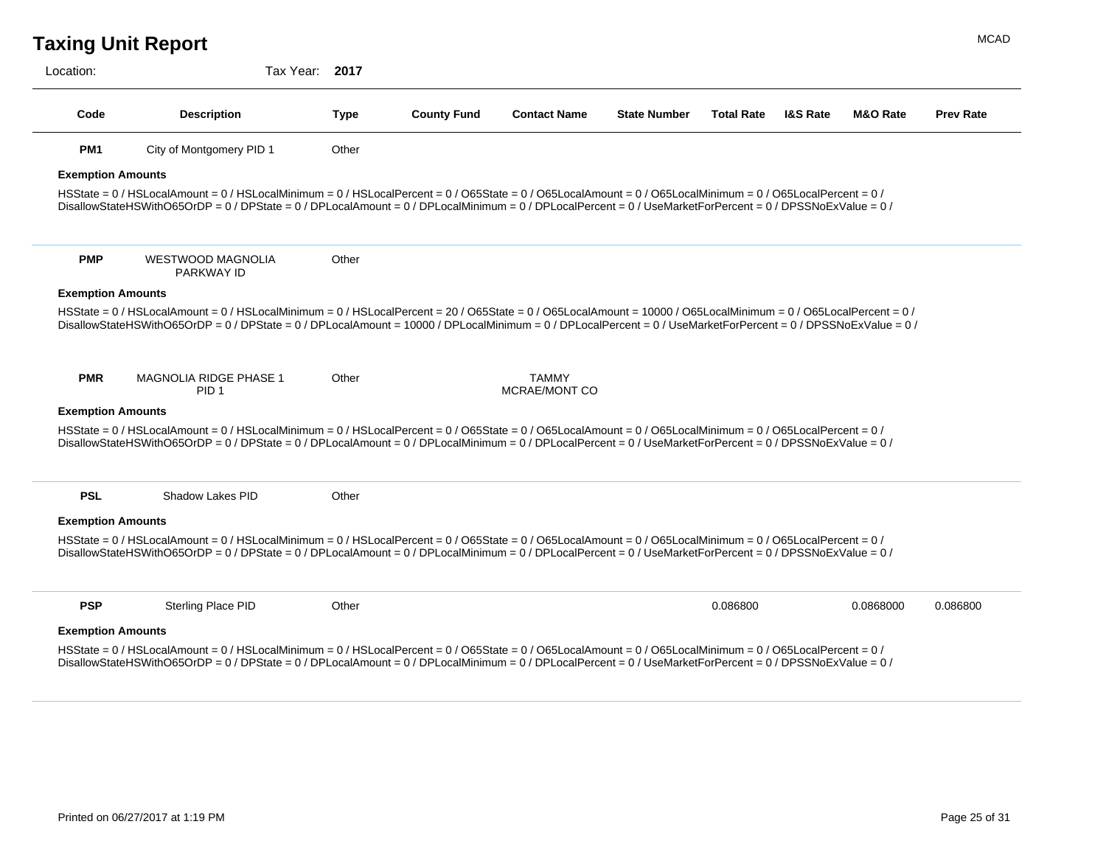| <b>Taxing Unit Report</b> | <b>MCAD</b> |
|---------------------------|-------------|
|                           |             |

| Location:                | Tax Year: 2017                                                                                                                                                                                                                                                                                                                     |             |                    |                               |                     |                   |                     |                     |                  |
|--------------------------|------------------------------------------------------------------------------------------------------------------------------------------------------------------------------------------------------------------------------------------------------------------------------------------------------------------------------------|-------------|--------------------|-------------------------------|---------------------|-------------------|---------------------|---------------------|------------------|
| Code                     | <b>Description</b>                                                                                                                                                                                                                                                                                                                 | <b>Type</b> | <b>County Fund</b> | <b>Contact Name</b>           | <b>State Number</b> | <b>Total Rate</b> | <b>I&amp;S Rate</b> | <b>M&amp;O Rate</b> | <b>Prev Rate</b> |
| PM <sub>1</sub>          | City of Montgomery PID 1                                                                                                                                                                                                                                                                                                           | Other       |                    |                               |                     |                   |                     |                     |                  |
| <b>Exemption Amounts</b> |                                                                                                                                                                                                                                                                                                                                    |             |                    |                               |                     |                   |                     |                     |                  |
|                          | HSState = 0 / HSLocalAmount = 0 / HSLocalMinimum = 0 / HSLocalPercent = 0 / O65State = 0 / O65LocalAmount = 0 / O65LocalMinimum = 0 / O65LocalPercent = 0 /<br>DisallowStateHSWithO65OrDP = 0 / DPState = 0 / DPLocalAmount = 0 / DPLocalMinimum = 0 / DPLocalPercent = 0 / UseMarketForPercent = 0 / DPSSNoExValue = 0 /          |             |                    |                               |                     |                   |                     |                     |                  |
| <b>PMP</b>               | <b>WESTWOOD MAGNOLIA</b><br><b>PARKWAY ID</b>                                                                                                                                                                                                                                                                                      | Other       |                    |                               |                     |                   |                     |                     |                  |
| <b>Exemption Amounts</b> |                                                                                                                                                                                                                                                                                                                                    |             |                    |                               |                     |                   |                     |                     |                  |
|                          | HSState = 0 / HSLocalAmount = 0 / HSLocalMinimum = 0 / HSLocalPercent = 20 / O65State = 0 / O65LocalAmount = 10000 / O65LocalMinimum = 0 / O65LocalPercent = 0 /<br>DisallowStateHSWithO65OrDP = 0 / DPState = 0 / DPLocalAmount = 10000 / DPLocalMinimum = 0 / DPLocalPercent = 0 / UseMarketForPercent = 0 / DPSSNoExValue = 0 / |             |                    |                               |                     |                   |                     |                     |                  |
| <b>PMR</b>               | <b>MAGNOLIA RIDGE PHASE 1</b><br>PID <sub>1</sub>                                                                                                                                                                                                                                                                                  | Other       |                    | <b>TAMMY</b><br>MCRAE/MONT CO |                     |                   |                     |                     |                  |
| <b>Exemption Amounts</b> |                                                                                                                                                                                                                                                                                                                                    |             |                    |                               |                     |                   |                     |                     |                  |
|                          | HSState = 0 / HSLocalAmount = 0 / HSLocalMinimum = 0 / HSLocalPercent = 0 / O65State = 0 / O65LocalAmount = 0 / O65LocalMinimum = 0 / O65LocalPercent = 0 /<br>DisallowStateHSWithO65OrDP = 0 / DPState = 0 / DPLocalAmount = 0 / DPLocalMinimum = 0 / DPLocalPercent = 0 / UseMarketForPercent = 0 / DPSSNoExValue = 0 /          |             |                    |                               |                     |                   |                     |                     |                  |
| <b>PSL</b>               | Shadow Lakes PID                                                                                                                                                                                                                                                                                                                   | Other       |                    |                               |                     |                   |                     |                     |                  |
| <b>Exemption Amounts</b> |                                                                                                                                                                                                                                                                                                                                    |             |                    |                               |                     |                   |                     |                     |                  |
|                          | HSState = 0 / HSLocalAmount = 0 / HSLocalMinimum = 0 / HSLocalPercent = 0 / O65State = 0 / O65LocalAmount = 0 / O65LocalMinimum = 0 / O65LocalPercent = 0 /<br>DisallowStateHSWithO65OrDP = 0 / DPState = 0 / DPLocalAmount = 0 / DPLocalMinimum = 0 / DPLocalPercent = 0 / UseMarketForPercent = 0 / DPSSNoExValue = 0 /          |             |                    |                               |                     |                   |                     |                     |                  |
| <b>PSP</b>               | Sterling Place PID                                                                                                                                                                                                                                                                                                                 | Other       |                    |                               |                     | 0.086800          |                     | 0.0868000           | 0.086800         |
| <b>Exemption Amounts</b> |                                                                                                                                                                                                                                                                                                                                    |             |                    |                               |                     |                   |                     |                     |                  |
|                          | HSState = 0 / HSLocalAmount = 0 / HSLocalMinimum = 0 / HSLocalPercent = 0 / O65State = 0 / O65LocalAmount = 0 / O65LocalMinimum = 0 / O65LocalPercent = 0 /<br>DisallowStateHSWithO65OrDP = 0 / DPState = 0 / DPLocalAmount = 0 / DPLocalMinimum = 0 / DPLocalPercent = 0 / UseMarketForPercent = 0 / DPSSNoExValue = 0 /          |             |                    |                               |                     |                   |                     |                     |                  |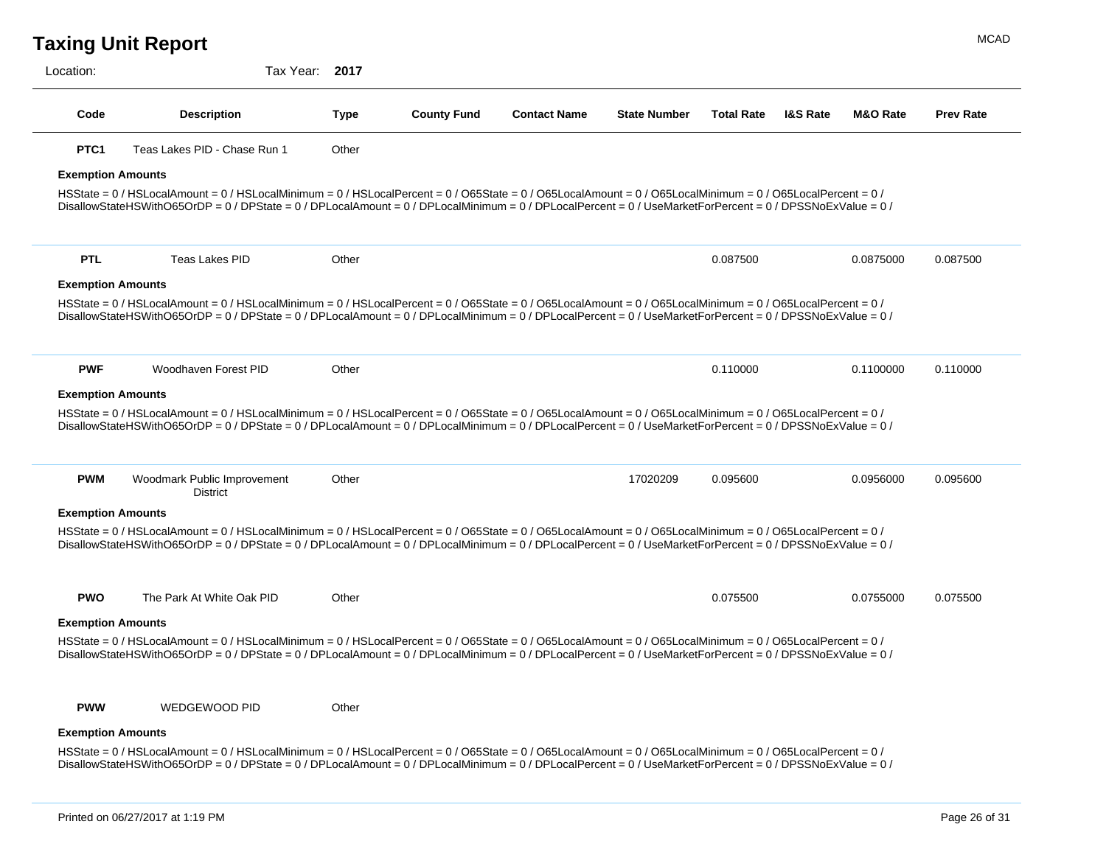| <b>Taxing Unit Report</b> | <b>MCAD</b> |
|---------------------------|-------------|
|                           |             |

| Location:                | Tax Year: 2017                                                                                                                                                                                                                                                                                                            |             |                    |                     |                     |                   |                     |                     |                  |
|--------------------------|---------------------------------------------------------------------------------------------------------------------------------------------------------------------------------------------------------------------------------------------------------------------------------------------------------------------------|-------------|--------------------|---------------------|---------------------|-------------------|---------------------|---------------------|------------------|
| Code                     | <b>Description</b>                                                                                                                                                                                                                                                                                                        | <b>Type</b> | <b>County Fund</b> | <b>Contact Name</b> | <b>State Number</b> | <b>Total Rate</b> | <b>I&amp;S Rate</b> | <b>M&amp;O Rate</b> | <b>Prev Rate</b> |
| PTC <sub>1</sub>         | Teas Lakes PID - Chase Run 1                                                                                                                                                                                                                                                                                              | Other       |                    |                     |                     |                   |                     |                     |                  |
| <b>Exemption Amounts</b> |                                                                                                                                                                                                                                                                                                                           |             |                    |                     |                     |                   |                     |                     |                  |
|                          | HSState = 0 / HSLocalAmount = 0 / HSLocalMinimum = 0 / HSLocalPercent = 0 / O65State = 0 / O65LocalAmount = 0 / O65LocalMinimum = 0 / O65LocalPercent = 0 /<br>DisallowStateHSWithO65OrDP = 0 / DPState = 0 / DPLocalAmount = 0 / DPLocalMinimum = 0 / DPLocalPercent = 0 / UseMarketForPercent = 0 / DPSSNoExValue = 0 / |             |                    |                     |                     |                   |                     |                     |                  |
| <b>PTL</b>               | Teas Lakes PID                                                                                                                                                                                                                                                                                                            | Other       |                    |                     |                     | 0.087500          |                     | 0.0875000           | 0.087500         |
| <b>Exemption Amounts</b> |                                                                                                                                                                                                                                                                                                                           |             |                    |                     |                     |                   |                     |                     |                  |
|                          | HSState = 0 / HSLocalAmount = 0 / HSLocalMinimum = 0 / HSLocalPercent = 0 / O65State = 0 / O65LocalAmount = 0 / O65LocalMinimum = 0 / O65LocalPercent = 0 /<br>DisallowStateHSWithO65OrDP = 0 / DPState = 0 / DPLocalAmount = 0 / DPLocalMinimum = 0 / DPLocalPercent = 0 / UseMarketForPercent = 0 / DPSSNoExValue = 0 / |             |                    |                     |                     |                   |                     |                     |                  |
| <b>PWF</b>               | Woodhaven Forest PID                                                                                                                                                                                                                                                                                                      | Other       |                    |                     |                     | 0.110000          |                     | 0.1100000           | 0.110000         |
| <b>Exemption Amounts</b> |                                                                                                                                                                                                                                                                                                                           |             |                    |                     |                     |                   |                     |                     |                  |
|                          | HSState = 0 / HSLocalAmount = 0 / HSLocalMinimum = 0 / HSLocalPercent = 0 / O65State = 0 / O65LocalAmount = 0 / O65LocalMinimum = 0 / O65LocalPercent = 0 /<br>DisallowStateHSWithO65OrDP = 0 / DPState = 0 / DPLocalAmount = 0 / DPLocalMinimum = 0 / DPLocalPercent = 0 / UseMarketForPercent = 0 / DPSSNoExValue = 0 / |             |                    |                     |                     |                   |                     |                     |                  |
| <b>PWM</b>               | Woodmark Public Improvement<br><b>District</b>                                                                                                                                                                                                                                                                            | Other       |                    |                     | 17020209            | 0.095600          |                     | 0.0956000           | 0.095600         |
| <b>Exemption Amounts</b> |                                                                                                                                                                                                                                                                                                                           |             |                    |                     |                     |                   |                     |                     |                  |
|                          | HSState = 0 / HSLocalAmount = 0 / HSLocalMinimum = 0 / HSLocalPercent = 0 / O65State = 0 / O65LocalAmount = 0 / O65LocalMinimum = 0 / O65LocalPercent = 0 /<br>DisallowStateHSWithO65OrDP = 0 / DPState = 0 / DPLocalAmount = 0 / DPLocalMinimum = 0 / DPLocalPercent = 0 / UseMarketForPercent = 0 / DPSSNoExValue = 0 / |             |                    |                     |                     |                   |                     |                     |                  |
| <b>PWO</b>               | The Park At White Oak PID                                                                                                                                                                                                                                                                                                 | Other       |                    |                     |                     | 0.075500          |                     | 0.0755000           | 0.075500         |
| <b>Exemption Amounts</b> |                                                                                                                                                                                                                                                                                                                           |             |                    |                     |                     |                   |                     |                     |                  |
|                          | HSState = 0 / HSLocalAmount = 0 / HSLocalMinimum = 0 / HSLocalPercent = 0 / O65State = 0 / O65LocalAmount = 0 / O65LocalMinimum = 0 / O65LocalPercent = 0 /<br>DisallowStateHSWithO65OrDP = 0 / DPState = 0 / DPLocalAmount = 0 / DPLocalMinimum = 0 / DPLocalPercent = 0 / UseMarketForPercent = 0 / DPSSNoExValue = 0 / |             |                    |                     |                     |                   |                     |                     |                  |
| <b>PWW</b>               | WEDGEWOOD PID                                                                                                                                                                                                                                                                                                             | Other       |                    |                     |                     |                   |                     |                     |                  |
| <b>Exemption Amounts</b> |                                                                                                                                                                                                                                                                                                                           |             |                    |                     |                     |                   |                     |                     |                  |
|                          |                                                                                                                                                                                                                                                                                                                           |             |                    |                     |                     |                   |                     |                     |                  |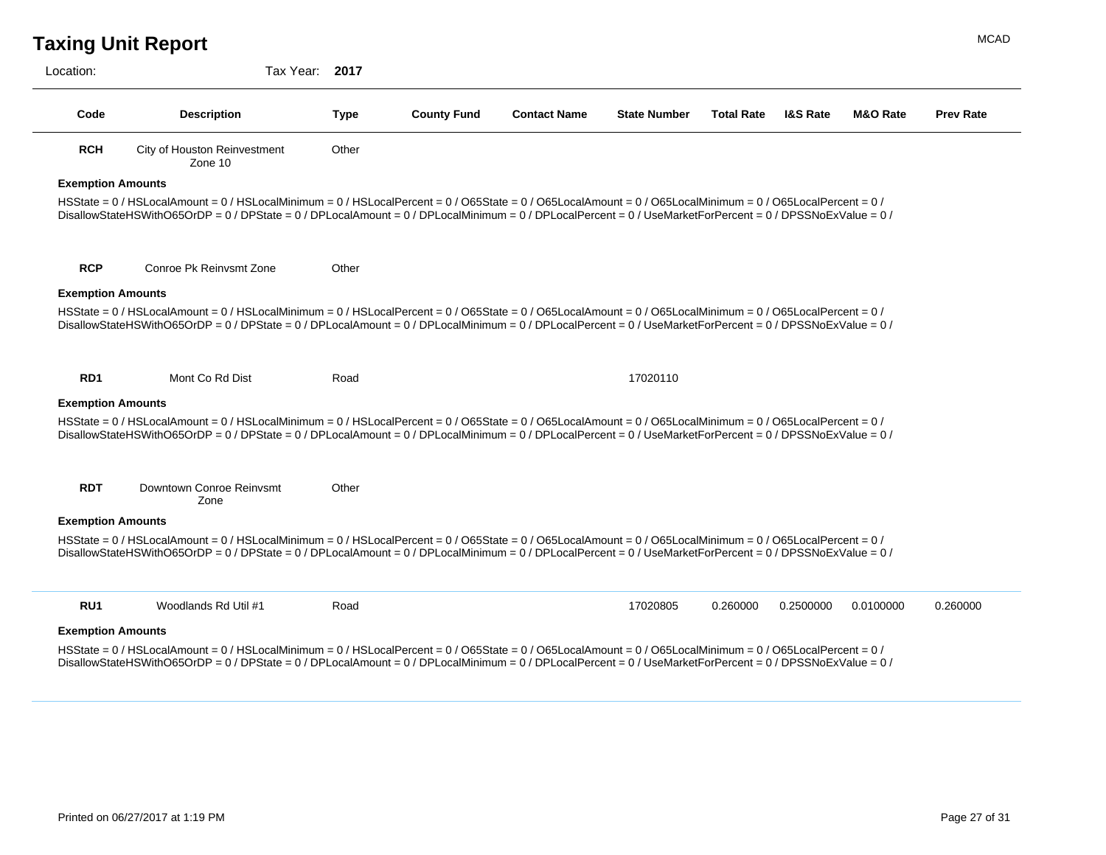| Location: | Tax |
|-----------|-----|
|           |     |

| Code                     | <b>Description</b>                                                                                                                                                                                                                                                                                                        | <b>Type</b> | <b>County Fund</b> | <b>Contact Name</b> | <b>State Number</b> | <b>Total Rate</b> | <b>I&amp;S Rate</b> | <b>M&amp;O Rate</b> | <b>Prev Rate</b> |
|--------------------------|---------------------------------------------------------------------------------------------------------------------------------------------------------------------------------------------------------------------------------------------------------------------------------------------------------------------------|-------------|--------------------|---------------------|---------------------|-------------------|---------------------|---------------------|------------------|
| <b>RCH</b>               | City of Houston Reinvestment<br>Zone 10                                                                                                                                                                                                                                                                                   | Other       |                    |                     |                     |                   |                     |                     |                  |
| <b>Exemption Amounts</b> |                                                                                                                                                                                                                                                                                                                           |             |                    |                     |                     |                   |                     |                     |                  |
|                          | HSState = 0 / HSLocalAmount = 0 / HSLocalMinimum = 0 / HSLocalPercent = 0 / O65State = 0 / O65LocalAmount = 0 / O65LocalMinimum = 0 / O65LocalPercent = 0 /<br>DisallowStateHSWithO65OrDP = 0 / DPState = 0 / DPLocalAmount = 0 / DPLocalMinimum = 0 / DPLocalPercent = 0 / UseMarketForPercent = 0 / DPSSNoExValue = 0 / |             |                    |                     |                     |                   |                     |                     |                  |
| <b>RCP</b>               | Conroe Pk Reinvsmt Zone                                                                                                                                                                                                                                                                                                   | Other       |                    |                     |                     |                   |                     |                     |                  |
| <b>Exemption Amounts</b> |                                                                                                                                                                                                                                                                                                                           |             |                    |                     |                     |                   |                     |                     |                  |
|                          | HSState = 0 / HSLocalAmount = 0 / HSLocalMinimum = 0 / HSLocalPercent = 0 / O65State = 0 / O65LocalAmount = 0 / O65LocalMinimum = 0 / O65LocalPercent = 0 /<br>DisallowStateHSWithO65OrDP = 0 / DPState = 0 / DPLocalAmount = 0 / DPLocalMinimum = 0 / DPLocalPercent = 0 / UseMarketForPercent = 0 / DPSSNoExValue = 0 / |             |                    |                     |                     |                   |                     |                     |                  |
| RD <sub>1</sub>          | Mont Co Rd Dist                                                                                                                                                                                                                                                                                                           | Road        |                    |                     | 17020110            |                   |                     |                     |                  |
| <b>Exemption Amounts</b> |                                                                                                                                                                                                                                                                                                                           |             |                    |                     |                     |                   |                     |                     |                  |
|                          | HSState = 0 / HSLocalAmount = 0 / HSLocalMinimum = 0 / HSLocalPercent = 0 / O65State = 0 / O65LocalAmount = 0 / O65LocalMinimum = 0 / O65LocalPercent = 0 /<br>DisallowStateHSWithO65OrDP = 0 / DPState = 0 / DPLocalAmount = 0 / DPLocalMinimum = 0 / DPLocalPercent = 0 / UseMarketForPercent = 0 / DPSSNoExValue = 0 / |             |                    |                     |                     |                   |                     |                     |                  |
| <b>RDT</b>               | Downtown Conroe Reinvsmt<br>Zone                                                                                                                                                                                                                                                                                          | Other       |                    |                     |                     |                   |                     |                     |                  |
| <b>Exemption Amounts</b> |                                                                                                                                                                                                                                                                                                                           |             |                    |                     |                     |                   |                     |                     |                  |
|                          | HSState = 0 / HSLocalAmount = 0 / HSLocalMinimum = 0 / HSLocalPercent = 0 / O65State = 0 / O65LocalAmount = 0 / O65LocalMinimum = 0 / O65LocalPercent = 0 /<br>DisallowStateHSWithO65OrDP = 0 / DPState = 0 / DPLocalAmount = 0 / DPLocalMinimum = 0 / DPLocalPercent = 0 / UseMarketForPercent = 0 / DPSSNoExValue = 0 / |             |                    |                     |                     |                   |                     |                     |                  |
| RU <sub>1</sub>          | Woodlands Rd Util #1                                                                                                                                                                                                                                                                                                      | Road        |                    |                     | 17020805            | 0.260000          | 0.2500000           | 0.0100000           | 0.260000         |
| <b>Exemption Amounts</b> |                                                                                                                                                                                                                                                                                                                           |             |                    |                     |                     |                   |                     |                     |                  |
|                          | HSState = 0 / HSLocalAmount = 0 / HSLocalMinimum = 0 / HSLocalPercent = 0 / O65State = 0 / O65LocalAmount = 0 / O65LocalMinimum = 0 / O65LocalPercent = 0 /<br>DisallowStateHSWithO65OrDP = 0 / DPState = 0 / DPLocalAmount = 0 / DPLocalMinimum = 0 / DPLocalPercent = 0 / UseMarketForPercent = 0 / DPSSNoExValue = 0 / |             |                    |                     |                     |                   |                     |                     |                  |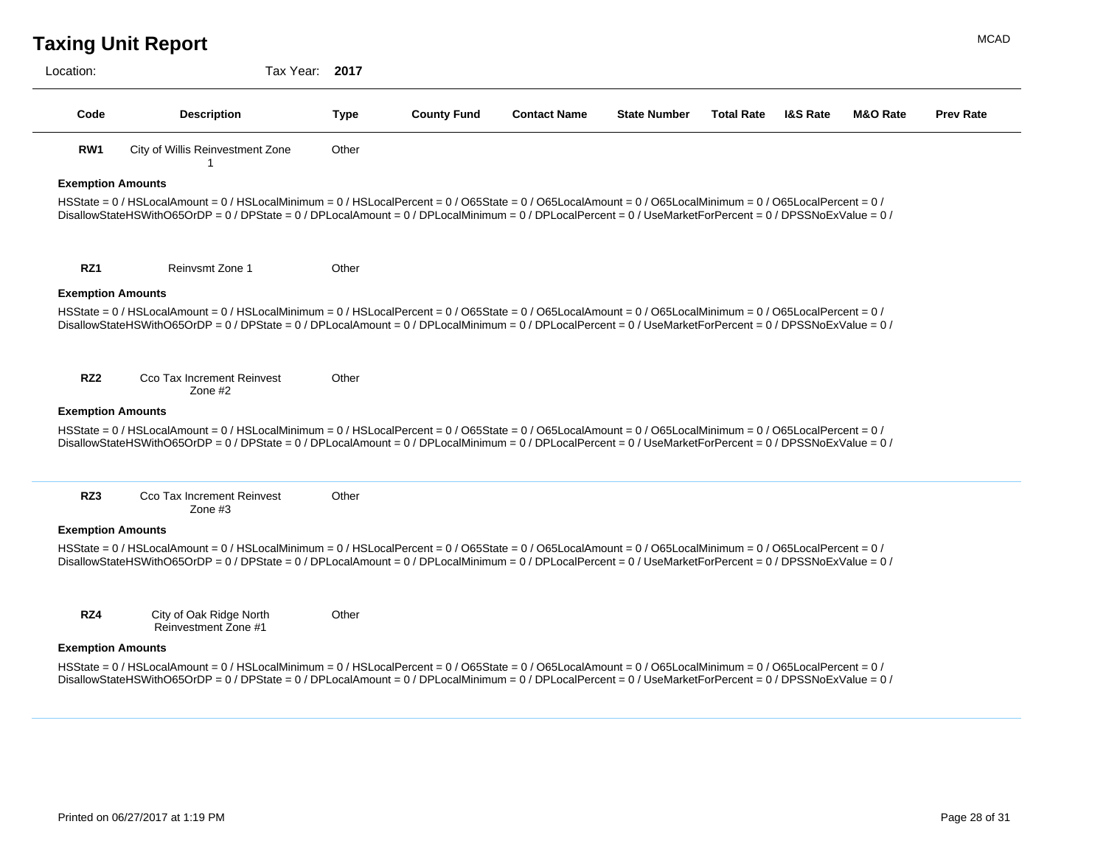Location: Tax Year: **2017**

| Lucalium.                | $\alpha$ it call $\alpha$                                                                                                                                                                                                                                                                                                 |             |                    |                     |                     |                   |                     |          |                  |
|--------------------------|---------------------------------------------------------------------------------------------------------------------------------------------------------------------------------------------------------------------------------------------------------------------------------------------------------------------------|-------------|--------------------|---------------------|---------------------|-------------------|---------------------|----------|------------------|
| Code                     | <b>Description</b>                                                                                                                                                                                                                                                                                                        | <b>Type</b> | <b>County Fund</b> | <b>Contact Name</b> | <b>State Number</b> | <b>Total Rate</b> | <b>I&amp;S Rate</b> | M&O Rate | <b>Prev Rate</b> |
| RW <sub>1</sub>          | City of Willis Reinvestment Zone<br>1                                                                                                                                                                                                                                                                                     | Other       |                    |                     |                     |                   |                     |          |                  |
| <b>Exemption Amounts</b> |                                                                                                                                                                                                                                                                                                                           |             |                    |                     |                     |                   |                     |          |                  |
|                          | HSState = 0 / HSLocalAmount = 0 / HSLocalMinimum = 0 / HSLocalPercent = 0 / O65State = 0 / O65LocalAmount = 0 / O65LocalMinimum = 0 / O65LocalPercent = 0 /<br>DisallowStateHSWithO65OrDP = 0 / DPState = 0 / DPLocalAmount = 0 / DPLocalMinimum = 0 / DPLocalPercent = 0 / UseMarketForPercent = 0 / DPSSNoExValue = 0 / |             |                    |                     |                     |                   |                     |          |                  |
| RZ <sub>1</sub>          | <b>Reinvsmt Zone 1</b>                                                                                                                                                                                                                                                                                                    | Other       |                    |                     |                     |                   |                     |          |                  |
| <b>Exemption Amounts</b> |                                                                                                                                                                                                                                                                                                                           |             |                    |                     |                     |                   |                     |          |                  |
|                          | HSState = 0 / HSLocalAmount = 0 / HSLocalMinimum = 0 / HSLocalPercent = 0 / O65State = 0 / O65LocalAmount = 0 / O65LocalMinimum = 0 / O65LocalPercent = 0 /<br>DisallowStateHSWithO65OrDP = 0 / DPState = 0 / DPLocalAmount = 0 / DPLocalMinimum = 0 / DPLocalPercent = 0 / UseMarketForPercent = 0 / DPSSNoExValue = 0 / |             |                    |                     |                     |                   |                     |          |                  |
| RZ <sub>2</sub>          | Cco Tax Increment Reinvest<br>Zone $#2$                                                                                                                                                                                                                                                                                   | Other       |                    |                     |                     |                   |                     |          |                  |
| <b>Exemption Amounts</b> |                                                                                                                                                                                                                                                                                                                           |             |                    |                     |                     |                   |                     |          |                  |
|                          | HSState = 0 / HSLocalAmount = 0 / HSLocalMinimum = 0 / HSLocalPercent = 0 / O65State = 0 / O65LocalAmount = 0 / O65LocalMinimum = 0 / O65LocalPercent = 0 /<br>DisallowStateHSWithO65OrDP = 0 / DPState = 0 / DPLocalAmount = 0 / DPLocalMinimum = 0 / DPLocalPercent = 0 / UseMarketForPercent = 0 / DPSSNoExValue = 0 / |             |                    |                     |                     |                   |                     |          |                  |
| RZ3                      | Cco Tax Increment Reinvest<br>Zone $#3$                                                                                                                                                                                                                                                                                   | Other       |                    |                     |                     |                   |                     |          |                  |
| <b>Exemption Amounts</b> |                                                                                                                                                                                                                                                                                                                           |             |                    |                     |                     |                   |                     |          |                  |
|                          | HSState = 0 / HSLocalAmount = 0 / HSLocalMinimum = 0 / HSLocalPercent = 0 / O65State = 0 / O65LocalAmount = 0 / O65LocalMinimum = 0 / O65LocalPercent = 0 /<br>DisallowStateHSWithO65OrDP = 0 / DPState = 0 / DPLocalAmount = 0 / DPLocalMinimum = 0 / DPLocalPercent = 0 / UseMarketForPercent = 0 / DPSSNoExValue = 0 / |             |                    |                     |                     |                   |                     |          |                  |
| RZ4                      | City of Oak Ridge North<br>Reinvestment Zone #1                                                                                                                                                                                                                                                                           | Other       |                    |                     |                     |                   |                     |          |                  |
|                          |                                                                                                                                                                                                                                                                                                                           |             |                    |                     |                     |                   |                     |          |                  |

#### **Exemption Amounts**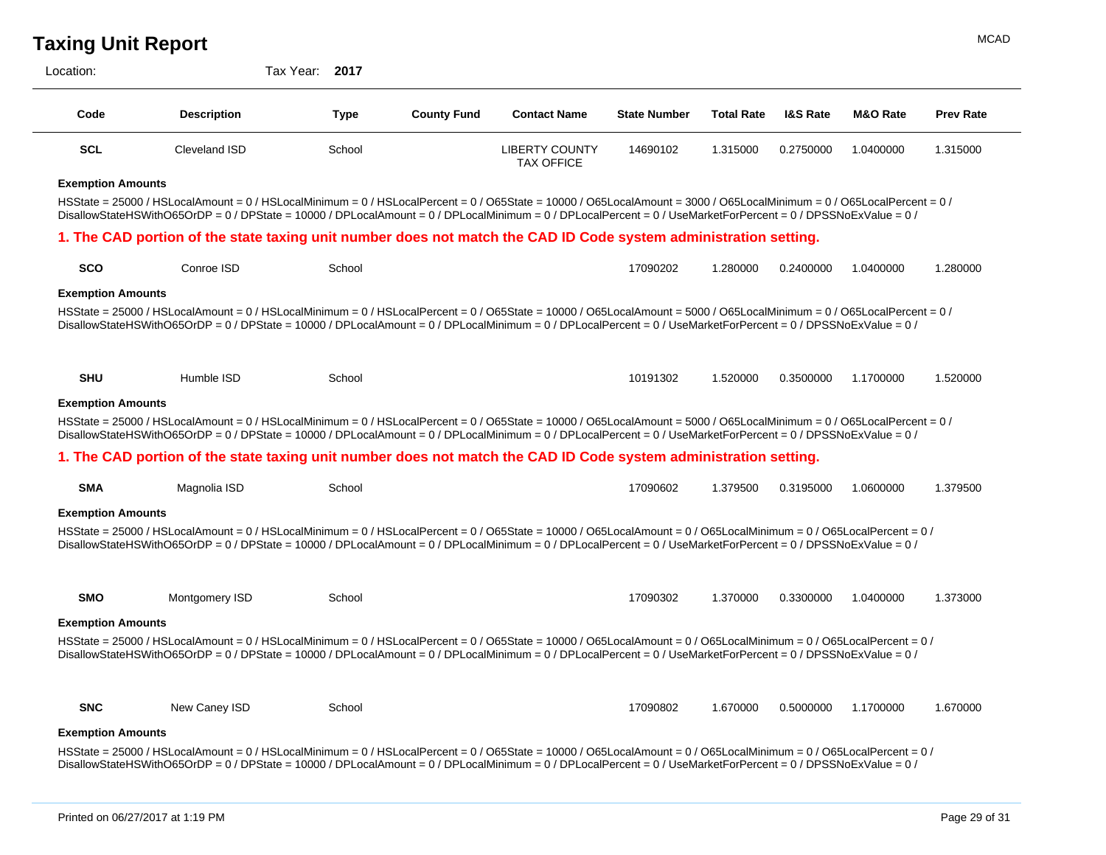Location: Tax Year: **2017**

| Code                     | <b>Description</b>                                                                                                                                                                                                                                                                                                                       | <b>Type</b> | <b>County Fund</b> | <b>Contact Name</b>                        | <b>State Number</b> | <b>Total Rate</b> | <b>I&amp;S Rate</b> | M&O Rate  | <b>Prev Rate</b> |
|--------------------------|------------------------------------------------------------------------------------------------------------------------------------------------------------------------------------------------------------------------------------------------------------------------------------------------------------------------------------------|-------------|--------------------|--------------------------------------------|---------------------|-------------------|---------------------|-----------|------------------|
| <b>SCL</b>               | Cleveland ISD                                                                                                                                                                                                                                                                                                                            | School      |                    | <b>LIBERTY COUNTY</b><br><b>TAX OFFICE</b> | 14690102            | 1.315000          | 0.2750000           | 1.0400000 | 1.315000         |
| <b>Exemption Amounts</b> |                                                                                                                                                                                                                                                                                                                                          |             |                    |                                            |                     |                   |                     |           |                  |
|                          | HSState = 25000 / HSLocalAmount = 0 / HSLocalMinimum = 0 / HSLocalPercent = 0 / O65State = 10000 / O65LocalAmount = 3000 / O65LocalMinimum = 0 / O65LocalPercent = 0 /<br>DisallowStateHSWithO65OrDP = 0 / DPState = 10000 / DPLocalAmount = 0 / DPLocalMinimum = 0 / DPLocalPercent = 0 / UseMarketForPercent = 0 / DPSSNoExValue = 0 / |             |                    |                                            |                     |                   |                     |           |                  |
|                          | 1. The CAD portion of the state taxing unit number does not match the CAD ID Code system administration setting.                                                                                                                                                                                                                         |             |                    |                                            |                     |                   |                     |           |                  |
| <b>SCO</b>               | Conroe ISD                                                                                                                                                                                                                                                                                                                               | School      |                    |                                            | 17090202            | 1.280000          | 0.2400000           | 1.0400000 | 1.280000         |
| <b>Exemption Amounts</b> |                                                                                                                                                                                                                                                                                                                                          |             |                    |                                            |                     |                   |                     |           |                  |
|                          | HSState = 25000 / HSLocalAmount = 0 / HSLocalMinimum = 0 / HSLocalPercent = 0 / O65State = 10000 / O65LocalAmount = 5000 / O65LocalMinimum = 0 / O65LocalPercent = 0 /<br>DisallowStateHSWithO65OrDP = 0 / DPState = 10000 / DPLocalAmount = 0 / DPLocalMinimum = 0 / DPLocalPercent = 0 / UseMarketForPercent = 0 / DPSSNoExValue = 0 / |             |                    |                                            |                     |                   |                     |           |                  |
|                          |                                                                                                                                                                                                                                                                                                                                          |             |                    |                                            | 10191302            | 1.520000          | 0.3500000           | 1.1700000 | 1.520000         |
| <b>SHU</b>               | Humble ISD                                                                                                                                                                                                                                                                                                                               | School      |                    |                                            |                     |                   |                     |           |                  |
|                          |                                                                                                                                                                                                                                                                                                                                          |             |                    |                                            |                     |                   |                     |           |                  |
| <b>Exemption Amounts</b> | HSState = 25000 / HSLocalAmount = 0 / HSLocalMinimum = 0 / HSLocalPercent = 0 / O65State = 10000 / O65LocalAmount = 5000 / O65LocalMinimum = 0 / O65LocalPercent = 0 /<br>DisallowStateHSWithO65OrDP = 0 / DPState = 10000 / DPLocalAmount = 0 / DPLocalMinimum = 0 / DPLocalPercent = 0 / UseMarketForPercent = 0 / DPSSNoExValue = 0 / |             |                    |                                            |                     |                   |                     |           |                  |
|                          | 1. The CAD portion of the state taxing unit number does not match the CAD ID Code system administration setting.                                                                                                                                                                                                                         |             |                    |                                            |                     |                   |                     |           |                  |
| <b>SMA</b>               | Magnolia ISD                                                                                                                                                                                                                                                                                                                             | School      |                    |                                            | 17090602            | 1.379500          | 0.3195000           | 1.0600000 |                  |
|                          |                                                                                                                                                                                                                                                                                                                                          |             |                    |                                            |                     |                   |                     |           | 1.379500         |
| <b>Exemption Amounts</b> | HSState = 25000 / HSLocalAmount = 0 / HSLocalMinimum = 0 / HSLocalPercent = 0 / O65State = 10000 / O65LocalAmount = 0 / O65LocalMinimum = 0 / O65LocalPercent = 0 /<br>DisallowStateHSWithO65OrDP = 0 / DPState = 10000 / DPLocalAmount = 0 / DPLocalMinimum = 0 / DPLocalPercent = 0 / UseMarketForPercent = 0 / DPSSNoExValue = 0 /    |             |                    |                                            |                     |                   |                     |           |                  |
| <b>SMO</b>               | Montgomery ISD                                                                                                                                                                                                                                                                                                                           | School      |                    |                                            | 17090302            | 1.370000          | 0.3300000           | 1.0400000 |                  |
| <b>Exemption Amounts</b> |                                                                                                                                                                                                                                                                                                                                          |             |                    |                                            |                     |                   |                     |           |                  |
|                          | HSState = 25000 / HSLocalAmount = 0 / HSLocalMinimum = 0 / HSLocalPercent = 0 / O65State = 10000 / O65LocalAmount = 0 / O65LocalMinimum = 0 / O65LocalPercent = 0 /<br>DisallowStateHSWithO65OrDP = 0 / DPState = 10000 / DPLocalAmount = 0 / DPLocalMinimum = 0 / DPLocalPercent = 0 / UseMarketForPercent = 0 / DPSSNoExValue = 0 /    |             |                    |                                            |                     |                   |                     |           | 1.373000         |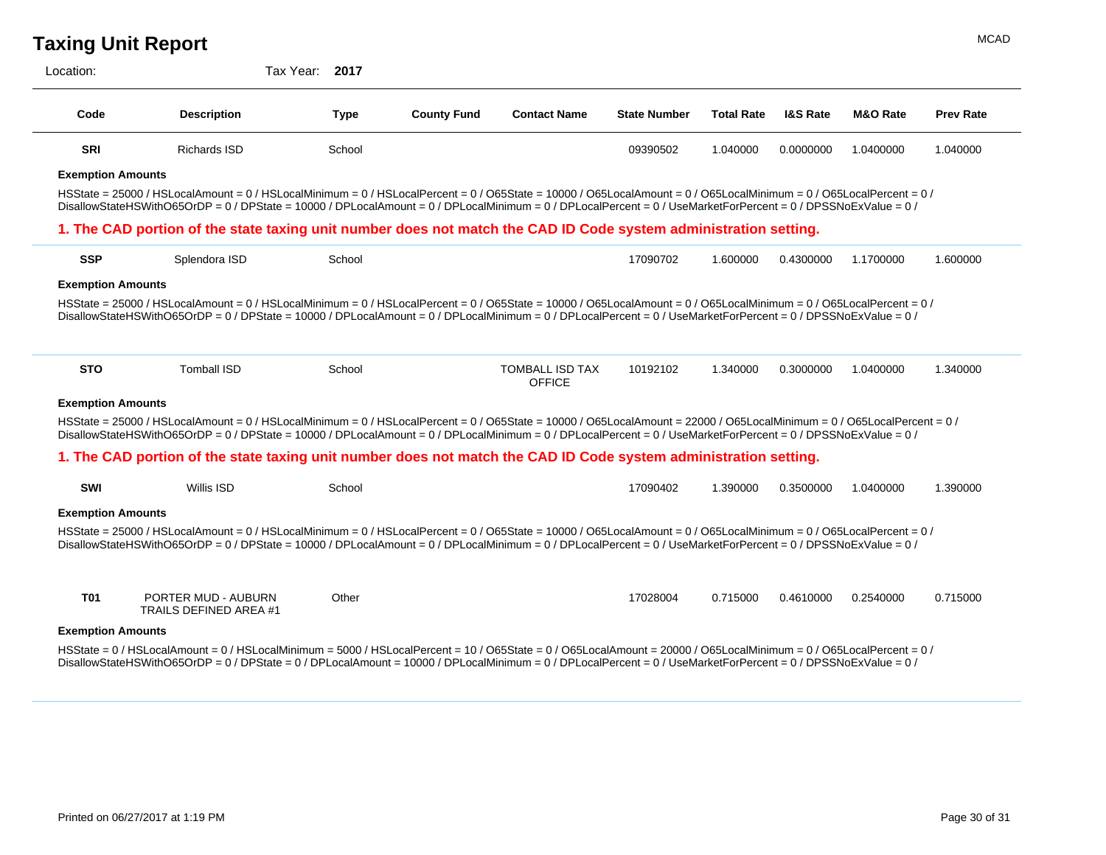| Location: | Tax Year: 2017 |  |  |
|-----------|----------------|--|--|
|-----------|----------------|--|--|

| Code                     | <b>Description</b>                                                                                                                                                                                                                                                                                                                        | <b>Type</b> | <b>County Fund</b> | <b>Contact Name</b>                     | <b>State Number</b> | <b>Total Rate</b> | <b>I&amp;S Rate</b> | <b>M&amp;O Rate</b> | <b>Prev Rate</b> |
|--------------------------|-------------------------------------------------------------------------------------------------------------------------------------------------------------------------------------------------------------------------------------------------------------------------------------------------------------------------------------------|-------------|--------------------|-----------------------------------------|---------------------|-------------------|---------------------|---------------------|------------------|
| <b>SRI</b>               | <b>Richards ISD</b>                                                                                                                                                                                                                                                                                                                       | School      |                    |                                         | 09390502            | 1.040000          | 0.0000000           | 1.0400000           | 1.040000         |
| <b>Exemption Amounts</b> |                                                                                                                                                                                                                                                                                                                                           |             |                    |                                         |                     |                   |                     |                     |                  |
|                          | HSState = 25000 / HSLocalAmount = 0 / HSLocalMinimum = 0 / HSLocalPercent = 0 / O65State = 10000 / O65LocalAmount = 0 / O65LocalMinimum = 0 / O65LocalPercent = 0 /<br>DisallowStateHSWithO65OrDP = 0 / DPState = 10000 / DPLocalAmount = 0 / DPLocalMinimum = 0 / DPLocalPercent = 0 / UseMarketForPercent = 0 / DPSSNoExValue = 0 /     |             |                    |                                         |                     |                   |                     |                     |                  |
|                          | 1. The CAD portion of the state taxing unit number does not match the CAD ID Code system administration setting.                                                                                                                                                                                                                          |             |                    |                                         |                     |                   |                     |                     |                  |
| <b>SSP</b>               | Splendora ISD                                                                                                                                                                                                                                                                                                                             | School      |                    |                                         | 17090702            | 1.600000          | 0.4300000           | 1.1700000           | 1.600000         |
| <b>Exemption Amounts</b> |                                                                                                                                                                                                                                                                                                                                           |             |                    |                                         |                     |                   |                     |                     |                  |
|                          | HSState = 25000 / HSLocalAmount = 0 / HSLocalMinimum = 0 / HSLocalPercent = 0 / O65State = 10000 / O65LocalAmount = 0 / O65LocalMinimum = 0 / O65LocalPercent = 0 /<br>DisallowStateHSWithO65OrDP = 0 / DPState = 10000 / DPLocalAmount = 0 / DPLocalMinimum = 0 / DPLocalPercent = 0 / UseMarketForPercent = 0 / DPSSNoExValue = 0 /     |             |                    |                                         |                     |                   |                     |                     |                  |
| <b>STO</b>               | <b>Tomball ISD</b>                                                                                                                                                                                                                                                                                                                        | School      |                    | <b>TOMBALL ISD TAX</b><br><b>OFFICE</b> | 10192102            | 1.340000          | 0.3000000           | 1.0400000           | 1.340000         |
| <b>Exemption Amounts</b> |                                                                                                                                                                                                                                                                                                                                           |             |                    |                                         |                     |                   |                     |                     |                  |
|                          | HSState = 25000 / HSLocalAmount = 0 / HSLocalMinimum = 0 / HSLocalPercent = 0 / O65State = 10000 / O65LocalAmount = 22000 / O65LocalMinimum = 0 / O65LocalPercent = 0 /<br>DisallowStateHSWithO65OrDP = 0 / DPState = 10000 / DPLocalAmount = 0 / DPLocalMinimum = 0 / DPLocalPercent = 0 / UseMarketForPercent = 0 / DPSSNoExValue = 0 / |             |                    |                                         |                     |                   |                     |                     |                  |
|                          | 1. The CAD portion of the state taxing unit number does not match the CAD ID Code system administration setting.                                                                                                                                                                                                                          |             |                    |                                         |                     |                   |                     |                     |                  |
| SWI                      | Willis ISD                                                                                                                                                                                                                                                                                                                                | School      |                    |                                         | 17090402            | 1.390000          | 0.3500000           | 1.0400000           | 1.390000         |
| <b>Exemption Amounts</b> |                                                                                                                                                                                                                                                                                                                                           |             |                    |                                         |                     |                   |                     |                     |                  |
|                          | HSState = 25000 / HSLocalAmount = 0 / HSLocalMinimum = 0 / HSLocalPercent = 0 / O65State = 10000 / O65LocalAmount = 0 / O65LocalMinimum = 0 / O65LocalPercent = 0 /<br>DisallowStateHSWithO65OrDP = 0 / DPState = 10000 / DPLocalAmount = 0 / DPLocalMinimum = 0 / DPLocalPercent = 0 / UseMarketForPercent = 0 / DPSSNoExValue = 0 /     |             |                    |                                         |                     |                   |                     |                     |                  |
| <b>T01</b>               | PORTER MUD - AUBURN<br><b>TRAILS DEFINED AREA #1</b>                                                                                                                                                                                                                                                                                      | Other       |                    |                                         | 17028004            | 0.715000          | 0.4610000           | 0.2540000           | 0.715000         |

#### **Exemption Amounts**